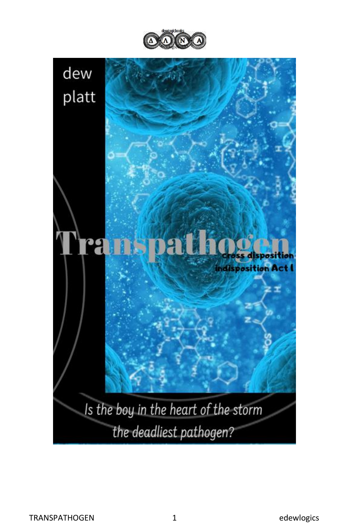



the deadliest pathogen?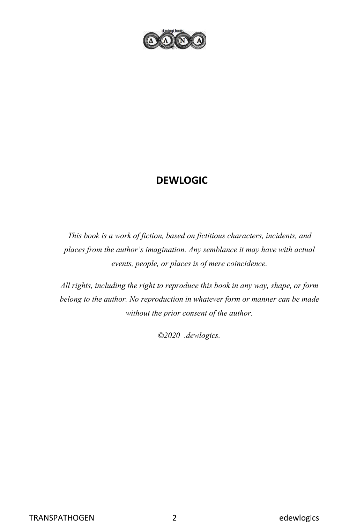

### **DEWLOGIC**

*This book is a work of fiction, based on fictitious characters, incidents, and places from the author's imagination. Any semblance it may have with actual events, people, or places is of mere coincidence.*

*All rights, including the right to reproduce this book in any way, shape, or form belong to the author. No reproduction in whatever form or manner can be made without the prior consent of the author.*

*©2020 .dewlogics.*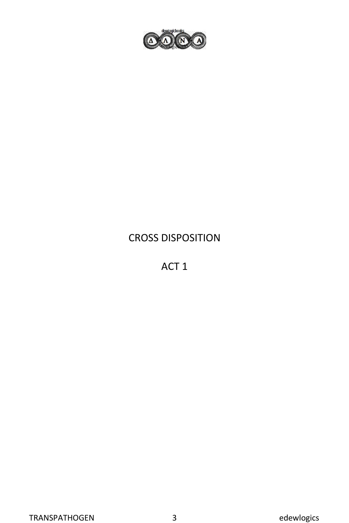

## CROSS DISPOSITION

ACT 1

TRANSPATHOGEN 3 edewlogics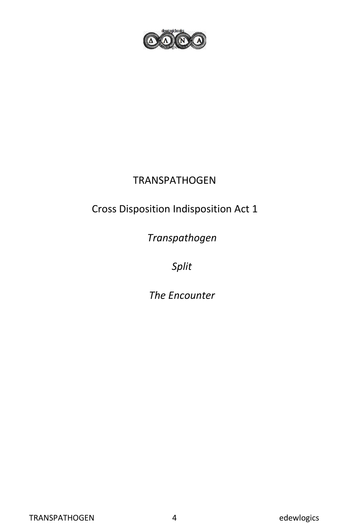

### TRANSPATHOGEN

# Cross Disposition Indisposition Act 1

*Transpathogen*

*Split*

*The Encounter*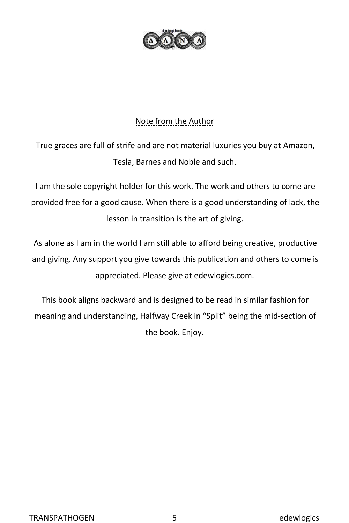

#### Note from the Author

True graces are full of strife and are not material luxuries you buy at Amazon, Tesla, Barnes and Noble and such.

I am the sole copyright holder for this work. The work and others to come are provided free for a good cause. When there is a good understanding of lack, the lesson in transition is the art of giving.

As alone as I am in the world I am still able to afford being creative, productive and giving. Any support you give towards this publication and others to come is appreciated. Please give at edewlogics.com.

This book aligns backward and is designed to be read in similar fashion for meaning and understanding, Halfway Creek in "Split" being the mid-section of the book. Enjoy.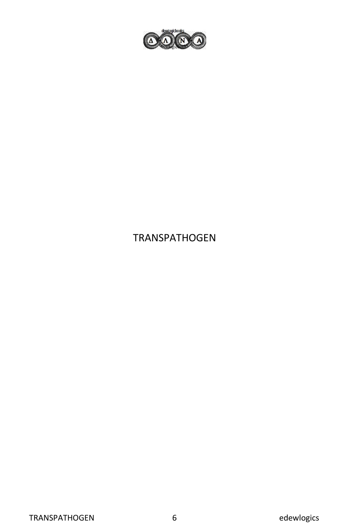

## TRANSPATHOGEN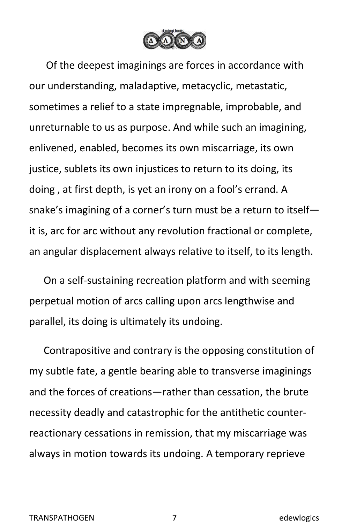

Of the deepest imaginings are forces in accordance with our understanding, maladaptive, metacyclic, metastatic, sometimes a relief to a state impregnable, improbable, and unreturnable to us as purpose. And while such an imagining, enlivened, enabled, becomes its own miscarriage, its own justice, sublets its own injustices to return to its doing, its doing , at first depth, is yet an irony on a fool's errand. A snake's imagining of a corner's turn must be a return to itself it is, arc for arc without any revolution fractional or complete, an angular displacement always relative to itself, to its length.

On a self-sustaining recreation platform and with seeming perpetual motion of arcs calling upon arcs lengthwise and parallel, its doing is ultimately its undoing.

Contrapositive and contrary is the opposing constitution of my subtle fate, a gentle bearing able to transverse imaginings and the forces of creations—rather than cessation, the brute necessity deadly and catastrophic for the antithetic counterreactionary cessations in remission, that my miscarriage was always in motion towards its undoing. A temporary reprieve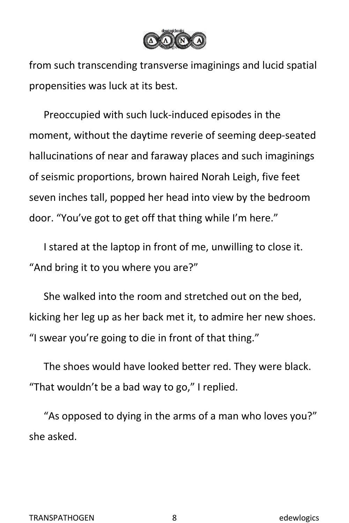

from such transcending transverse imaginings and lucid spatial propensities was luck at its best.

Preoccupied with such luck-induced episodes in the moment, without the daytime reverie of seeming deep-seated hallucinations of near and faraway places and such imaginings of seismic proportions, brown haired Norah Leigh, five feet seven inches tall, popped her head into view by the bedroom door. "You've got to get off that thing while I'm here."

I stared at the laptop in front of me, unwilling to close it. "And bring it to you where you are?"

She walked into the room and stretched out on the bed, kicking her leg up as her back met it, to admire her new shoes. "I swear you're going to die in front of that thing."

The shoes would have looked better red. They were black. "That wouldn't be a bad way to go," I replied.

"As opposed to dying in the arms of a man who loves you?" she asked.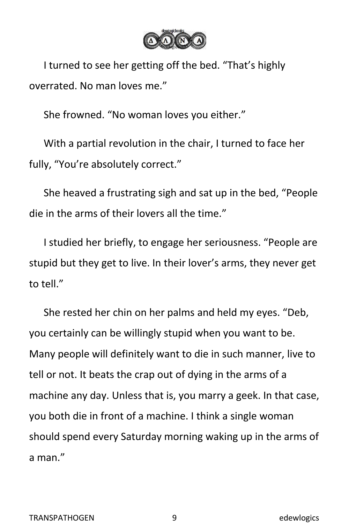

I turned to see her getting off the bed. "That's highly overrated. No man loves me."

She frowned. "No woman loves you either."

With a partial revolution in the chair, I turned to face her fully, "You're absolutely correct."

She heaved a frustrating sigh and sat up in the bed, "People die in the arms of their lovers all the time."

I studied her briefly, to engage her seriousness. "People are stupid but they get to live. In their lover's arms, they never get to tell."

She rested her chin on her palms and held my eyes. "Deb, you certainly can be willingly stupid when you want to be. Many people will definitely want to die in such manner, live to tell or not. It beats the crap out of dying in the arms of a machine any day. Unless that is, you marry a geek. In that case, you both die in front of a machine. I think a single woman should spend every Saturday morning waking up in the arms of a man."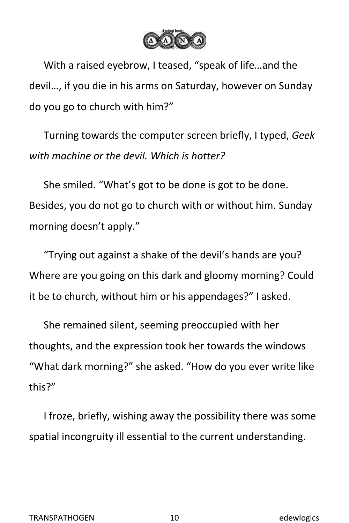

With a raised eyebrow, I teased, "speak of life…and the devil…, if you die in his arms on Saturday, however on Sunday do you go to church with him?"

Turning towards the computer screen briefly, I typed, *Geek with machine or the devil. Which is hotter?*

She smiled. "What's got to be done is got to be done. Besides, you do not go to church with or without him. Sunday morning doesn't apply."

"Trying out against a shake of the devil's hands are you? Where are you going on this dark and gloomy morning? Could it be to church, without him or his appendages?" I asked.

She remained silent, seeming preoccupied with her thoughts, and the expression took her towards the windows "What dark morning?" she asked. "How do you ever write like this?"

I froze, briefly, wishing away the possibility there was some spatial incongruity ill essential to the current understanding.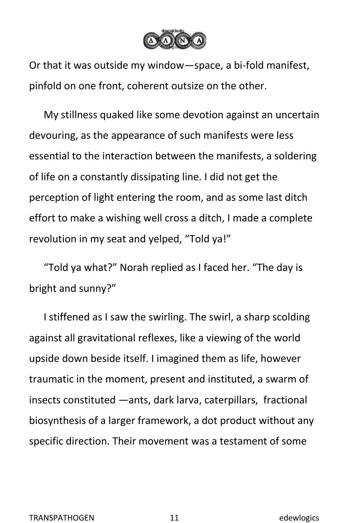

Or that it was outside my window—space, a bi-fold manifest, pinfold on one front, coherent outsize on the other.

My stillness quaked like some devotion against an uncertain devouring, as the appearance of such manifests were less essential to the interaction between the manifests, a soldering of life on a constantly dissipating line. I did not get the perception of light entering the room, and as some last ditch effort to make a wishing well cross a ditch, I made a complete revolution in my seat and yelped, "Told ya!"

"Told ya what?" Norah replied as I faced her. "The day is bright and sunny?"

I stiffened as I saw the swirling. The swirl, a sharp scolding against all gravitational reflexes, like a viewing of the world upside down beside itself. I imagined them as life, however traumatic in the moment, present and instituted, a swarm of insects constituted —ants, dark larva, caterpillars, fractional biosynthesis of a larger framework, a dot product without any specific direction. Their movement was a testament of some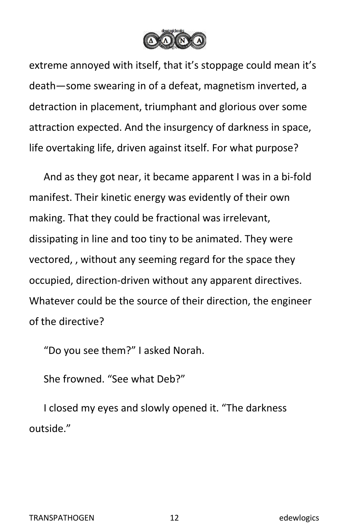

extreme annoyed with itself, that it's stoppage could mean it's death—some swearing in of a defeat, magnetism inverted, a detraction in placement, triumphant and glorious over some attraction expected. And the insurgency of darkness in space, life overtaking life, driven against itself. For what purpose?

And as they got near, it became apparent I was in a bi-fold manifest. Their kinetic energy was evidently of their own making. That they could be fractional was irrelevant, dissipating in line and too tiny to be animated. They were vectored, , without any seeming regard for the space they occupied, direction-driven without any apparent directives. Whatever could be the source of their direction, the engineer of the directive?

"Do you see them?" I asked Norah.

She frowned. "See what Deb?"

I closed my eyes and slowly opened it. "The darkness outside."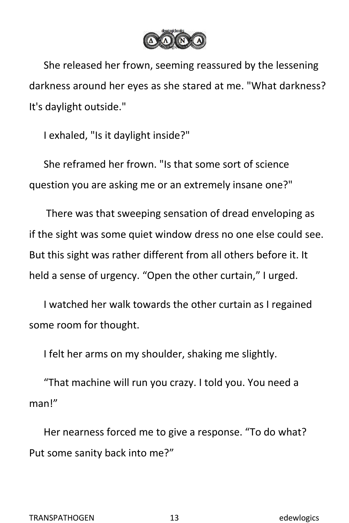

She released her frown, seeming reassured by the lessening darkness around her eyes as she stared at me. "What darkness? It's daylight outside."

I exhaled, "Is it daylight inside?"

She reframed her frown. "Is that some sort of science question you are asking me or an extremely insane one?"

There was that sweeping sensation of dread enveloping as if the sight was some quiet window dress no one else could see. But this sight was rather different from all others before it. It held a sense of urgency. "Open the other curtain," I urged.

I watched her walk towards the other curtain as I regained some room for thought.

I felt her arms on my shoulder, shaking me slightly.

"That machine will run you crazy. I told you. You need a man!"

Her nearness forced me to give a response. "To do what? Put some sanity back into me?"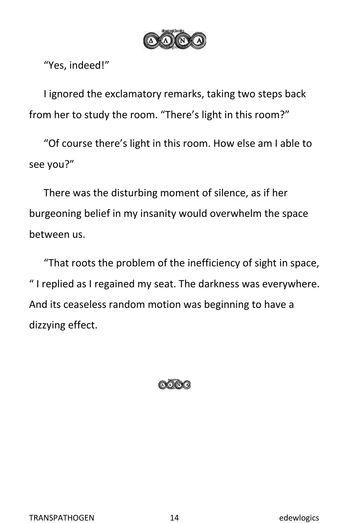

"Yes, indeed!"

I ignored the exclamatory remarks, taking two steps back from her to study the room. "There's light in this room?"

"Of course there's light in this room.How else am I able to see you?"

There was the disturbing moment of silence, as if her burgeoning belief in my insanity would overwhelm the space between us.

"That roots the problem of the inefficiency of sight in space, " I replied as I regained my seat. The darkness was everywhere. And its ceaseless random motion was beginning to have a dizzying effect.

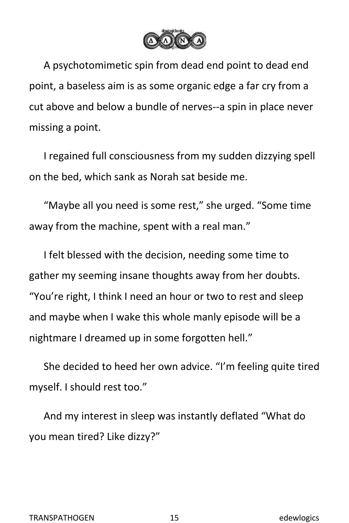

A psychotomimetic spin from dead end point to dead end point, a baseless aim is as some organic edge a far cry from a cut above and below a bundle of nerves--a spin in place never missing a point.

I regained full consciousness from my sudden dizzying spell on the bed, which sank as Norah sat beside me.

"Maybe all you need is some rest," she urged. "Some time away from the machine, spent with a real man."

I felt blessed with the decision, needing some time to gather my seeming insane thoughts away from her doubts. "You're right, I think I need an hour or two to rest and sleep and maybe when I wake this whole manly episode will be a nightmare I dreamed up in some forgotten hell."

She decided to heed her own advice. "I'm feeling quite tired myself. I should rest too."

And my interest in sleep was instantly deflated "What do you mean tired? Like dizzy?"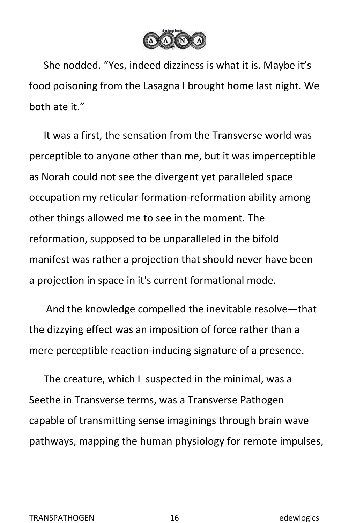

She nodded. "Yes, indeed dizziness is what it is. Maybe it's food poisoning from the Lasagna I brought home last night. We both ate it."

It was a first, the sensation from the Transverse world was perceptible to anyone other than me, but it was imperceptible as Norah could not see the divergent yet paralleled space occupation my reticular formation-reformation ability among other things allowed me to see in the moment. The reformation, supposed to be unparalleled in the bifold manifest was rather a projection that should never have been a projection in space in it's current formational mode.

And the knowledge compelled the inevitable resolve—that the dizzying effect was an imposition of force rather than a mere perceptible reaction-inducing signature of a presence.

The creature, which I suspected in the minimal, was a Seethe in Transverse terms, was a Transverse Pathogen capable of transmitting sense imaginings through brain wave pathways, mapping the human physiology for remote impulses,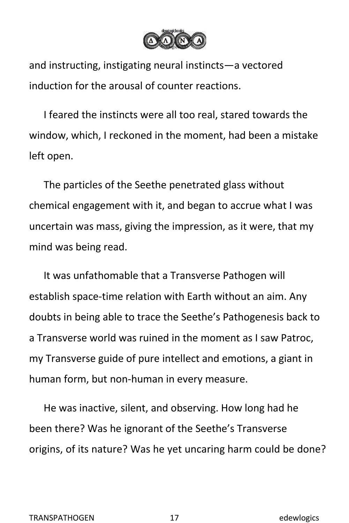

and instructing, instigating neural instincts—a vectored induction for the arousal of counter reactions.

I feared the instincts were all too real, stared towards the window, which, I reckoned in the moment, had been a mistake left open.

The particles of the Seethe penetrated glass without chemical engagement with it, and began to accrue what I was uncertain was mass, giving the impression, as it were, that my mind was being read.

It was unfathomable that a Transverse Pathogen will establish space-time relation with Earth without an aim. Any doubts in being able to trace the Seethe's Pathogenesis back to a Transverse world was ruined in the moment as Isaw Patroc, my Transverse guide of pure intellect and emotions, a giant in human form, but non-human in every measure.

He was inactive, silent, and observing. How long had he been there? Was he ignorant of the Seethe's Transverse origins, of its nature? Was he yet uncaring harm could be done?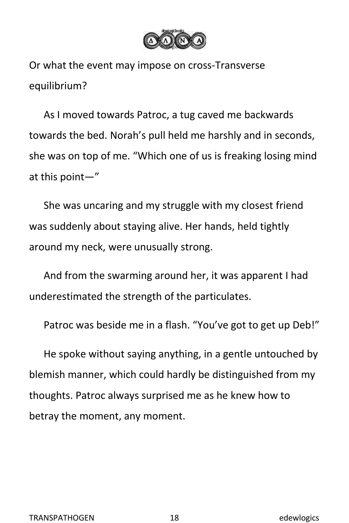

Or what the event may impose on cross-Transverse equilibrium?

As I moved towards Patroc, a tug caved me backwards towards the bed. Norah's pull held me harshly and in seconds, she was on top of me. "Which one of us is freaking losing mind at this point—"

She was uncaring and my struggle with my closest friend was suddenly about staying alive. Her hands, held tightly around my neck, were unusually strong.

And from the swarming around her, it was apparent I had underestimated the strength of the particulates.

Patroc was beside me in a flash. "You've got to get up Deb!"

He spoke without saying anything, in a gentle untouched by blemish manner, which could hardly be distinguished from my thoughts. Patroc always surprised me as he knew how to betray the moment, any moment.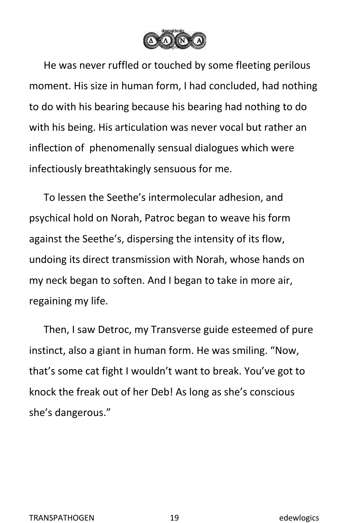

He was never ruffled or touched by some fleeting perilous moment. His size in human form, I had concluded, had nothing to do with his bearing because his bearing had nothing to do with his being. His articulation was never vocal but rather an inflection of phenomenally sensual dialogues which were infectiously breathtakingly sensuous for me.

To lessen the Seethe's intermolecular adhesion, and psychical hold on Norah, Patroc began to weave his form against the Seethe's, dispersing the intensity of its flow, undoing its direct transmission with Norah, whose hands on my neck began to soften. And I began to take in more air, regaining my life.

Then, I saw Detroc, my Transverse guide esteemed of pure instinct, also a giant in human form. He was smiling. "Now, that's some cat fight I wouldn't want to break. You've got to knock the freak out of her Deb! As long as she's conscious she's dangerous."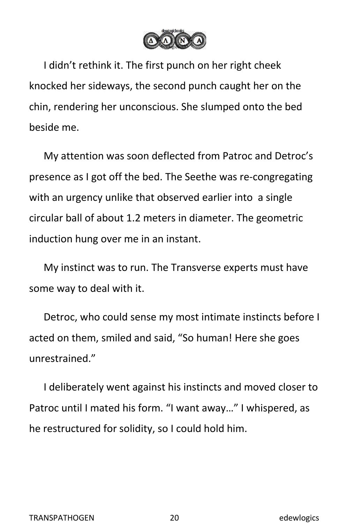

I didn't rethink it. The first punch on her right cheek knocked her sideways, the second punch caught her on the chin, rendering her unconscious. She slumped onto the bed beside me.

My attention was soon deflected from Patroc and Detroc's presence as I got off the bed. The Seethe was re-congregating with an urgency unlike that observed earlier into a single circular ball of about 1.2 meters in diameter. The geometric induction hung over me in an instant.

My instinct was to run. The Transverse experts must have some way to deal with it.

Detroc, who could sense my most intimate instincts before I acted on them, smiled and said, "So human! Here she goes unrestrained."

I deliberately went against his instincts and moved closer to Patroc until I mated his form. "I want away…" I whispered, as he restructured for solidity, so I could hold him.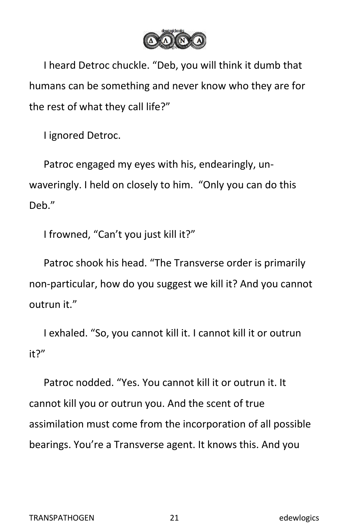

I heard Detroc chuckle. "Deb, you will think it dumb that humans can be something and never know who they are for the rest of what they call life?"

I ignored Detroc.

Patroc engaged my eyes with his, endearingly, un waveringly. I held on closely to him. "Only you can do this Deb."

I frowned, "Can't you just kill it?"

Patroc shook his head."The Transverse order is primarily non-particular, how do you suggest we kill it? And you cannot outrun it."

I exhaled. "So, you cannot kill it. I cannot kill it or outrun it?"<br>Patroc nodded. "Yes. You cannot kill it or outrun it. It

cannot kill you or outrun you. And the scent of true assimilation must come from the incorporation of all possible bearings. You're a Transverse agent. It knows this. And you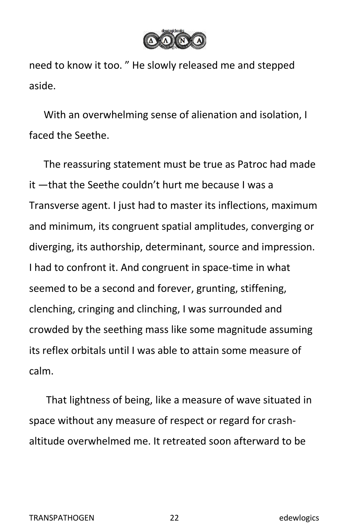

need to know it too. " He slowly released me and stepped aside.

With an overwhelming sense of alienation and isolation, I faced the Seethe.

The reassuring statement must be true as Patroc had made it —that the Seethe couldn't hurt me because I was a Transverse agent. I just had to master its inflections, maximum and minimum, its congruent spatial amplitudes, converging or diverging, its authorship, determinant, source and impression. I had to confront it. And congruent in space-time in what seemed to be a second and forever, grunting, stiffening, clenching, cringing and clinching, I was surrounded and crowded by the seething mass like some magnitude assuming its reflex orbitals until I was able to attain some measure of calm.

That lightness of being, like a measure of wave situated in space without any measure of respect or regard for crash altitude overwhelmed me. It retreated soon afterward to be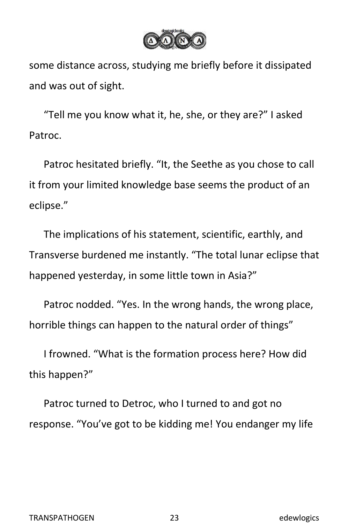

some distance across, studying me briefly before it dissipated and was out of sight.

"Tell me you know what it, he, she, or they are?" I asked Patroc.

Patroc hesitated briefly. "It, the Seethe as you chose to call it from your limited knowledge base seems the product of an eclipse."

The implications of his statement, scientific, earthly, and Transverse burdened me instantly. "The total lunar eclipse that happened yesterday, in some little town in Asia?"

Patroc nodded. "Yes. In the wrong hands, the wrong place, horrible things can happen to the natural order of things"

I frowned. "What is the formation process here? How did this happen?"

Patroc turned to Detroc, who I turned to and got no response. "You've got to be kidding me! You endanger my life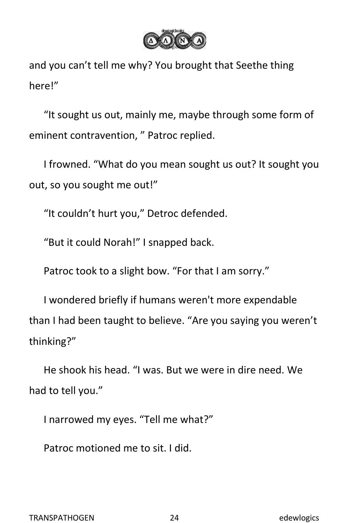

and you can't tell me why? You brought that Seethe thing here!"

"It sought us out, mainly me, maybe through some form of eminent contravention, " Patroc replied.

I frowned. "What do you mean sought us out? It sought you out, so you sought me out!"

"It couldn't hurt you," Detroc defended.

"But it could Norah!" I snapped back.

Patroc took to a slight bow. "For that I am sorry."

I wondered briefly if humans weren't more expendable than I had been taught to believe. "Are you saying you weren't thinking?"

He shook his head."I was. But we were in dire need. We had to tell you."

I narrowed my eyes. "Tell me what?"

Patroc motioned me to sit. I did.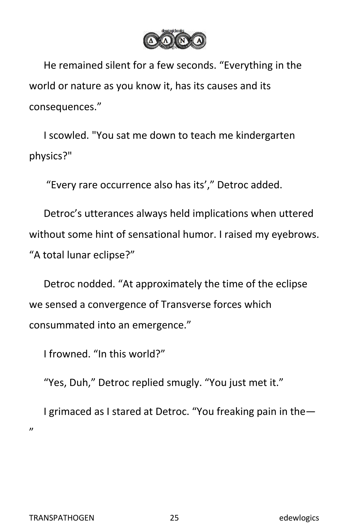

He remained silent for a few seconds. "Everything in the world or nature as you know it, has its causes and its consequences."

I scowled. "You sat me down to teach me kindergarten physics?"

"Every rare occurrence also has its'," Detroc added.

Detroc's utterances always held implications when uttered without some hint of sensational humor. I raised my eyebrows. "A total lunar eclipse?"

Detroc nodded. "At approximately the time of the eclipse we sensed a convergence of Transverse forces which consummated into an emergence."

I frowned. "In this world?"

"Yes, Duh," Detroc replied smugly. "You just met it."

I grimaced as I stared at Detroc. "You freaking pain in the— "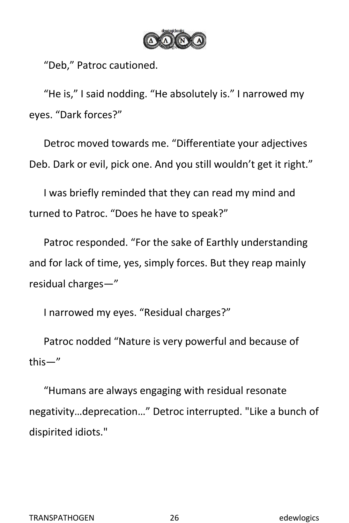

"Deb," Patroc cautioned.

"He is,"I said nodding. "He absolutely is." I narrowed my eyes. "Dark forces?"

Detroc moved towards me. "Differentiate your adjectives Deb. Dark or evil, pick one. And you still wouldn't get it right."

I was briefly reminded that they can read my mind and turned to Patroc. "Does he have to speak?"

Patroc responded. "For the sake of Earthly understanding and for lack of time, yes, simply forces. But they reap mainly residual charges—"

I narrowed my eyes. "Residual charges?"

Patroc nodded "Nature is very powerful and because of this—"

"Humans are always engaging with residual resonate negativity…deprecation…" Detroc interrupted. "Like a bunch of dispirited idiots."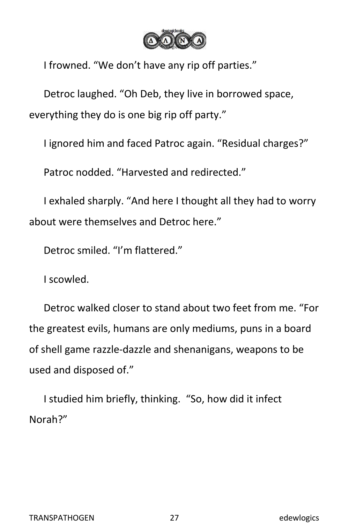

I frowned. "We don't have any rip off parties."

Detroc laughed. "Oh Deb, they live in borrowed space, everything they do is one big rip off party."

I ignored him and faced Patroc again. "Residual charges?"

Patroc nodded. "Harvested and redirected."

I exhaled sharply. "And here I thought all they had to worry about were themselves and Detroc here."

Detroc smiled. "I'm flattered."

I scowled.

Detroc walked closer to stand about two feet from me. "For the greatest evils, humans are only mediums, puns in a board of shell game razzle-dazzle and shenanigans, weapons to be used and disposed of."

I studied him briefly, thinking. "So, how did it infect Norah?"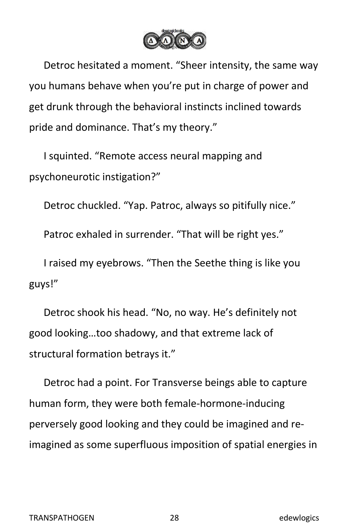

Detroc hesitated a moment. "Sheer intensity, the same way you humans behave when you're put in charge of power and get drunk through the behavioral instincts inclined towards pride and dominance. That's my theory."

I squinted. "Remote access neural mapping and psychoneurotic instigation?"

Detroc chuckled. "Yap. Patroc, always so pitifully nice."

Patroc exhaled in surrender. "That will be right yes."

I raised my eyebrows. "Then the Seethe thing is like you guys!"

Detroc shook his head."No, no way. He's definitely not good looking…too shadowy, and that extreme lack of structural formation betrays it."

Detroc had a point. For Transverse beings able to capture human form, they were both female-hormone-inducing perversely good looking and they could be imagined and reimagined as some superfluous imposition of spatial energies in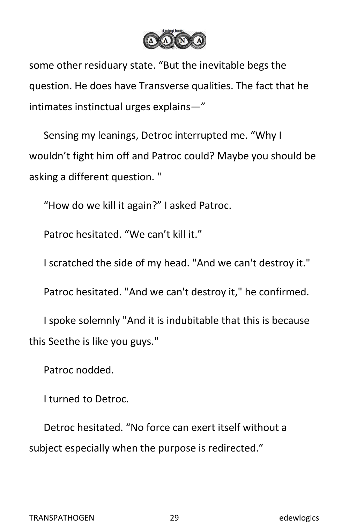

some other residuary state. "But the inevitable begs the question. He does have Transverse qualities. The fact that he intimates instinctual urges explains—"

Sensing my leanings, Detroc interrupted me. "Why I wouldn't fight him off and Patroc could? Maybe you should be asking a different question. "

"How do we kill it again?" I asked Patroc.

Patroc hesitated. "We can't kill it."

I scratched the side of my head. "And we can't destroy it."

Patroc hesitated. "And we can't destroy it," he confirmed.

I spoke solemnly "And it is indubitable that this is because this Seethe is like you guys."

Patroc nodded.

I turned to Detroc.

Detroc hesitated. "No force can exert itself without a subject especially when the purpose is redirected."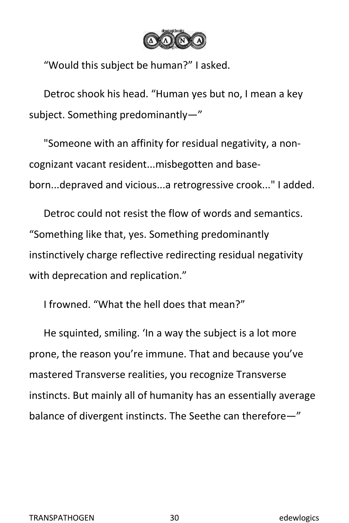

"Would this subject be human?" I asked.

Detroc shook his head."Human yes but no, Imean a key subject. Something predominantly—"

"Someone with an affinity for residual negativity, a non cognizant vacant resident...misbegotten and base-<br>born...depraved and vicious...a retrogressive crook..." I added.

Detroc could not resist the flow of words and semantics. "Something like that, yes. Something predominantly instinctively charge reflective redirecting residual negativity with deprecation and replication."

I frowned. "What the hell does that mean?"

He squinted, smiling. 'In a way the subject is a lot more prone, the reason you're immune. That and because you've mastered Transverse realities, you recognize Transverse instincts. But mainly all of humanity has an essentially average balance of divergent instincts. The Seethe can therefore—"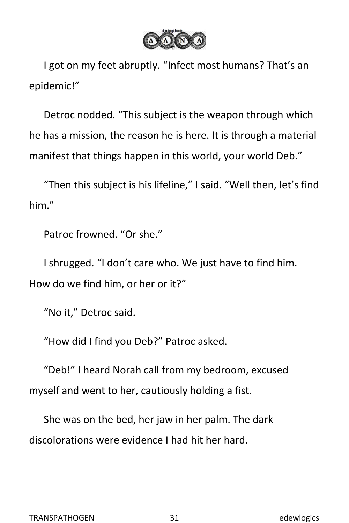

I got on my feet abruptly. "Infect most humans? That's an epidemic!"

Detroc nodded. "This subject is the weapon through which he has a mission, the reason he is here. It is through a material manifest that things happen in this world, your world Deb."

"Then this subject is his lifeline," I said. "Well then, let's find him."<br>Patroc frowned. "Or she."

I shrugged. "I don't care who. We just have to find him. How do we find him, or her or it?"

"No it," Detroc said.

"How did I find you Deb?" Patroc asked.

"Deb!" I heard Norah call from my bedroom, excused myself and went to her, cautiously holding a fist.

She was on the bed, her jaw in her palm. The dark discolorations were evidence I had hit her hard.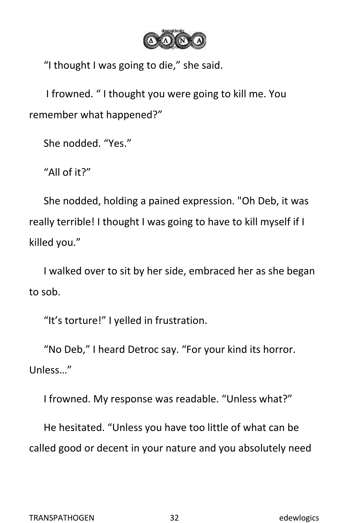

"I thought I was going to die," she said.

I frowned. " I thought you were going to kill me. You remember what happened?"

She nodded. "Yes."

"All of it?"

She nodded, holding a pained expression. "Oh Deb, it was really terrible! I thought I was going to have to kill myself if I killed you."

I walked over to sit by her side, embraced her as she began to sob.

"It's torture!" I yelled in frustration.

"No Deb," I heard Detroc say. "For your kind its horror. Unless…"

I frowned. My response was readable. "Unless what?"

He hesitated. "Unless you have too little of what can be called good or decent in your nature and you absolutely need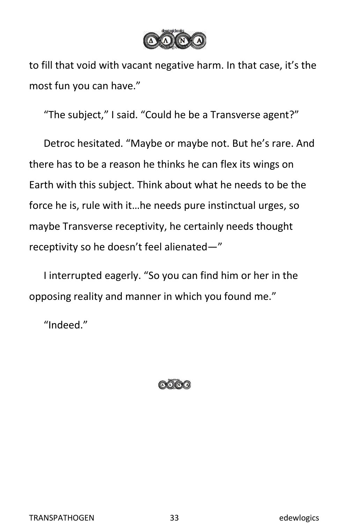

to fill that void with vacant negative harm. In that case, it's the most fun you can have."

"The subject," I said. "Could he be a Transverse agent?"

Detroc hesitated. "Maybe or maybe not. But he's rare. And there has to be a reason he thinks he can flex its wings on Earth with this subject. Think about what he needs to be the force he is, rule with it…he needs pure instinctual urges, so maybe Transverse receptivity, he certainly needs thought receptivity so he doesn't feel alienated—"

I interrupted eagerly. "So you can find him or her in the opposing reality and manner in which you found me."

"Indeed."

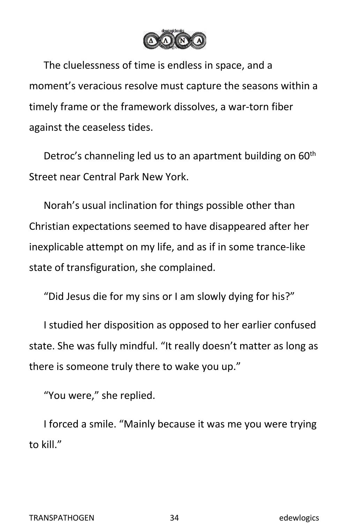

The cluelessness of time is endless in space, and a moment's veracious resolve must capture the seasons within a timely frame or the framework dissolves, a war-torn fiber against the ceaseless tides.

Detroc's channeling led us to an apartment building on 60<sup>th</sup> th Street near Central Park New York.

Norah's usual inclination for things possible other than Christian expectations seemed to have disappeared after her inexplicable attempt on my life, and as if in some trance-like state of transfiguration, she complained.

"Did Jesus die for my sins or I am slowly dying for his?"

I studied her disposition as opposed to her earlier confused state. She was fully mindful. "It really doesn't matter as long as there is someone truly there to wake you up."

"You were," she replied.

I forced a smile. "Mainly because it was me you were trying to kill."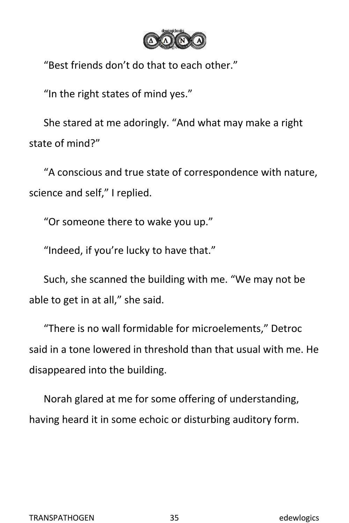

"Best friends don't do that to each other."

"In the right states of mind yes."

She stared at me adoringly. "And what may make a right state of mind?"

"A conscious and true state of correspondence with nature, science and self," I replied.

"Or someone there to wake you up."

"Indeed, if you're lucky to have that."

Such, she scanned the building with me. "We may not be able to get in at all," she said.

"There is no wall formidable for microelements," Detroc said in a tone lowered in threshold than that usual with me. He disappeared into the building.

Norah glared at me for some offering of understanding, having heard it in some echoic or disturbing auditory form.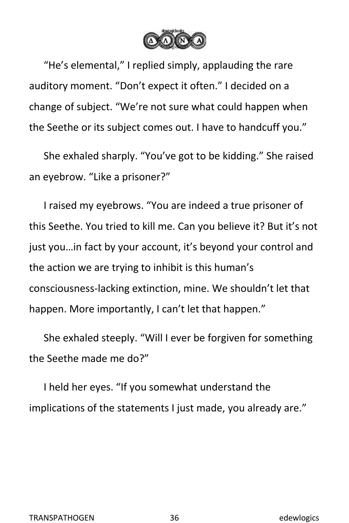

"He's elemental," I replied simply, applauding the rare auditory moment. "Don't expect it often." I decided on a change of subject. "We're not sure what could happen when the Seethe or its subject comes out. I have to handcuff you."

She exhaled sharply. "You've got to be kidding." She raised an eyebrow. "Like a prisoner?"

I raised my eyebrows. "You are indeed a true prisoner of this Seethe. You tried to kill me. Can you believe it? But it's not just you…in fact by your account, it's beyond your control and the action we are trying to inhibit is this human's consciousness-lacking extinction, mine. We shouldn't let that happen. More importantly, I can't let that happen."

She exhaled steeply. "Will I ever be forgiven for something the Seethe made me do?"

I held her eyes. "If you somewhat understand the implications of the statements I just made, you already are."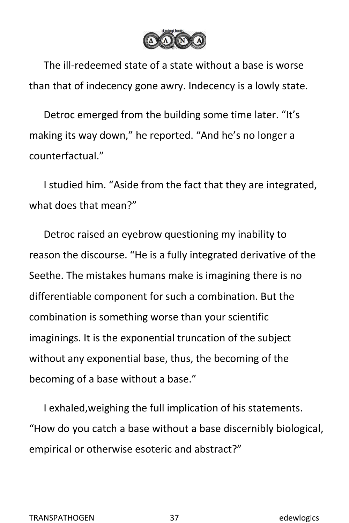

The ill-redeemed state of a state without a base is worse than that of indecency gone awry. Indecency is a lowly state.

Detroc emerged from the building some time later. "It's making its way down," he reported. "And he's no longer a counterfactual."

<sup>I</sup> studied him. "Aside from the fact that they are integrated,what does that mean?"

Detroc raised an eyebrow questioning my inability to reason the discourse. "He is a fully integrated derivative of the Seethe. The mistakes humans make is imagining there is no differentiable component for such a combination. But the combination is something worse than your scientific imaginings. It is the exponential truncation of the subject without any exponential base, thus, the becoming of the becoming of a base without a base."

I exhaled,weighing the full implication of his statements. "How do you catch a base without a base discernibly biological, empirical or otherwise esoteric and abstract?"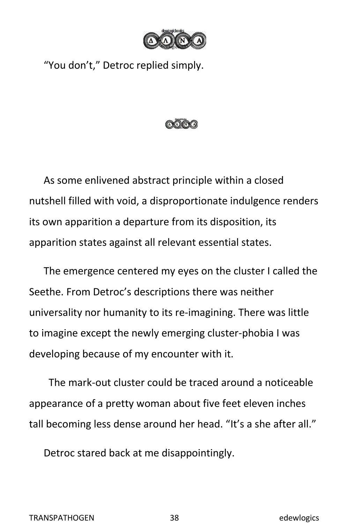

"You don't," Detroc replied simply.



As some enlivened abstract principle within a closed nutshell filled with void, a disproportionate indulgence renders its own apparition a departure from its disposition, its apparition states against all relevant essential states.

The emergence centered my eyes on the cluster I called the Seethe. From Detroc's descriptions there was neither universality nor humanity to its re-imagining. There was little to imagine except the newly emerging cluster-phobia I was developing because of my encounter with it.

The mark-out cluster could be traced around a noticeable appearance of a pretty woman about five feet eleven inches tall becoming less dense around her head. "It's a she after all."

Detroc stared back at me disappointingly.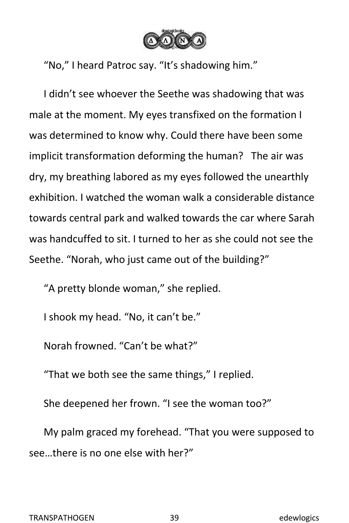

"No," I heard Patroc say. "It's shadowing him."

I didn't see whoever the Seethe was shadowing that was male at the moment. My eyes transfixed on the formation I was determined to know why. Could there have been some implicit transformation deforming the human? The air was dry, my breathing labored as my eyes followed the unearthly exhibition. I watched the woman walk a considerable distance towards central park and walked towards the car where Sarah was handcuffed to sit. I turned to her as she could not see the Seethe. "Norah, who just came out of the building?"

"A pretty blonde woman," she replied.

I shook my head. "No, it can't be."

Norah frowned. "Can't be what?"

"That we both see the same things," I replied.

She deepened her frown. "I see the woman too?"

My palm graced my forehead. "That you were supposed to see…there is no one else with her?"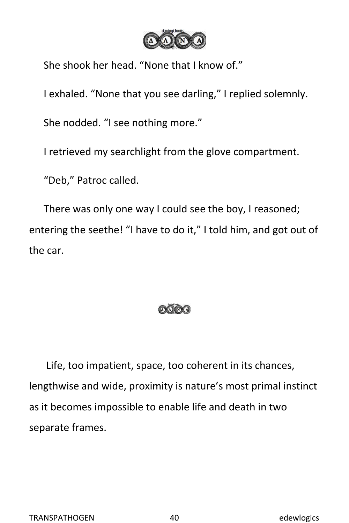

She shook her head. "None that I know of."

I exhaled. "None that you see darling," I replied solemnly.

She nodded. "I see nothing more."

I retrieved my searchlight from the glove compartment.

"Deb," Patroc called.

There was only one way I could see the boy, I reasoned; entering the seethe! "I have to do it," I told him, and got out of the car.



Life, too impatient, space, too coherent in its chances, lengthwise and wide, proximity is nature's most primal instinct as it becomes impossible to enable life and death in two separate frames.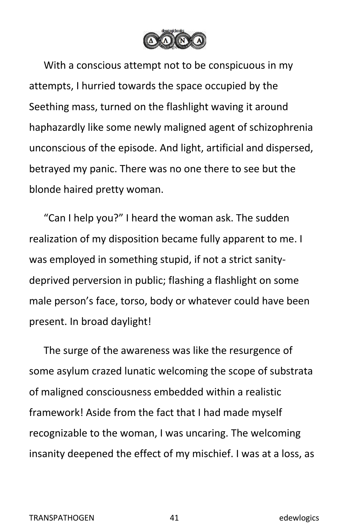

With a conscious attempt not to be conspicuous in my attempts, I hurried towards the space occupied by the Seething mass, turned on the flashlight waving it around haphazardly like some newly maligned agent of schizophrenia unconscious of the episode. And light, artificial and dispersed, betrayed my panic. There was no one there to see but the blonde haired pretty woman.

"Can I help you?" I heard the woman ask. The sudden realization of my disposition became fully apparent to me. I was employed in something stupid, if not a strict sanity deprived perversion in public; flashing a flashlight on some male person's face, torso, body or whatever could have been present. In broad daylight!

The surge of the awareness was like the resurgence of some asylum crazed lunatic welcoming the scope of substrata of maligned consciousness embedded within a realistic framework! Aside from the fact that I had made myself recognizable to the woman, I was uncaring. The welcoming insanity deepened the effect of my mischief. I was at a loss, as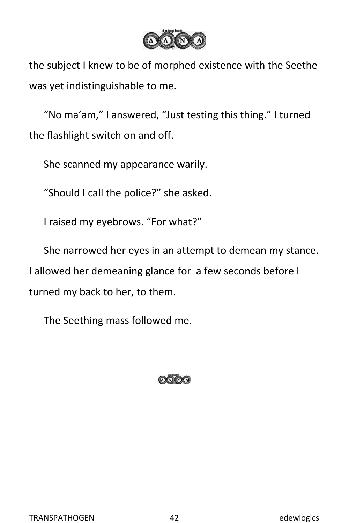

the subject I knew to be of morphed existence with the Seethe was yet indistinguishable to me.

"No ma'am," I answered, "Just testing this thing." I turned the flashlight switch on and off.

She scanned my appearance warily.

"Should I call the police?" she asked.

I raised my eyebrows. "For what?"

She narrowed her eyes in an attempt to demean my stance. I allowed her demeaning glance for a few seconds before I turned my back to her, to them.

The Seething mass followed me.

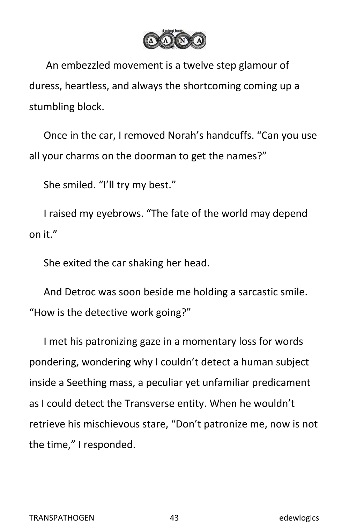

An embezzled movement is a twelve step glamour of duress, heartless, and always the shortcoming coming up a stumbling block.

Once in the car, I removed Norah's handcuffs. "Can you use all your charms on the doorman to get the names?"

She smiled. "I'll try my best."

I raised my eyebrows. "The fate of the world may depend on it."

She exited the car shaking her head.

And Detroc was soon beside me holding a sarcastic smile. "How is the detective work going?"

I met his patronizing gaze in a momentary loss for words pondering, wondering why I couldn't detect a human subject inside a Seething mass, a peculiar yet unfamiliar predicament as I could detect the Transverse entity. When he wouldn't retrieve his mischievous stare, "Don't patronize me, now is not the time," I responded.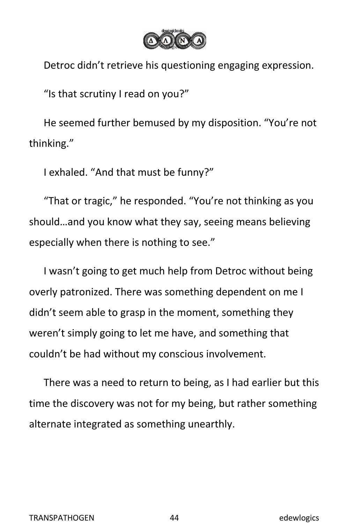

Detroc didn't retrieve his questioning engaging expression.

"Is that scrutiny I read on you?"

He seemed further bemused by my disposition. "You're not thinking."

I exhaled. "And that must be funny?"

"That or tragic," he responded. "You're not thinking as you should…and you know what they say, seeing means believing especially when there is nothing to see."

I wasn't going to get much help from Detroc without being overly patronized. There was something dependent on me I didn't seem able to grasp in the moment, something they weren't simply going to let me have, and something that couldn't be had without my conscious involvement.

There was a need to return to being, as I had earlier but this time the discovery was not for my being, but rather something alternate integrated as something unearthly.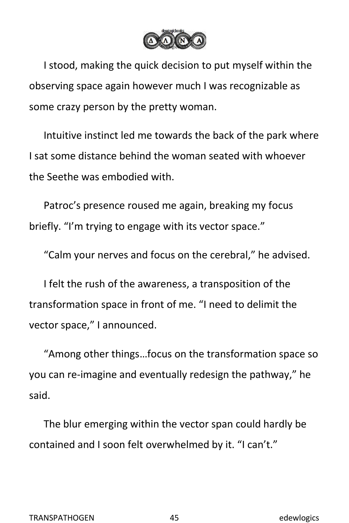

I stood, making the quick decision to put myself within the observing space again however much I was recognizable as some crazy person by the pretty woman.

Intuitive instinct led me towards the back of the park where I sat some distance behind the woman seated with whoever the Seethe was embodied with.

Patroc's presence roused me again, breaking my focus briefly. "I'm trying to engage with its vector space."

"Calm your nerves and focus on the cerebral," he advised.

I felt the rush of the awareness, a transposition of the transformation space in front of me. "I need to delimit the vector space," I announced.

"Among other things…focus on the transformation space so you can re-imagine and eventually redesign the pathway," he said.<br>The blur emerging within the vector span could hardly be

contained and I soon felt overwhelmed by it. "I can't."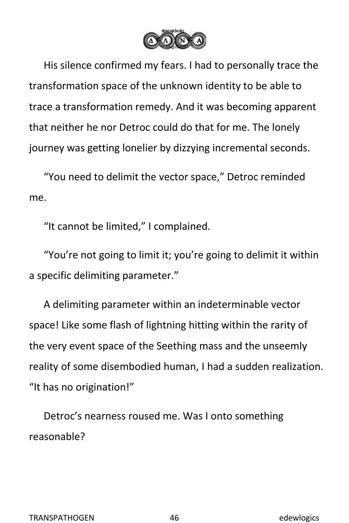

His silence confirmed my fears. I had to personally trace the transformation space of the unknown identity to be able to trace a transformation remedy. And it was becoming apparent that neither he nor Detroc could do that for me. The lonely journey was getting lonelier by dizzying incremental seconds.

"You need to delimit the vector space," Detroc reminded me.<br>"It cannot be limited," I complained.

"You're not going to limit it; you're going to delimit it within a specific delimiting parameter."

A delimiting parameter within an indeterminable vector space! Like some flash of lightning hitting within the rarity of the very event space of the Seething mass and the unseemly reality of some disembodied human, I had a sudden realization. "It has no origination!"

Detroc's nearness roused me. Was I onto something reasonable?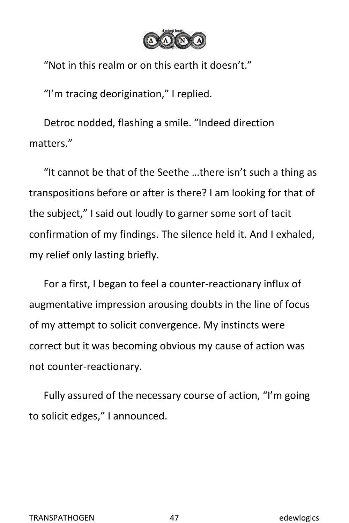

"Not in this realm or on this earth it doesn't."

"I'm tracing deorigination," I replied.

Detroc nodded, flashing a smile. "Indeed direction matters."

"It cannot be that of the Seethe …there isn't such a thing as transpositions before or after is there? I am looking for that of the subject," I said out loudly to garner some sort of tacit confirmation of my findings. The silence held it. And I exhaled, my relief only lasting briefly.

For a first, I began to feel a counter-reactionary influx of augmentative impression arousing doubts in the line of focus of my attempt to solicit convergence. My instincts were correct but it was becoming obvious my cause of action was not counter-reactionary.

Fully assured of the necessary course of action, "I'm going to solicit edges," I announced.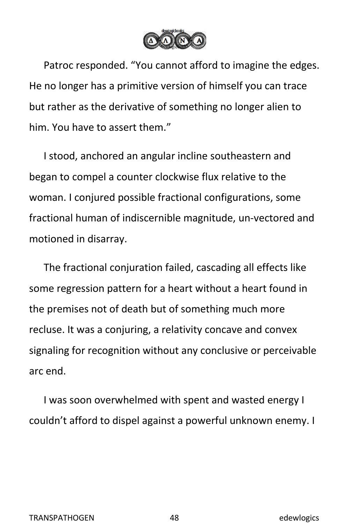

Patroc responded. "You cannot afford to imagine the edges. He no longer has a primitive version of himself you can trace but rather as the derivative of something no longer alien to him. You have to assert them."

I stood, anchored an angular incline southeastern and began to compel a counter clockwise flux relative to the woman. I conjured possible fractional configurations, some fractional human of indiscernible magnitude, un-vectored and motioned in disarray.

The fractional conjuration failed, cascading all effects like some regression pattern for a heart without a heart found in the premises not of death but of something much more recluse. It was a conjuring, a relativity concave and convex signaling for recognition without any conclusive or perceivable arc end.

I was soon overwhelmed with spent and wasted energy I couldn't afford to dispel against a powerful unknown enemy. I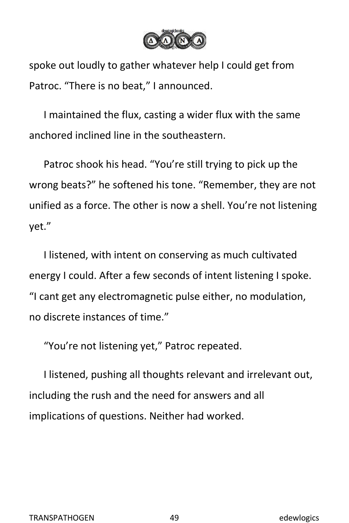

spoke out loudly to gather whatever help I could get from Patroc. "There is no beat," I announced.

I maintained the flux, casting a wider flux with the same anchored inclined line in the southeastern.

Patroc shook his head."You're still trying to pick up the wrong beats?" he softened his tone. "Remember, they are not unified as a force. The other is now a shell. You're not listening yet."

I listened, with intent on conserving as much cultivated energy I could. After a few seconds of intent listening I spoke. "I cant get any electromagnetic pulse either, no modulation, no discrete instances of time."

"You're not listening yet," Patroc repeated.

I listened, pushing all thoughts relevant and irrelevant out, including the rush and the need for answers and all implications of questions. Neither had worked.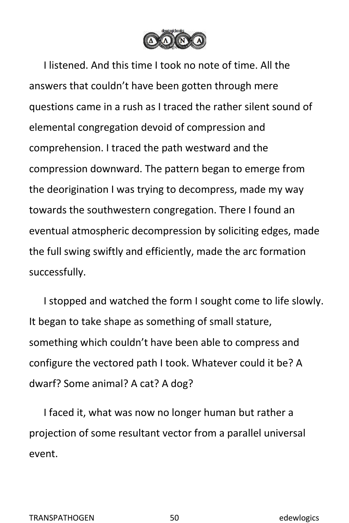

I listened. And this time I took no note of time. All the answers that couldn't have been gotten through mere questions came in a rush as I traced the rather silent sound of elemental congregation devoid of compression and comprehension. I traced the path westward and the compression downward. The pattern began to emerge from the deorigination I was trying to decompress, made my way towards the southwestern congregation. There I found an eventual atmospheric decompression by soliciting edges, made the full swing swiftly and efficiently, made the arc formation successfully.

I stopped and watched the form I sought come to life slowly. It began to take shape as something of small stature, something which couldn't have been able to compress and configure the vectored path I took. Whatever could it be? A dwarf? Some animal? A cat? A dog?

I faced it, what was now no longer human but rather a projection of some resultant vector from a parallel universal event.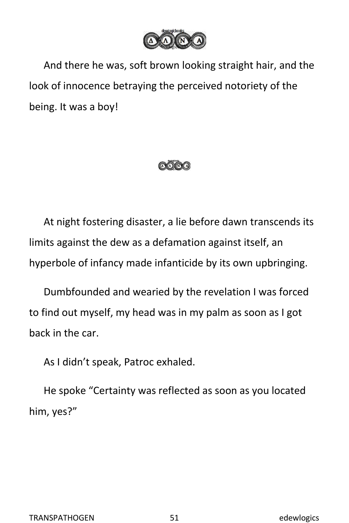

And there he was, soft brown looking straight hair, and the look of innocence betraying the perceived notoriety of the being. It was a boy!



At night fostering disaster, a lie before dawn transcends its limits against the dew as a defamation against itself, an hyperbole of infancy made infanticide by its own upbringing.

Dumbfounded and wearied by the revelation I was forced to find out myself, my head was in my palm as soon as I got back in the car.

As I didn't speak, Patroc exhaled.

He spoke "Certainty was reflected as soon as you located him, yes?"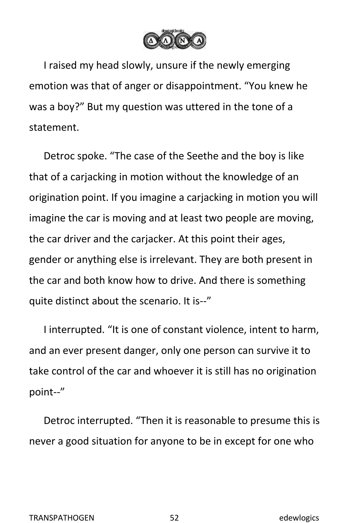

I raised my head slowly, unsure if the newly emerging emotion was that of anger or disappointment. "You knew he was a boy?" But my question was uttered in the tone of a statement.

Detroc spoke. "The case of the Seethe and the boy is like that of a carjacking in motion without the knowledge of an origination point. If you imagine a carjacking in motion you will imagine the car is moving and at least two people are moving, the car driver and the carjacker. At this point their ages, gender or anything else is irrelevant. They are both present in the car and both know how to drive. And there is something quite distinct about the scenario. It is--"

I interrupted. "It is one of constant violence, intent to harm, and an ever present danger, only one person can survive it to take control of the car and whoever it is still has no origination point--"

Detroc interrupted. "Then it is reasonable to presume this is never a good situation for anyone to be in except for one who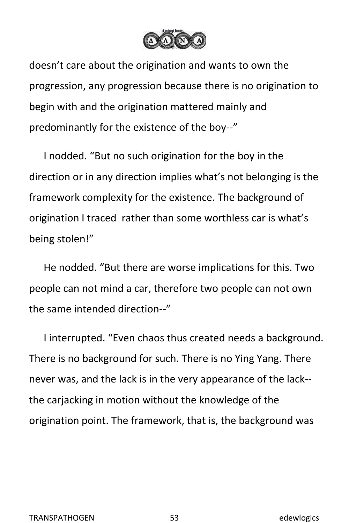

doesn't care about the origination and wants to own the progression, any progression because there is no origination to begin with and the origination mattered mainly and predominantly for the existence of the boy--"

I nodded. "But no such origination for the boy in the direction or in any direction implies what's not belonging is the framework complexity for the existence. The background of origination I traced rather than some worthless car is what's being stolen!"

He nodded. "But there are worse implications for this. Two people can not mind a car, therefore two people can not own the same intended direction--"

I interrupted. "Even chaos thus created needs a background. There is no background for such. There is no Ying Yang. There never was, and the lack is in the very appearance of the lack- the carjacking in motion without the knowledge of the origination point. The framework, that is, the background was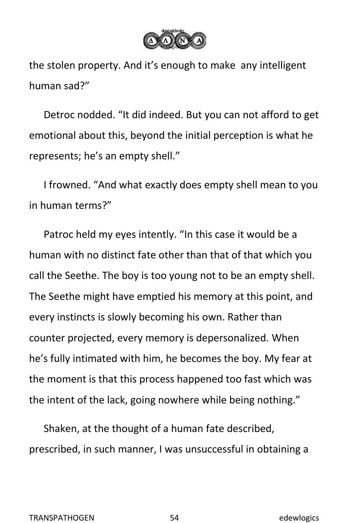

the stolen property. And it's enough to make any intelligent human sad?"

Detroc nodded. "It did indeed. But you can not afford to get emotional about this, beyond the initial perception is what he represents; he's an empty shell."

I frowned. "And what exactly does empty shell mean to you in human terms?"

Patroc held my eyes intently. "In this case it would be a human with no distinct fate other than that of that which you call the Seethe. The boy is too young not to be an empty shell.<br>The Seethe might have emptied his memory at this point, and every instincts is slowly becoming his own. Rather than counter projected, every memory is depersonalized. When he's fully intimated with him, he becomes the boy. My fear at the moment is that this process happened too fast which was the intent of the lack, going nowhere while being nothing."

Shaken, at the thought of a human fate described, prescribed, in such manner, I was unsuccessful in obtaining a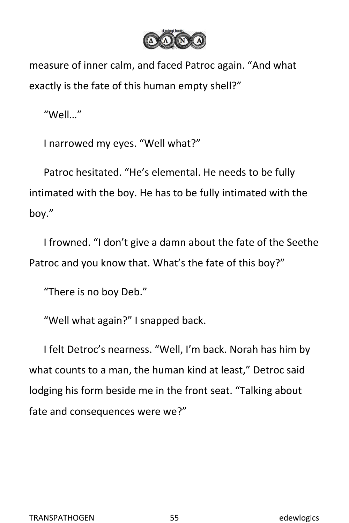

measure of inner calm, and faced Patroc again. "And what exactly is the fate of this human empty shell?"

"Well…"

I narrowed my eyes. "Well what?"

Patroc hesitated. "He's elemental. He needs to be fully intimated with the boy. He has to be fully intimated with the boy."

I frowned. "I don't give a damn about the fate of the Seethe Patroc and you know that. What's the fate of this boy?"

"There is no boy Deb."

"Well what again?" I snapped back.

I felt Detroc's nearness. "Well, I'm back. Norah has him by what counts to a man, the human kind at least," Detroc said lodging his form beside me in the front seat. "Talking about fate and consequences were we?"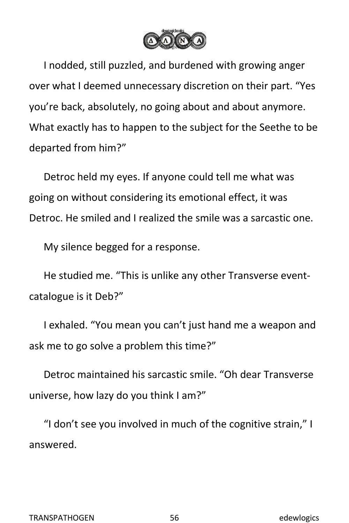

I nodded, still puzzled, and burdened with growing anger over what I deemed unnecessary discretion on their part. "Yes you're back, absolutely, no going about and about anymore. What exactly has to happen to the subject for the Seethe to be departed from him?"

Detroc held my eyes. If anyone could tell me what was going on without considering its emotional effect, it was Detroc. He smiled and I realized the smile was a sarcastic one.

My silence begged for a response.

He studied me. "This is unlike any other Transverse event catalogue is it Deb?"

I exhaled. "You mean you can't just hand me a weapon and ask me to go solve a problem this time?"

Detroc maintained his sarcastic smile. "Oh dear Transverse universe, how lazy do you think I am?"

"I don't see you involved in much of the cognitive strain," I answered.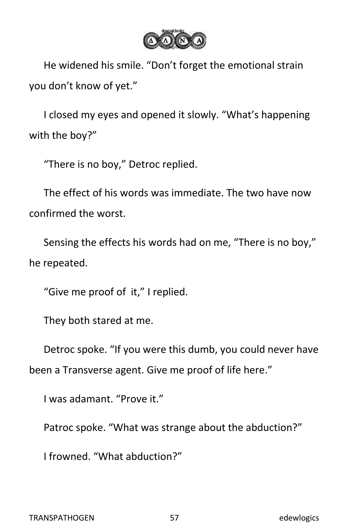

He widened his smile. "Don't forget the emotional strain you don't know of yet."

I closed my eyes and opened it slowly. "What's happening with the boy?"

"There is no boy," Detroc replied.

The effect of his words was immediate. The two have now confirmed the worst.

Sensing the effects his words had on me, "There is no boy," he repeated.

"Give me proof of it," I replied.

They both stared at me.

Detroc spoke. "If you were this dumb, you could never have been a Transverse agent. Give me proof of life here."

I was adamant. "Prove it."

Patroc spoke. "What was strange about the abduction?"

I frowned. "What abduction?"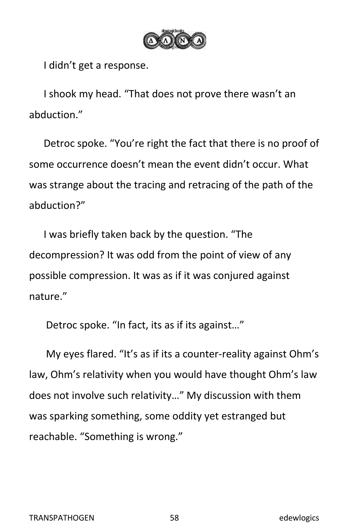

I didn't get a response.

I shook my head. "That does not prove there wasn't an abduction."

Detroc spoke. "You're right the fact that there is no proof of some occurrence doesn't mean the event didn't occur. What was strange about the tracing and retracing of the path of the abduction?"

I was briefly taken back by the question. "The decompression? It was odd from the point of view of any possible compression. It was as if it was conjured against nature."

Detroc spoke. "In fact, its as if its against…"

My eyes flared. "It's as if its a counter-reality against Ohm's law, Ohm's relativity when you would have thought Ohm's law does not involve such relativity…" My discussion with them was sparking something, some oddity yet estranged but reachable. "Something is wrong."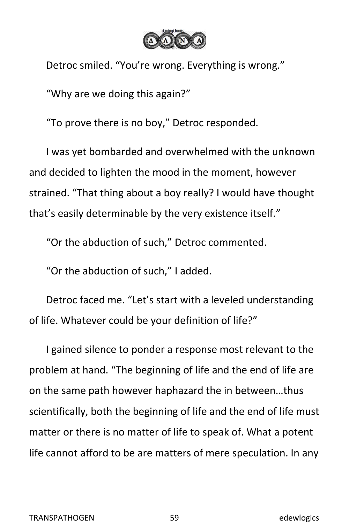

Detroc smiled. "You're wrong. Everything is wrong."

"Why are we doing this again?"

"To prove there is no boy," Detroc responded.

I was yet bombarded and overwhelmed with the unknown and decided to lighten the mood in the moment, however strained. "That thing about a boy really? I would have thought that's easily determinable by the very existence itself."

"Or the abduction of such," Detroc commented.

"Or the abduction of such," I added.

Detroc faced me. "Let's start with a leveled understanding of life. Whatever could be your definition of life?"

I gained silence to ponder a response most relevant to the problem at hand. "The beginning of life and the end of life are on the same path however haphazard the in between…thus scientifically, both the beginning of life and the end of life must matter or there is no matter of life to speak of. What a potent life cannot afford to be are matters of mere speculation. In any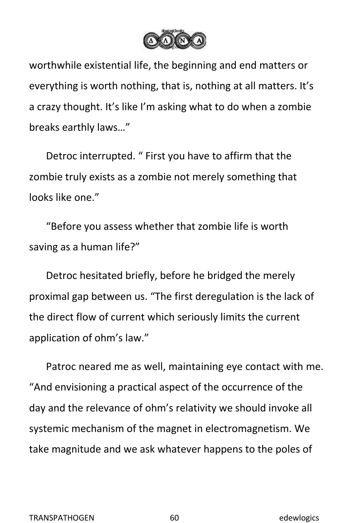

worthwhile existential life, the beginning and end matters or everything is worth nothing, that is, nothing at all matters. It's a crazy thought. It's like I'm asking what to do when a zombie breaks earthly laws…"

Detroc interrupted. " First you have to affirm that the zombie truly exists as a zombie not merely something that looks like one."

"Before you assess whether that zombie life is worth saving as a human life?"

Detroc hesitated briefly, before he bridged the merely proximal gap between us."The first deregulation is the lack of the direct flow of current which seriously limits the current application of ohm's law."

Patroc neared me as well, maintaining eye contact with me. "And envisioning a practical aspect of the occurrence of the day and the relevance of ohm's relativity we should invoke all systemic mechanism of the magnet in electromagnetism. We take magnitude and we ask whatever happens to the poles of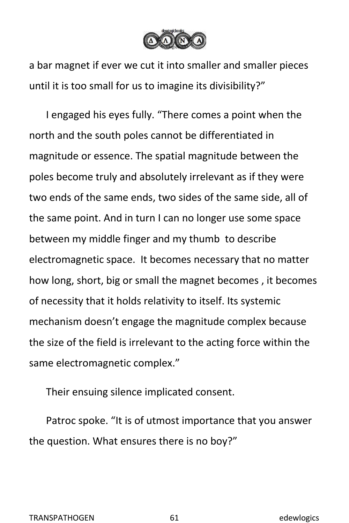

a bar magnet if ever we cut it into smaller and smaller pieces until it is too small for us to imagine its divisibility?"

I engaged his eyes fully. "There comes a point when the north and the south poles cannot be differentiated in magnitude or essence. The spatial magnitude between the poles become truly and absolutely irrelevant as if they were two ends of the same ends, two sides of the same side, all of the same point. And in turn I can no longer use some space between my middle finger and my thumb to describe electromagnetic space. It becomes necessary that no matter how long, short, big or small the magnet becomes , it becomes of necessity that it holds relativity to itself. Its systemic mechanism doesn't engage the magnitude complex because the size of the field is irrelevant to the acting force within the same electromagnetic complex."

Their ensuing silence implicated consent.

Patroc spoke. "It is of utmost importance that you answer the question. What ensures there is no boy?"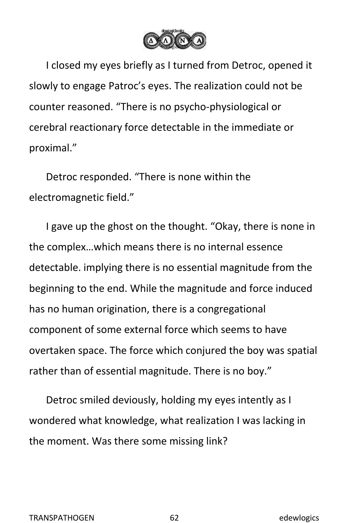

I closed my eyes briefly as I turned from Detroc, opened it slowly to engage Patroc's eyes. The realization could not be counter reasoned. "There is no psycho-physiological or cerebral reactionary force detectable in the immediate or proximal."

Detroc responded. "There is none within the electromagnetic field."

I gave up the ghost on the thought. "Okay, there is none in the complex…which means there is no internal essence detectable. implying there is no essential magnitude from the beginning to the end. While the magnitude and force induced has no human origination, there is a congregational component of some external force which seems to have overtaken space. The force which conjured the boy was spatial rather than of essential magnitude. There is no boy."

Detroc smiled deviously, holding my eyes intently as I wondered what knowledge, what realization I was lacking in the moment. Was there some missing link?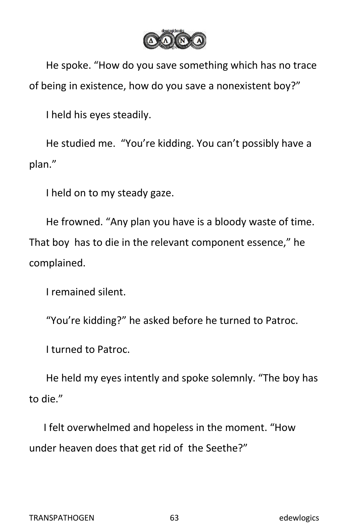

He spoke. "How do you save something which has no trace of being in existence, how do you save a nonexistent boy?"

I held his eyes steadily.

He studied me. "You're kidding. You can't possibly have a plan."

I held on to my steady gaze.

He frowned. "Any plan you have is a bloody waste of time. That boy has to die in the relevant component essence," he complained.

I remained silent.

"You're kidding?" he asked before he turned to Patroc.

I turned to Patroc.

He held my eyes intently and spoke solemnly. "The boy has to die."

I felt overwhelmed and hopeless in the moment. "How under heaven does that get rid of the Seethe?"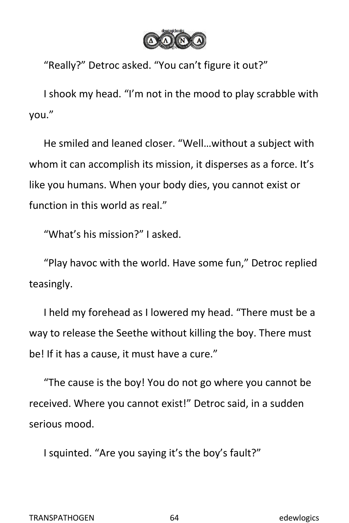

"Really?" Detroc asked. "You can't figure it out?"

I shook my head. "I'm not in the mood to play scrabble with you."<br>He smiled and leaned closer. "Well...without a subject with

whom it can accomplish its mission, it disperses as a force. It's like you humans. When your body dies, you cannot exist or function in this world as real."

"What's his mission?" I asked.

"Play havoc with the world. Have some fun," Detroc replied teasingly.

I held my forehead as I lowered my head. "There must be a way to release the Seethe without killing the boy. There must be! If it has a cause, it must have a cure."

"The cause is the boy! You do not go where you cannot be received. Where you cannot exist!" Detroc said, in a sudden serious mood.

I squinted. "Are you saying it's the boy's fault?"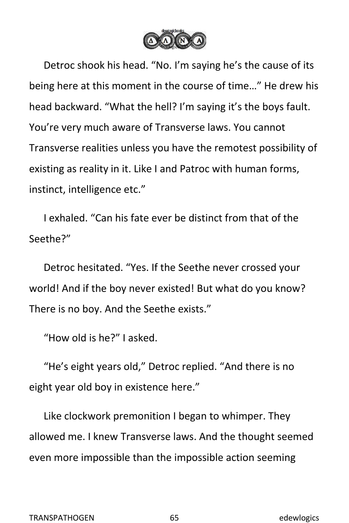

Detroc shook his head. "No. I'm saying he's the cause of its being here at this moment in the course of time…" He drew his head backward. "What the hell? I'm saying it's the boys fault. You're very much aware of Transverse laws. You cannot Transverse realities unless you have the remotest possibility of existing as reality in it. Like I and Patroc with human forms, instinct, intelligence etc."

I exhaled. "Can his fate ever be distinct from that of the Seethe?"

Detroc hesitated. "Yes. If the Seethe never crossed your world! And if the boy never existed! But what do you know? There is no boy. And the Seethe exists."

"How old is he?" I asked.

"He's eight years old," Detroc replied. "And there is no eight year old boy in existence here."

Like clockwork premonition I began to whimper.They allowed me. I knew Transverse laws. And the thought seemed even more impossible than the impossible action seeming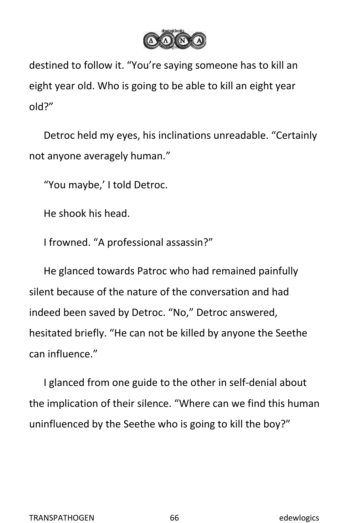

destined to follow it. "You're saying someone has to kill an eight year old. Who is going to be able to kill an eight year

old?"<br>Detroc held my eyes, his inclinations unreadable. "Certainly not anyone averagely human."

"You maybe,' I told Detroc.

He shook his head.

I frowned. "A professional assassin?"

He glanced towards Patroc who had remained painfully silent because of the nature of the conversation and had indeed been saved by Detroc. "No," Detroc answered, hesitated briefly. "He can not be killed by anyone the Seethe can influence."

I glanced from one guide to the other in self-denial about the implication of their silence. "Where can we find this human uninfluenced by the Seethe who is going to kill the boy?"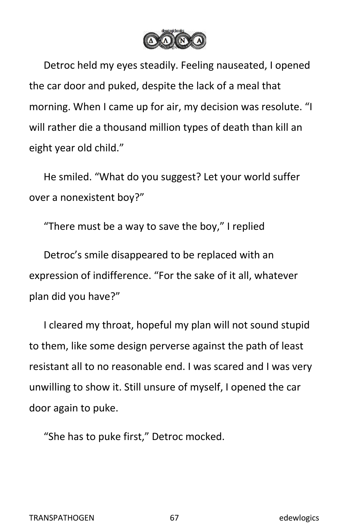

Detroc held my eyes steadily. Feeling nauseated, I opened the car door and puked, despite the lack of a meal that morning. When I came up for air, my decision was resolute. "I will rather die a thousand million types of death than kill an eight year old child."

He smiled. "What do you suggest? Let your world suffer over a nonexistent boy?"

"There must be a way to save the boy," I replied

Detroc's smile disappeared to be replaced with an expression of indifference. "For the sake of it all, whatever plan did you have?"

I cleared my throat, hopeful my plan will not sound stupid to them, like some design perverse against the path of least resistant all to no reasonable end. I was scared and I was very unwilling to show it. Still unsure of myself, Iopened the car door again to puke.

"She has to puke first," Detroc mocked.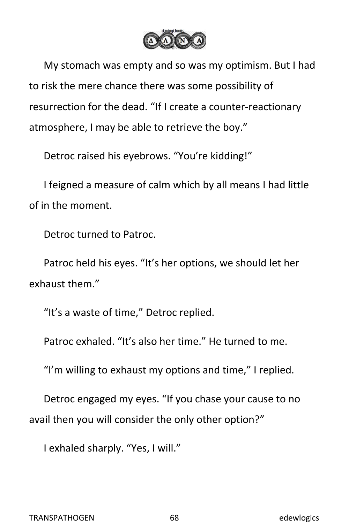

My stomach was empty and so was my optimism. But I had to risk the mere chance there was some possibility of resurrection for the dead. "If I create a counter-reactionary atmosphere, I may be able to retrieve the boy."

Detroc raised his eyebrows. "You're kidding!"

I feigned a measure of calm which by all means I had little of in the moment.

Detroc turned to Patroc.

Patroc held his eyes. "It's her options, we should let her exhaust them."

"It's a waste of time," Detroc replied.

Patroc exhaled. "It's also her time." He turned to me.

"I'm willing to exhaust my options and time," I replied.

Detroc engaged my eyes. "If you chase your cause to no avail then you will consider the only other option?"

I exhaled sharply. "Yes, I will."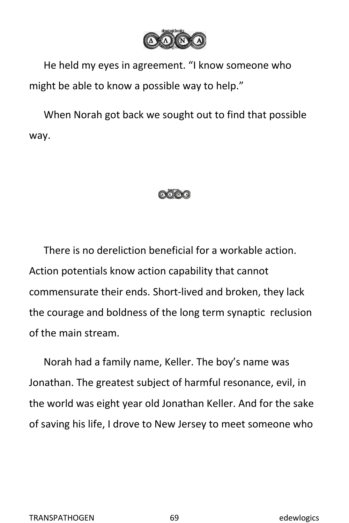

He held my eyes in agreement. "I know someone who might be able to know a possible way to help."

When Norah got back we sought out to find that possible way.



There is no dereliction beneficial for a workable action. Action potentials know action capability that cannot commensurate their ends. Short-lived and broken, they lack the courage and boldness of the long term synaptic reclusion of the main stream.

Norah had a family name, Keller. The boy's name was Jonathan. The greatest subject of harmful resonance, evil, in the world was eight year old Jonathan Keller. And for the sake of saving his life, I drove to New Jersey to meet someone who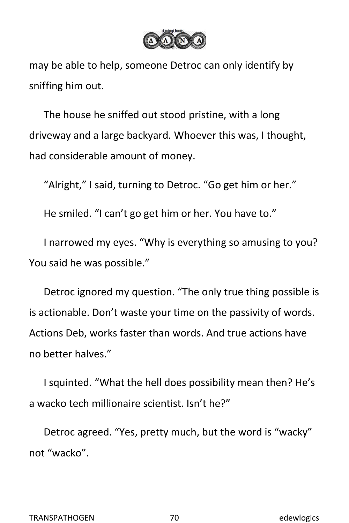

may be able to help, someone Detroc can only identify by sniffing him out.

The house he sniffed out stood pristine, with a long driveway and a large backyard. Whoever this was, I thought, had considerable amount of money.

"Alright," I said, turning to Detroc. "Go get him or her."

He smiled. "I can't go get him or her. You have to."

I narrowed my eyes. "Why is everything so amusing to you? You said he was possible."

Detroc ignored my question. "The only true thing possible is is actionable. Don't waste your time on the passivity of words. Actions Deb, works faster than words. And true actions have no better halves."

I squinted. "What the hell does possibility mean then? He's a wacko tech millionaire scientist. Isn't he?"

Detroc agreed. "Yes, pretty much, but the word is "wacky" not "wacko".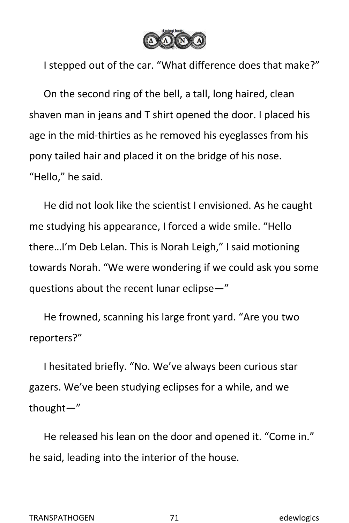

I stepped out of the car. "What difference does that make?"

On the second ring of the bell, a tall, long haired, clean shaven man in jeans and T shirt opened the door. I placed his age in the mid-thirties as he removed his eyeglasses from his pony tailed hair and placed it on the bridge of his nose. "Hello," he said.

He did not look like the scientist I envisioned. As he caught me studying his appearance, I forced a wide smile. "Hello there…I'm Deb Lelan. This is Norah Leigh," I said motioning towards Norah. "We were wondering if we could ask you some questions about the recent lunar eclipse—"

He frowned, scanning his large front yard. "Are you two reporters?"

I hesitated briefly. "No. We've always been curious star gazers. We've been studying eclipses for a while, and we thought—"

He released his lean on the door and opened it. "Come in." he said, leading into the interior of the house.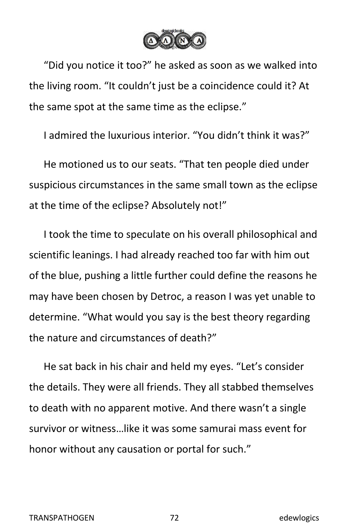

"Did you notice it too?" he asked as soon as we walked into the living room. "It couldn't just be a coincidence could it? At the same spot at the same time as the eclipse."

I admired the luxurious interior. "You didn't think it was?"

He motioned us to our seats. "That ten people died under suspicious circumstances in the same small town as the eclipse at the time of the eclipse? Absolutely not!"

I took the time to speculate on his overall philosophical and scientific leanings. I had already reached too far with him out of the blue, pushing a little further could define the reasons he may have been chosen by Detroc, a reason I was yet unable to determine. "What would you say is the best theory regarding the nature and circumstances of death?"

He sat back in his chair and held my eyes. "Let's consider the details. They were all friends. They all stabbed themselves to death with no apparent motive. And there wasn't a single survivor or witness…like it was some samurai mass event for honor without any causation or portal for such."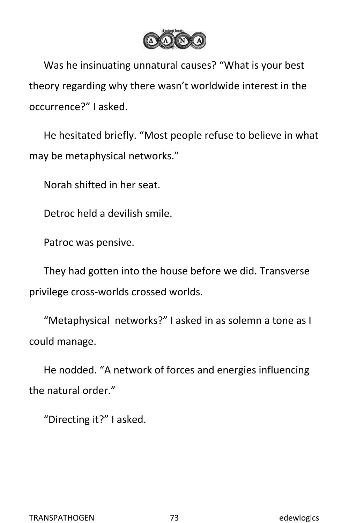

Was he insinuating unnatural causes? "What is your best theory regarding why there wasn't worldwide interest in the occurrence?" I asked.

He hesitated briefly. "Most people refuse to believe in what may be metaphysical networks."

Norah shifted in her seat.

Detroc held a devilish smile.

Patroc was pensive.

They had gotten into the house before we did. Transverse privilege cross-worlds crossed worlds.

"Metaphysical networks?" I asked in as solemn a tone as I could manage.

He nodded. "A network of forces and energies influencing the natural order."

"Directing it?" I asked.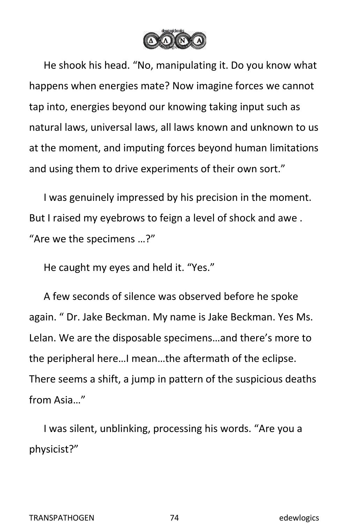

He shook his head."No, manipulating it. Do you know what happens when energies mate? Now imagine forces we cannot tap into, energies beyond our knowing taking input such as natural laws, universal laws, all laws known and unknown to us at the moment, and imputing forces beyond human limitations and using them to drive experiments of their own sort."

I was genuinely impressed by his precision in the moment. But I raised my eyebrows to feign a level of shock and awe . "Are we the specimens …?"

He caught my eyes and held it. "Yes."

A few seconds of silence was observed before he spoke again. " Dr. Jake Beckman. My name is Jake Beckman. Yes Ms. Lelan. We are the disposable specimens…and there's more to the peripheral here…I mean…the aftermath of the eclipse. There seems a shift, a jump in pattern of the suspicious deaths from Asia…"

I was silent, unblinking, processing his words. "Are you a physicist?"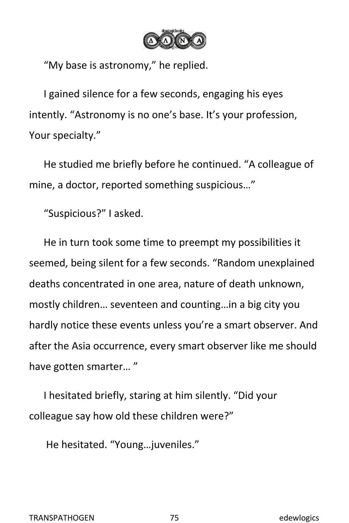

"My base is astronomy," he replied.

I gained silence for a few seconds, engaging his eyes intently. "Astronomy is no one's base. It's your profession, Your specialty."

He studied me briefly before he continued. "A colleague of mine, a doctor, reported something suspicious…"

"Suspicious?" I asked.

He in turn took some time to preempt my possibilities it seemed, being silent for a few seconds. "Random unexplained deaths concentrated in one area, nature of death unknown, mostly children… seventeen and counting…in a big city you hardly notice these events unless you're a smart observer. And after the Asia occurrence, every smart observer like me should have gotten smarter… "

I hesitated briefly, staring at him silently. "Did your colleague say how old these children were?"

He hesitated. "Young…juveniles."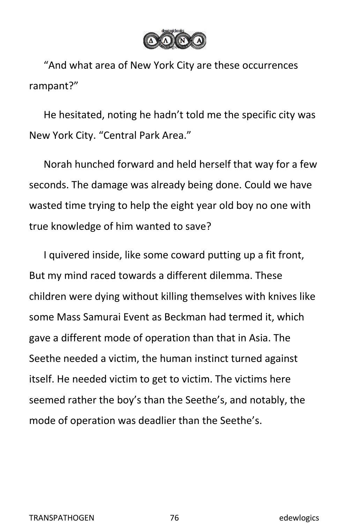

"And what area of New York City are these occurrences rampant?"

He hesitated, noting he hadn't told me the specific city was New York City. "Central Park Area."

Norah hunched forward and held herself that way for a few seconds. The damage was already being done. Could we have wasted time trying to help the eight year old boy no one with true knowledge of him wanted to save?

I quivered inside, like some coward putting up a fit front, But my mind raced towards a different dilemma. These children were dying without killing themselves with knives like some Mass Samurai Event as Beckman had termed it, which gave a different mode of operation than that in Asia. The Seethe needed a victim, the human instinct turned against itself. He needed victim to get to victim. The victims here seemed rather the boy's than the Seethe's, and notably, the mode of operation was deadlier than the Seethe's.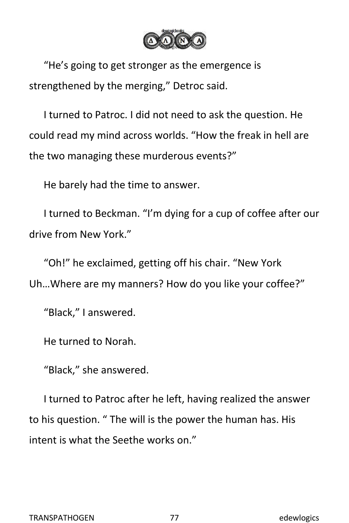

"He's going to get stronger as the emergence is strengthened by the merging," Detroc said.

I turned to Patroc. I did not need to ask the question. He could read my mind across worlds. "How the freak in hell are the two managing these murderous events?"

He barely had the time to answer.

I turned to Beckman. "I'm dying for a cup of coffee after our drive from New York."

"Oh!" he exclaimed, getting off his chair. "New York Uh…Where are my manners? How do you like your coffee?"

"Black," I answered.

He turned to Norah.

"Black," she answered.

I turned to Patroc after he left, having realized the answer to his question. " The will is the power the human has. His intent is what the Seethe works on."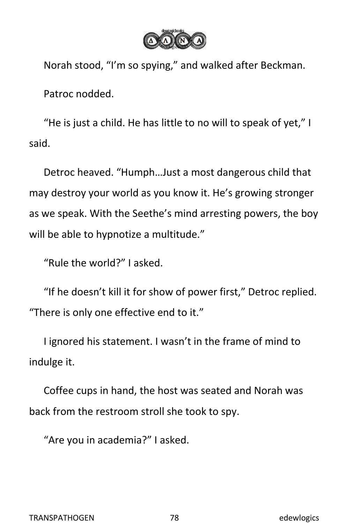

Norah stood, "I'm so spying," and walked after Beckman. Patroc nodded.

"He is just a child. He has little to no will to speak of yet," I said.<br>Detroc heaved. "Humph...Just a most dangerous child that

may destroy your world as you know it. He's growing stronger as we speak. With the Seethe's mind arresting powers, the boy will be able to hypnotize a multitude."

"Rule the world?" I asked.

"If he doesn't kill it for show of power first," Detroc replied. "There is only one effective end to it."

I ignored his statement. I wasn't in the frame of mind to indulge it.

Coffee cups in hand, the host was seated and Norah was back from the restroom stroll she took to spy.

"Are you in academia?" I asked.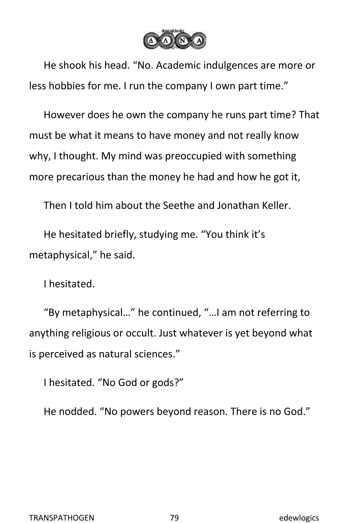

He shook his head."No. Academic indulgences are more or less hobbies for me. I run the company I own part time."

However does he own the company he runs part time? That must be what it means to have money and not really know why, I thought. My mind was preoccupied with something more precarious than the money he had and how he got it,

Then I told him about the Seethe and Jonathan Keller.

He hesitated briefly, studying me. "You think it's metaphysical," he said.

I hesitated.

"By metaphysical…" he continued, "…I am not referring to anything religious or occult. Just whatever is yet beyond what is perceived as natural sciences."

I hesitated. "No God or gods?"

He nodded. "No powers beyond reason. There is no God."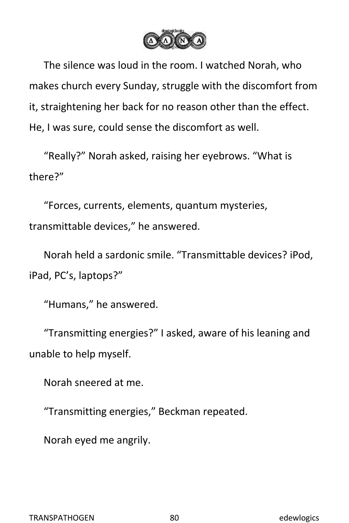

The silence was loud in the room. I watched Norah, who makes church every Sunday, struggle with the discomfort from it, straightening her back for no reason other than the effect. He, I was sure, could sense the discomfort as well.

"Really?" Norah asked, raising her eyebrows. "What is there?"

"Forces, currents, elements, quantum mysteries, transmittable devices," he answered.

Norah held a sardonic smile. "Transmittable devices? iPod, iPad, PC's, laptops?"

"Humans," he answered.

"Transmitting energies?" I asked, aware of his leaning and unable to help myself.

Norah sneered at me.

"Transmitting energies," Beckman repeated.

Norah eyed me angrily.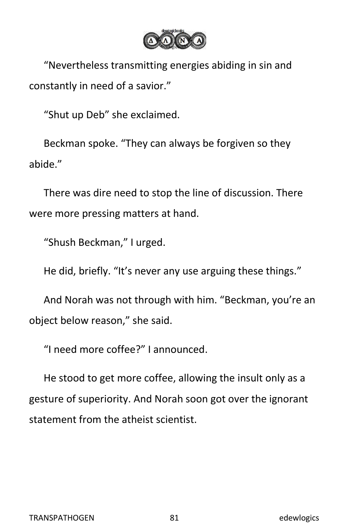

"Nevertheless transmitting energies abiding in sin and constantly in need of a savior."

"Shut up Deb" she exclaimed.

Beckman spoke. "They can always be forgiven so they abide."

There was dire need to stop the line of discussion. There were more pressing matters at hand.

"Shush Beckman," I urged.

He did, briefly. "It's never any use arguing these things."

And Norah was not through with him. "Beckman, you're an object below reason," she said.

"I need more coffee?" I announced.

He stood to get more coffee, allowing the insult only as a gesture of superiority. And Norah soon got over the ignorant statement from the atheist scientist.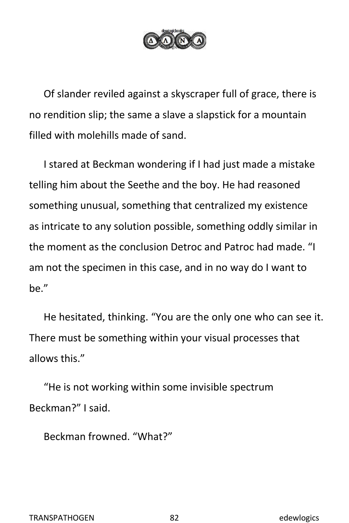

Of slander reviled against a skyscraper full of grace, there is no rendition slip; the same a slave a slapstick for a mountain filled with molehills made of sand.

I stared at Beckman wondering if I had just made a mistake telling him about the Seethe and the boy. He had reasoned something unusual, something that centralized my existence as intricate to any solution possible, something oddly similar in the moment as the conclusion Detroc and Patroc had made. "I am not the specimen in this case, and in no way do I want to be."<br>He hesitated, thinking. "You are the only one who can see it.

There must be something within your visual processes that allows this."

"He is not working within some invisible spectrum Beckman?" I said.

Beckman frowned. "What?"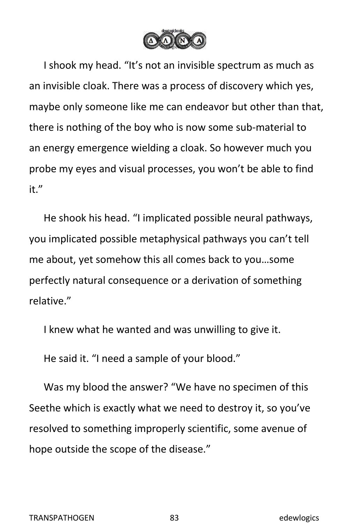

I shook my head. "It's not an invisible spectrum as much as an invisible cloak. There was a process of discovery which yes, maybe only someone like me can endeavor but other than that, there is nothing of the boy who is now some sub-material to an energy emergence wielding a cloak. So however much you probe my eyes and visual processes, you won't be able to find it."<br>He shook his head. "I implicated possible neural pathways,

you implicated possible metaphysical pathways you can't tell me about, yet somehow this all comes back to you…some perfectly natural consequence or a derivation of something relative."

I knew what he wanted and was unwilling to give it.

He said it. "I need a sample of your blood."

Was my blood the answer? "We have no specimen of this Seethe which is exactly what we need to destroy it, so you've resolved to something improperly scientific, some avenue of hope outside the scope of the disease."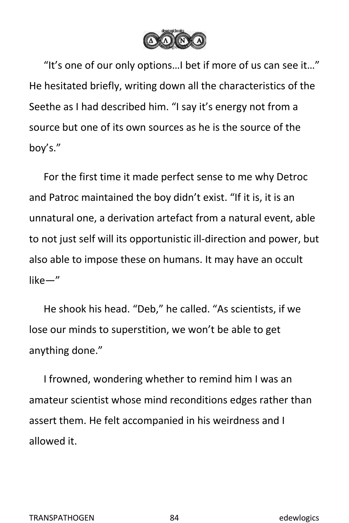

"It's one of our only options…I bet if more of us can see it…" He hesitated briefly, writing down all the characteristics of the Seethe as I had described him. "I say it's energy not from a source but one of its own sources as he is the source of the boy's."

For the first time it made perfect sense to me why Detroc and Patroc maintained the boy didn't exist. "If it is, it is an unnatural one, a derivation artefact from a natural event, able to not just self will its opportunistic ill-direction and power, but also able to impose these on humans. It may have an occult like—"

He shook his head."Deb," he called. "As scientists, if we lose our minds to superstition, we won't be able to get anything done."

I frowned, wondering whether to remind him I was an amateur scientist whose mind reconditions edges rather than assert them. He felt accompanied in his weirdness and I allowed it.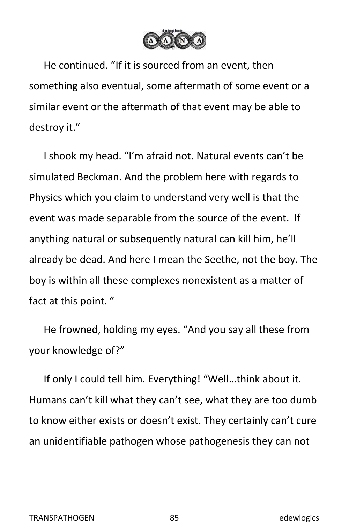

He continued. "If it is sourced from an event, then something also eventual, some aftermath of some event or a similar event or the aftermath of that event may be able to destroy it."

I shook my head. "I'm afraid not. Natural events can't be simulated Beckman. And the problem here with regards to Physics which you claim to understand very well is that the event was made separable from the source of the event. If anything natural or subsequently natural can kill him, he'll already be dead. And here I mean the Seethe, not the boy. The boy is within all these complexes nonexistent as a matter of fact at this point."

He frowned, holding my eyes. "And you say all these from your knowledge of?"

If only I could tell him. Everything! "Well…think about it. Humans can't kill what they can't see, what they are too dumb to know either exists or doesn't exist. They certainly can't cure an unidentifiable pathogen whose pathogenesis they can not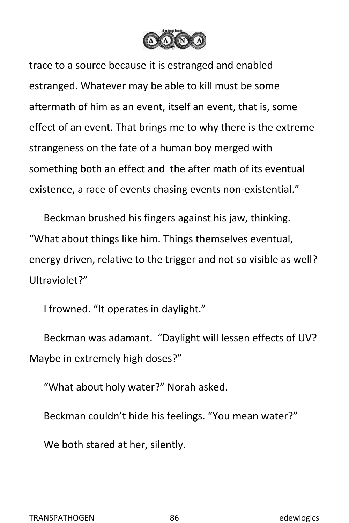

trace to a source because it is estranged and enabled estranged. Whatever may be able to kill must be some aftermath of him as an event, itself an event, that is, some effect of an event. That brings me to why there is the extreme strangeness on the fate of a human boy merged with something both an effect and the after math of its eventual existence, a race of events chasing events non-existential."

Beckman brushed his fingers against his jaw, thinking. "What about things like him. Things themselves eventual, energy driven, relative to the trigger and not so visible as well? Ultraviolet?"

I frowned. "It operates in daylight."

Beckman was adamant. "Daylight will lessen effects of UV? Maybe in extremely high doses?"

"What about holy water?" Norah asked.

Beckman couldn't hide his feelings. "You mean water?"

We both stared at her, silently.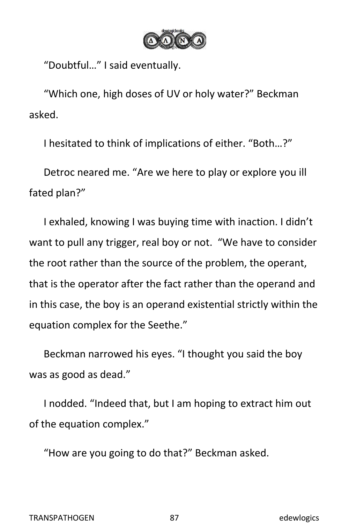

"Doubtful…" I said eventually.

"Which one, high doses of UV or holy water?" Beckman asked.

I hesitated to think of implications of either. "Both…?"

Detroc neared me. "Are we here to play or explore you ill fated plan?"

I exhaled, knowing I was buying time with inaction. I didn't want to pull any trigger, real boy or not. "We have to consider the root rather than the source of the problem, the operant, that is the operator after the fact rather than the operand and in this case, the boy is an operand existential strictly within the equation complex for the Seethe."

Beckman narrowed his eyes. "I thought you said the boy was as good as dead."

I nodded. "Indeed that, but I am hoping to extract him out of the equation complex."

"How are you going to do that?" Beckman asked.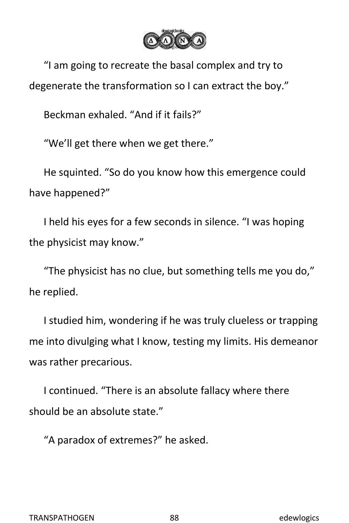

"I am going to recreate the basal complex and try to degenerate the transformation so I can extract the boy."

Beckman exhaled. "And if it fails?"

"We'll get there when we get there."

He squinted. "So do you know how this emergence could have happened?"

I held his eyes for a few seconds in silence. "I was hoping the physicist may know."

"The physicist has no clue, but something tells me you do," he replied.

I studied him, wondering if he was truly clueless or trapping me into divulging what I know, testing my limits. His demeanor was rather precarious.

I continued. "There is an absolute fallacy where there should be an absolute state."

"A paradox of extremes?" he asked.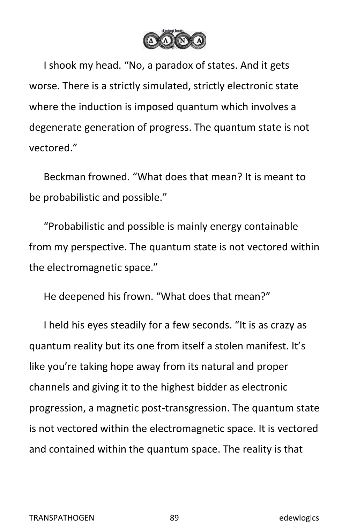

I shook my head. "No, a paradox of states. And it gets worse. There is a strictly simulated, strictly electronic state where the induction is imposed quantum which involves a degenerate generation of progress. The quantum state is not vectored."

Beckman frowned. "What does that mean? It is meant to be probabilistic and possible."

"Probabilistic and possible is mainly energy containable from my perspective. The quantum state is not vectored within the electromagnetic space."

He deepened his frown. "What does that mean?"

I held his eyes steadily for a few seconds. "It is as crazy as quantum reality but its one from itself a stolen manifest. It's like you're taking hope away from its natural and proper channels and giving it to the highest bidder as electronic progression, a magnetic post-transgression. The quantum state is not vectored within the electromagnetic space. It is vectored and contained within the quantum space. The reality is that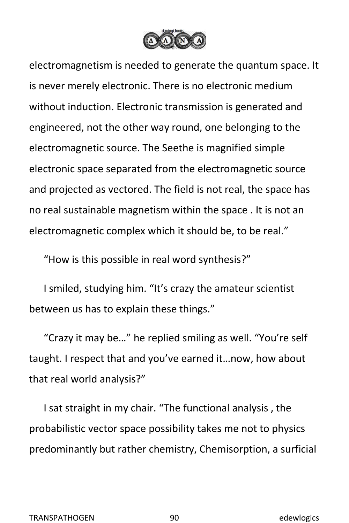

electromagnetism is needed to generate the quantum space. It is never merely electronic. There is no electronic medium without induction. Electronic transmission is generated and engineered, not the other way round, one belonging to the electromagnetic source.The Seethe is magnified simple electronic space separated from the electromagnetic source and projected as vectored. The field is not real, the space has no real sustainable magnetism within the space . It is not an electromagnetic complex which it should be, to be real."

"How is this possible in real word synthesis?"

I smiled, studying him. "It's crazy the amateur scientist between us has to explain these things."

"Crazy it may be…" he replied smiling as well. "You're self taught. I respect that and you've earned it…now, how about that real world analysis?"

I sat straight in my chair. "The functional analysis , the probabilistic vector space possibility takes me not to physics predominantly but rather chemistry, Chemisorption, a surficial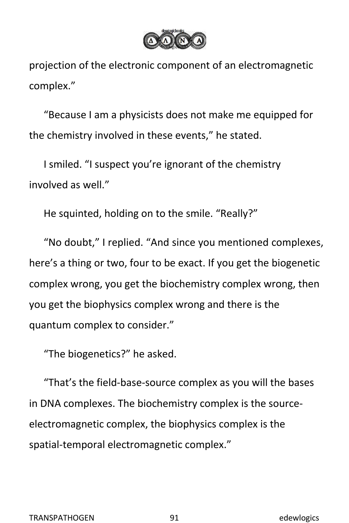

projection of the electronic component of an electromagnetic complex."

"Because I am a physicists does not make me equipped for the chemistry involved in these events," he stated.

I smiled. "I suspect you're ignorant of the chemistry involved as well."

He squinted, holding on to the smile. "Really?"

"No doubt," I replied. "And since you mentioned complexes, here's a thing or two, four to be exact. If you get the biogenetic complex wrong, you get the biochemistry complex wrong, then you get the biophysics complex wrong and there is the quantum complex to consider."

"The biogenetics?" he asked.

"That's the field-base-source complex as you will the bases in DNA complexes. The biochemistry complex is the source electromagnetic complex, the biophysics complex is the spatial-temporal electromagnetic complex."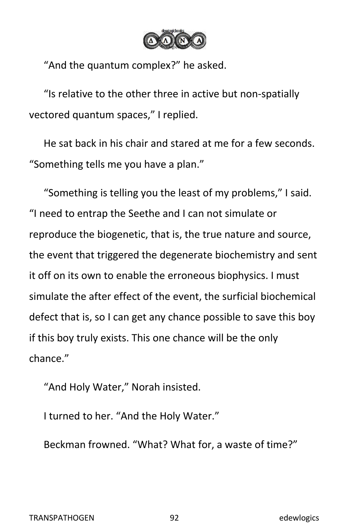

"And the quantum complex?" he asked.

"Is relative to the other three in active but non-spatially vectored quantum spaces," I replied.

He sat back in his chair and stared at me for a few seconds. "Something tells me you have a plan."

"Something is telling you the least of my problems," I said. "I need to entrap the Seethe and I can not simulate or reproduce the biogenetic, that is, the true nature and source, the event that triggered the degenerate biochemistry and sent it off on its own to enable the erroneous biophysics. I must simulate the after effect of the event, the surficial biochemical defect that is, so I can get any chance possible to save this boy if this boy truly exists. This one chance will be the only chance."

"And Holy Water," Norah insisted.

I turned to her. "And the Holy Water."

Beckman frowned. "What? What for, a waste of time?"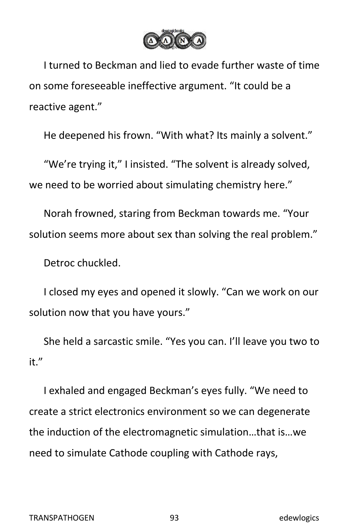

I turned to Beckman and lied to evade further waste of time on some foreseeable ineffective argument. "It could be a reactive agent."

He deepened his frown. "With what? Its mainly a solvent."

"We're trying it," I insisted. "The solvent is already solved, we need to be worried about simulating chemistry here."

Norah frowned, staring from Beckman towards me. "Your solution seems more about sex than solving the real problem."

Detroc chuckled.

I closed my eyes and opened it slowly. "Can we work on our solution now that you have yours."

She held a sarcastic smile. "Yes you can. I'll leave you two to it."

I exhaled and engaged Beckman's eyes fully. "We need to create a strict electronics environment so we can degenerate the induction of the electromagnetic simulation…that is…we need to simulate Cathode coupling with Cathode rays,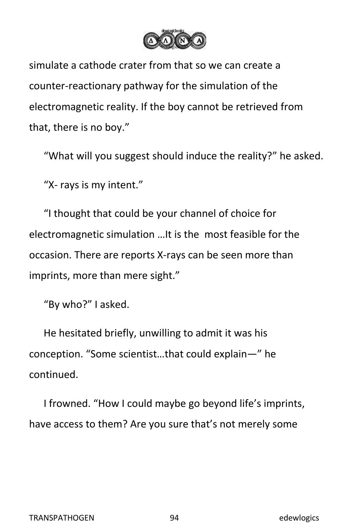

simulate a cathode crater from that so we can create a counter-reactionary pathway for the simulation of the electromagnetic reality. If the boy cannot be retrieved from that, there is no boy."

"What will you suggest should induce the reality?" he asked.

"X- rays is my intent."

"I thought that could be your channel of choice for electromagnetic simulation …It is the most feasible for the occasion. There are reports X-rays can be seen more than imprints, more than mere sight."

"By who?" I asked.

He hesitated briefly, unwilling to admit it was his conception. "Some scientist…that could explain—" he continued.

I frowned. "How I could maybe go beyond life's imprints, have access to them? Are you sure that's not merely some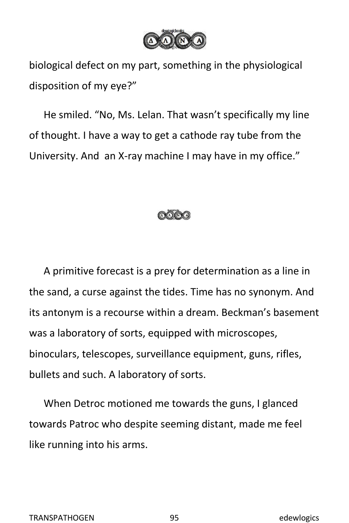

biological defect on my part, something in the physiological disposition of my eye?"

He smiled. "No, Ms. Lelan. That wasn't specifically my line of thought. I have a way to get a cathode ray tube from the University. And an X-ray machine I may have in my office."



A primitive forecast is a prey for determination as a line in the sand, a curse against the tides. Time has no synonym. And its antonym is a recourse within a dream. Beckman's basement was a laboratory of sorts, equipped with microscopes, binoculars, telescopes, surveillance equipment, guns, rifles, bullets and such. A laboratory of sorts.

When Detroc motioned me towards the guns, I glanced towards Patroc who despite seeming distant, made me feel like running into his arms.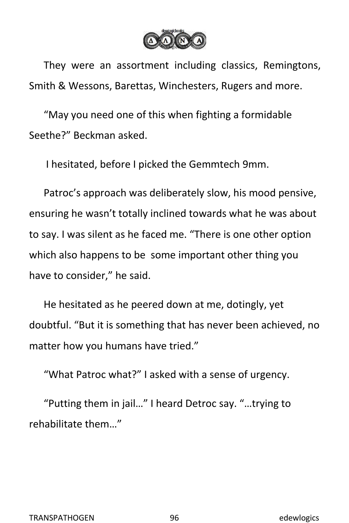

They were an assortment including classics, Remingtons, Smith & Wessons, Barettas, Winchesters, Rugers and more.

"May you need one of this when fighting a formidable Seethe?" Beckman asked.

I hesitated, before I picked the Gemmtech 9mm.

Patroc's approach was deliberately slow, his mood pensive, ensuring he wasn't totally inclined towards what he was about to say. I was silent as he faced me. "There is one other option which also happens to be some important other thing you have to consider," he said.

He hesitated as he peered down at me, dotingly, yet doubtful. "But it is something that has never been achieved, no matter how you humans have tried."

"What Patroc what?" I asked with a sense of urgency.

"Putting them in jail…" I heard Detroc say. "…trying to rehabilitate them…"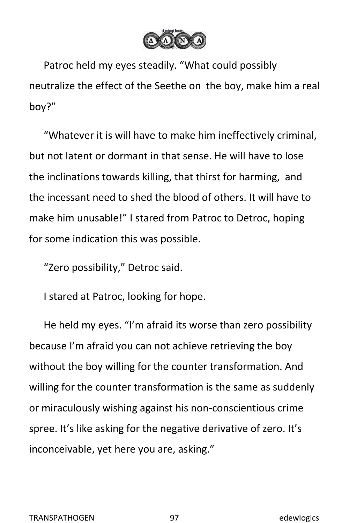

Patroc held my eyes steadily. "What could possibly neutralize the effect of the Seethe on the boy, make him a real boy?"

"Whatever it is will have to make him ineffectively criminal, but not latent or dormant in that sense. He will have to lose the inclinations towards killing, that thirst for harming, and the incessant need to shed the blood of others. It will have to make him unusable!" I stared from Patroc to Detroc, hoping for some indication this was possible.

"Zero possibility," Detroc said.

I stared at Patroc, looking for hope.

He held my eyes. "I'm afraid its worse than zero possibility because I'm afraid you can not achieve retrieving the boy without the boy willing for the counter transformation. And willing for the counter transformation is the same as suddenly or miraculously wishing against his non-conscientious crime spree. It's like asking for the negative derivative of zero. It's inconceivable, yet here you are, asking."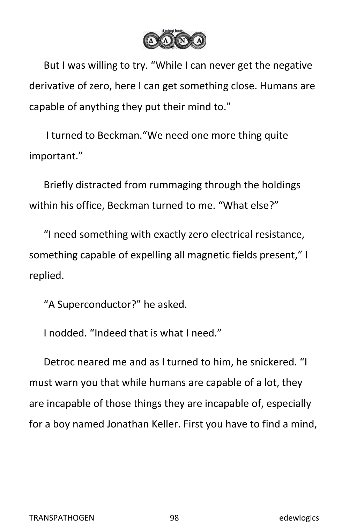

But I was willing to try. "While I can never get the negative derivative of zero, here I can get something close. Humans are capable of anything they put their mind to."

I turned to Beckman."We need one more thing quite important."

Briefly distracted from rummaging through the holdings within his office, Beckman turned to me. "What else?"

"I need something with exactly zero electrical resistance, something capable of expelling all magnetic fields present," I replied.

"A Superconductor?" he asked.

I nodded. "Indeed that is what I need."

Detroc neared me and as I turned to him, he snickered. "I must warn you that while humans are capable of a lot, they are incapable of those things they are incapable of, especially for a boy named Jonathan Keller. First you have to find a mind,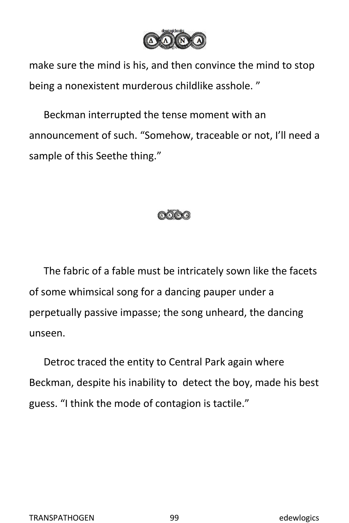

make sure the mind is his, and then convince the mind to stop being a nonexistent murderous childlike asshole. "

Beckman interrupted the tense moment with an announcement of such. "Somehow, traceable or not, I'll need a sample of this Seethe thing."



The fabric of a fable must be intricately sown like the facets of some whimsical song for a dancing pauper under a perpetually passive impasse; the song unheard, the dancing unseen.

Detroc traced the entity to Central Park again where Beckman, despite his inability to detect the boy, made his best guess. "I think the mode of contagion is tactile."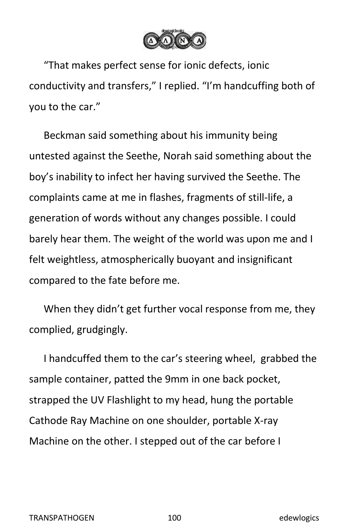

"That makes perfect sense for ionic defects, ionic conductivity and transfers," I replied. "I'm handcuffing both of you to the car."

Beckman said something about his immunity being untested against the Seethe, Norah said something about the boy's inability to infect her having survived the Seethe. The complaints came at me in flashes, fragments of still-life, a generation of words without any changes possible. I could barely hear them. The weight of the world was upon me and I felt weightless, atmospherically buoyant and insignificant compared to the fate before me.<br>When they didn't get further vocal response from me, they

complied, grudgingly.

I handcuffed them to the car's steering wheel, grabbed the sample container, patted the 9mm in one back pocket, strapped the UV Flashlight to my head, hung the portable Cathode Ray Machine on one shoulder, portable X-ray Machine on the other. I stepped out of the car before I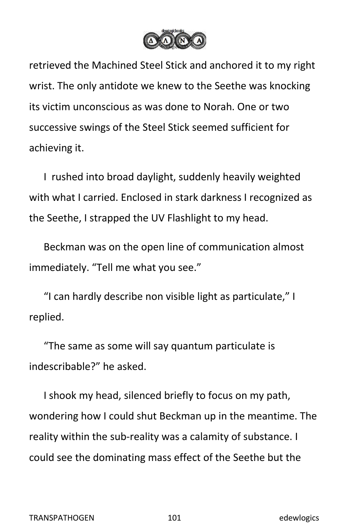

retrieved the Machined Steel Stick and anchored it to my right wrist. The only antidote we knew to the Seethe was knocking its victim unconscious as was done to Norah. One or two successive swings of the Steel Stick seemed sufficient for achieving it.

I rushed into broad daylight, suddenly heavily weighted with what I carried. Enclosed in stark darkness I recognized as the Seethe, I strapped the UV Flashlight to my head.

Beckman was on the open line of communication almost immediately. "Tell me what you see."

"I can hardly describe non visible light as particulate," I replied.

"The same as some will say quantum particulate is indescribable?" he asked.

I shook my head, silenced briefly to focus on my path, wondering how I could shut Beckman up in the meantime. The reality within the sub-reality was a calamity of substance. I could see the dominating mass effect of the Seethe but the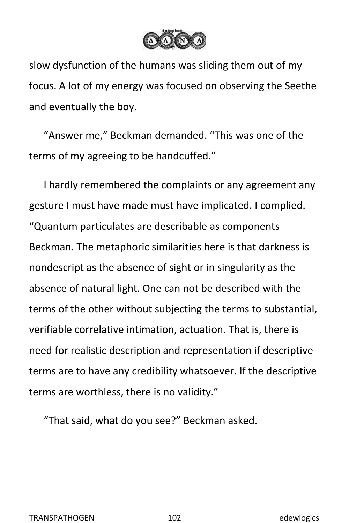

slow dysfunction of the humans was sliding them out of my focus. A lot of my energy was focused on observing the Seethe and eventually the boy.

"Answer me," Beckman demanded. "This was one of the terms of my agreeing to be handcuffed."

I hardly remembered the complaints or any agreement any gesture I must have made must have implicated. I complied. "Quantum particulates are describable as components Beckman. The metaphoric similarities here is that darkness is nondescript as the absence of sight or in singularity as the absence of natural light. One can not be described with the terms of the other without subjecting the terms to substantial, verifiable correlative intimation, actuation. That is, there is need for realistic description and representation if descriptive terms are to have any credibility whatsoever. If the descriptive terms are worthless, there is no validity."

"That said, what do you see?" Beckman asked.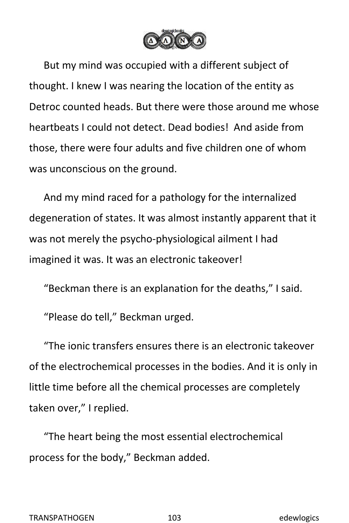

But my mind was occupied with a different subject of thought. I knew I was nearing the location of the entity as Detroc counted heads. But there were those around me whose heartbeats I could not detect. Dead bodies! And aside from those, there were four adults and five children one of whom was unconscious on the ground.

And my mind raced for a pathology for the internalized degeneration of states. It was almost instantly apparent that it was not merely the psycho-physiological ailment I had imagined it was. It was an electronic takeover!

"Beckman there is an explanation for the deaths," I said.

"Please do tell," Beckman urged.

"The ionic transfers ensures there is an electronic takeover of the electrochemical processes in the bodies. And it is only in little time before all the chemical processes are completely taken over," I replied.

"The heart being the most essential electrochemical process for the body," Beckman added.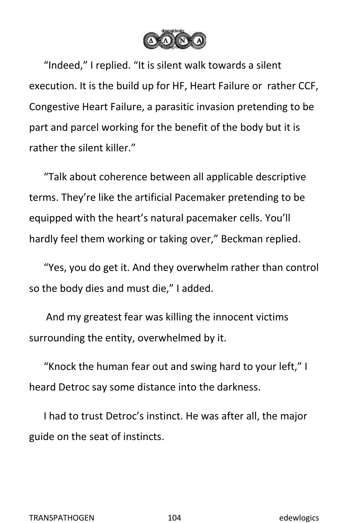

"Indeed," I replied. "It is silent walk towards a silent execution. It is the build up for HF, Heart Failure or rather CCF, Congestive Heart Failure, a parasitic invasion pretending to be part and parcel working for the benefit of the body but it is rather the silent killer."

"Talk about coherence between all applicable descriptive terms. They're like the artificial Pacemaker pretending to be equipped with the heart's natural pacemaker cells. You'll hardly feel them working or taking over," Beckman replied.

"Yes, you do get it. And they overwhelm rather than control so the body dies and must die," I added.

And my greatest fear was killing the innocent victims surrounding the entity, overwhelmed by it.

"Knock the human fear out and swing hard to your left," I heard Detroc say some distance into the darkness.

I had to trust Detroc's instinct. He was after all, the major guide on the seat of instincts.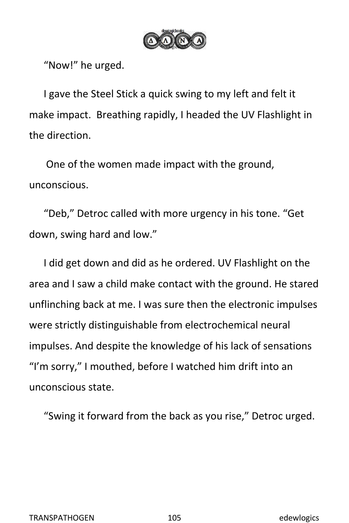

"Now!" he urged.

I gave the Steel Stick a quick swing to my left and felt it make impact. Breathing rapidly, I headed the UV Flashlight in the direction.

One of the women made impact with the ground, unconscious.

"Deb," Detroc called with more urgency in his tone. "Get down, swing hard and low."

I did get down and did as he ordered. UV Flashlight on the area and I saw a child make contact with the ground. He stared unflinching back at me. I was sure then the electronic impulses were strictly distinguishable from electrochemical neural impulses. And despite the knowledge of his lack of sensations "I'm sorry," I mouthed, before I watched him drift into an unconscious state.

"Swing it forward from the back as you rise," Detroc urged.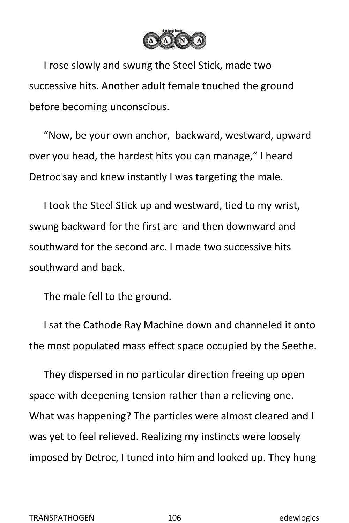

I rose slowly and swung the Steel Stick, made two successive hits. Another adult female touched the ground before becoming unconscious.

"Now, be your own anchor, backward, westward, upward over you head, the hardest hits you can manage," I heard Detroc say and knew instantly I was targeting the male.

I took the Steel Stick up and westward, tied to my wrist, swung backward for the first arc and then downward and southward for the second arc. I made two successive hits southward and back.

The male fell to the ground.

I sat the Cathode Ray Machine down and channeled it onto the most populated mass effect space occupied by the Seethe.

They dispersed in no particular direction freeing up open space with deepening tension rather than a relieving one. What was happening? The particles were almost cleared and I was yet to feel relieved. Realizing my instincts were loosely imposed by Detroc, I tuned into him and looked up. They hung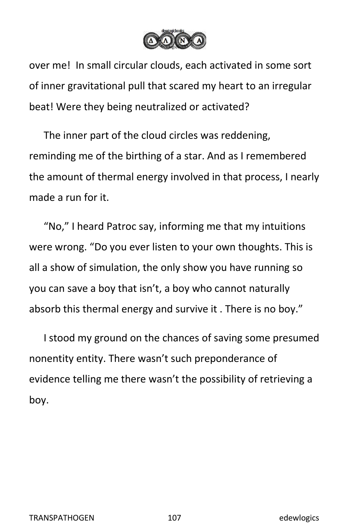

over me! In small circular clouds, each activated in some sort of inner gravitational pull that scared my heart to an irregular beat! Were they being neutralized or activated?

The inner part of the cloud circles was reddening, reminding me of the birthing of a star. And as I remembered the amount of thermal energy involved in that process, I nearly made a run for it.

"No," I heard Patroc say, informing me that my intuitions were wrong. "Do you ever listen to your own thoughts. This is all a show of simulation, the only show you have running so you can save a boy that isn't, a boy who cannot naturally absorb this thermal energy and survive it . There is no boy."

I stood my ground on the chances of saving some presumed nonentity entity. There wasn't such preponderance of evidence telling me there wasn't the possibility of retrieving a boy.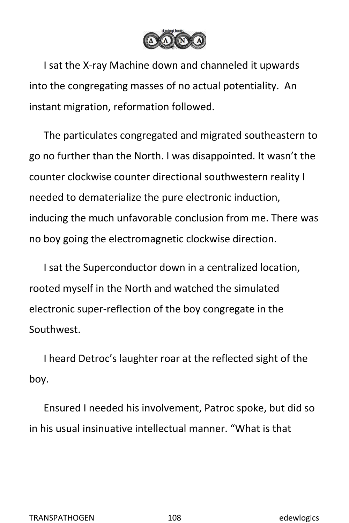

I sat the X-ray Machine down and channeled it upwards into the congregating masses of no actual potentiality. An instant migration, reformation followed.

The particulates congregated and migrated southeastern to go no further than the North. I was disappointed. It wasn't the counter clockwise counter directional southwestern reality I needed to dematerialize the pure electronic induction, inducing the much unfavorable conclusion from me. There was no boy going the electromagnetic clockwise direction.

I sat the Superconductor down in a centralized location, rooted myself in the North and watched the simulated electronic super-reflection of the boy congregate in the Southwest.

I heard Detroc's laughter roar at the reflected sight of the boy.<br>Ensured I needed his involvement, Patroc spoke, but did so

in his usual insinuative intellectual manner. "What is that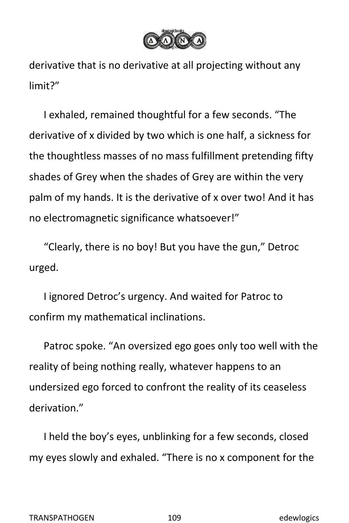

derivative that is no derivative at all projecting without any limit?"

I exhaled, remained thoughtful for a few seconds. "The derivative of x divided by two which is one half, a sickness for the thoughtless masses of no mass fulfillment pretending fifty shades of Grey when the shades of Grey are within the very palm of my hands. It is the derivative of x over two! And it has no electromagnetic significance whatsoever!"

"Clearly, there is no boy! Butyou have the gun," Detroc urged.

I ignored Detroc's urgency. And waited for Patroc to confirm my mathematical inclinations.

Patroc spoke. "An oversized ego goes only too well with the reality of being nothing really, whatever happens to an undersized ego forced to confront the reality of its ceaseless derivation."

I held the boy's eyes, unblinking for a few seconds, closed my eyes slowly and exhaled. "There is no x component for the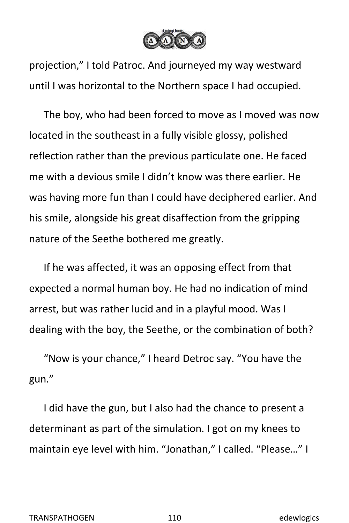

projection," I told Patroc. And journeyed my way westward until I was horizontal to the Northern space I had occupied.

The boy, who had been forced to move as I moved was now located in the southeast in a fully visible glossy, polished reflection rather than the previous particulate one. He faced me with a devious smile I didn't know was there earlier. He was having more fun than I could have deciphered earlier. And his smile, alongside his great disaffection from the gripping nature of the Seethe bothered me greatly.

If he was affected, it was an opposing effect from that expected a normal human boy. He had no indication of mind arrest, but was rather lucid and in a playful mood. Was I dealing with the boy, the Seethe, or the combination of both?

"Now is your chance," I heard Detroc say. "You have the gun."

I did have the gun, but I also had the chance to present a determinant as part of the simulation. I got on my knees to maintain eye level with him. "Jonathan," I called. "Please…" I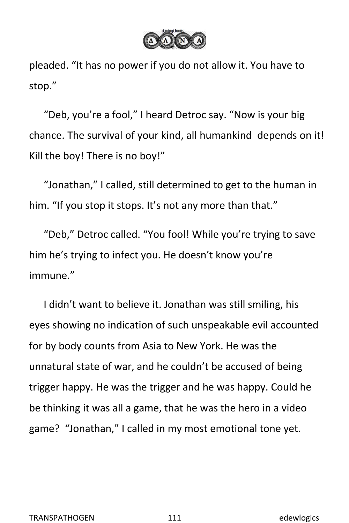

pleaded. "It has no power if you do not allow it. You have to stop."

"Deb, you're a fool," I heard Detroc say. "Now is your big chance. The survival of your kind, all humankind depends on it! Kill the boy! There is no boy!"

"Jonathan," I called, still determined to get to the human in him. "If you stop it stops. It's not any more than that."

"Deb," Detroc called. "You fool! While you're trying to save him he's trying to infect you. He doesn't know you're immune."

I didn't want to believe it. Jonathan was still smiling, his eyes showing no indication of such unspeakable evil accounted for by body counts from Asia to New York. He was the unnatural state of war, and he couldn't be accused of being trigger happy. He was the trigger and he was happy. Could he be thinking it was all a game, that he was the hero in a video game? "Jonathan," I called in my mostemotional tone yet.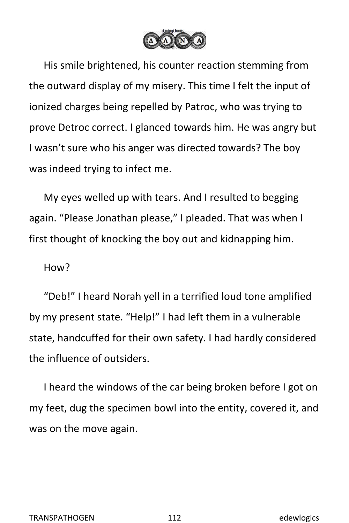

His smile brightened, his counter reaction stemming from the outward display of my misery. This time I felt the input of ionized charges being repelled by Patroc, who was trying to prove Detroc correct. I glanced towards him. He was angry but I wasn't sure who his anger was directed towards? The boy was indeed trying to infect me.

My eyes welled up with tears. And I resulted to begging again. "Please Jonathan please," I pleaded. That was when I first thought of knocking the boy out and kidnapping him.

## How?

"Deb!" I heard Norah yell in a terrified loud tone amplified by my present state. "Help!" I had left them in a vulnerable state, handcuffed for their own safety. I had hardly considered the influence of outsiders.

I heard the windows of the car being broken before I got on my feet, dug the specimen bowl into the entity, covered it, and was on the move again.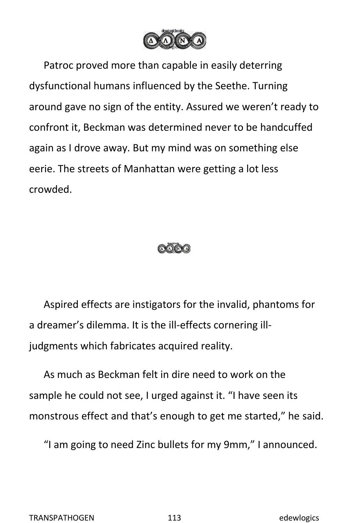

Patroc proved more than capable in easily deterring dysfunctional humans influenced by the Seethe. Turning around gave no sign of the entity. Assured we weren't ready to confront it, Beckman was determined never to be handcuffed again as I drove away. But my mind was on something else eerie. The streets of Manhattan were getting a lot less crowded.



Aspired effects are instigators for the invalid, phantoms for a dreamer's dilemma. It is the ill-effects cornering illjudgments which fabricates acquired reality.

As much as Beckman felt in dire need to work on the sample he could not see, I urged against it. "I have seen its monstrous effect and that's enough to get me started," he said.

"I am going to need Zinc bullets for my 9mm," I announced.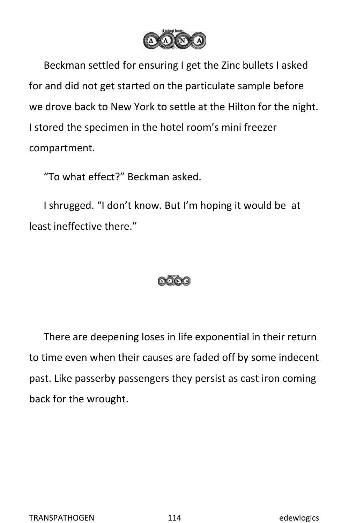

Beckman settled for ensuring I get the Zinc bullets I asked for and did not get started on the particulate sample before we drove back to New York to settle at the Hilton for the night. I stored the specimen in the hotel room's mini freezer compartment.

"To what effect?" Beckman asked.

I shrugged. "I don't know. But I'm hoping it would be at least ineffective there."



There are deepening loses in life exponential in their return to time even when their causes are faded off by some indecent past. Like passerby passengers they persist as cast iron coming back for the wrought.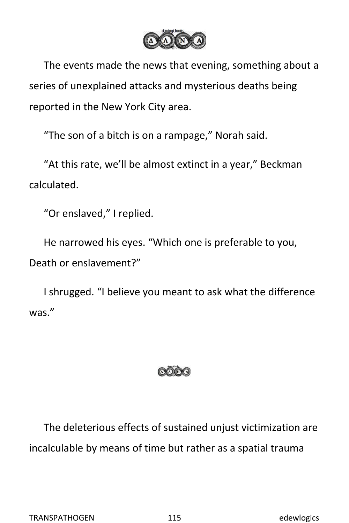

The events made the news that evening, something about a series of unexplained attacks and mysterious deaths being reported in the New York City area.

"The son of a bitch is on a rampage," Norah said.

"At this rate, we'll be almost extinct in a year," Beckman calculated.

"Or enslaved," I replied.

He narrowed his eyes. "Which one is preferable to you, Death or enslavement?"

I shrugged. "I believe you meant to ask what the difference was."



The deleterious effects of sustained unjust victimization are incalculable by means of time but rather as a spatial trauma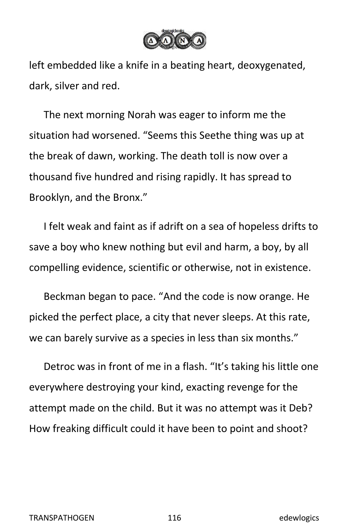

left embedded like a knife in a beating heart, deoxygenated, dark, silver and red.

The next morning Norah was eager to inform me the situation had worsened. "Seems this Seethe thing was up at the break of dawn, working. The death toll is now over a thousand five hundred and rising rapidly. It has spread to Brooklyn, and the Bronx."

I felt weak and faint as if adrift on a sea of hopeless drifts to save a boy who knew nothing but evil and harm, a boy, by all compelling evidence, scientific or otherwise, not in existence.

Beckman began to pace. "And the code is now orange. He picked the perfect place, a city that never sleeps. At this rate, we can barely survive as a species in less than six months."

Detroc was in front of me in a flash. "It's taking his little one everywhere destroying your kind, exacting revenge for the attempt made on the child. But it was no attempt was it Deb? How freaking difficult could it have been to point and shoot?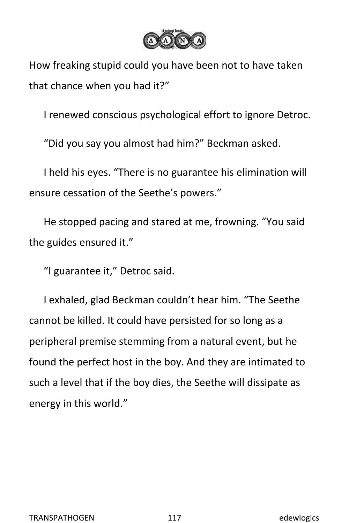

How freaking stupid could you have been not to have taken that chance when you had it?"

I renewed conscious psychological effort to ignore Detroc.

"Did you say you almost had him?" Beckman asked.

I held his eyes. "There is no guarantee his elimination will ensure cessation of the Seethe's powers."

He stopped pacing and stared at me, frowning. "You said the guides ensured it."

"I guarantee it," Detroc said.

I exhaled, glad Beckman couldn't hear him. "The Seethe cannot be killed. It could have persisted for so long as a peripheral premise stemming from a natural event, but he found the perfect host in the boy. And they are intimated to such a level that if the boy dies, the Seethe will dissipate as energy in this world."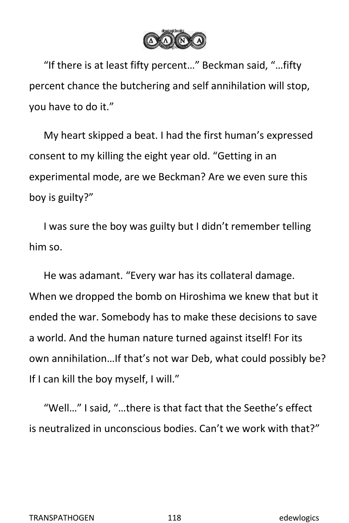

"If there is at least fifty percent…" Beckman said, "…fifty percent chance the butchering and self annihilation will stop, you have to do it."

My heart skipped a beat. I had the first human's expressed consent to my killing the eight year old. "Getting in an experimental mode, are we Beckman? Are we even sure this boy is guilty?"

I was sure the boy was guilty but I didn't remember telling him so.

He was adamant. "Every war has its collateral damage. When we dropped the bomb on Hiroshima we knew that but it ended the war. Somebody has to make these decisions to save a world. And the human nature turned against itself! For its own annihilation…If that's not war Deb, what could possibly be? If I can kill the boy myself, I will."

"Well…" I said, "…there is that fact that the Seethe's effect is neutralized in unconscious bodies. Can't we work with that?"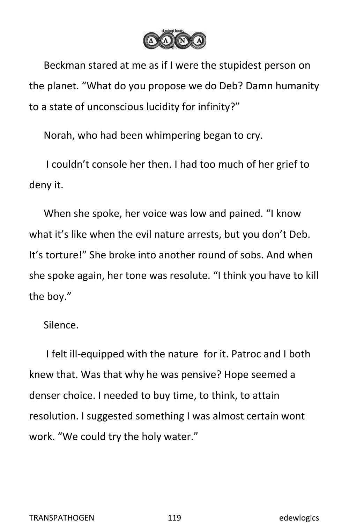

Beckman stared at me as if I were the stupidest person on the planet. "What do you propose we do Deb? Damn humanity to a state of unconscious lucidity for infinity?"

Norah, who had been whimpering began to cry.

I couldn't console her then. I had too much of her grief to deny it.

When she spoke, her voice was low and pained. "I know what it's like when the evil nature arrests, but you don't Deb. It's torture!" She broke into another round of sobs. And when she spoke again, her tone was resolute. "I think you have to kill the boy."

Silence.

I felt ill-equipped with the nature for it. Patroc and I both knew that. Was that why he was pensive? Hope seemed a denser choice. I needed to buy time, to think, to attain resolution. I suggested something I was almost certain wont work. "We could try the holy water."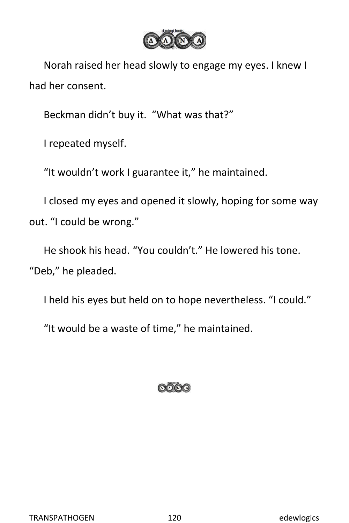

Norah raised her head slowly to engage my eyes. I knew I had her consent.

Beckman didn't buy it. "What was that?"

I repeated myself.

"It wouldn't work I guarantee it," he maintained.

I closed my eyes and opened it slowly, hoping for some way out. "I could be wrong."

He shook his head."You couldn't." He lowered his tone. "Deb," he pleaded.

I held his eyes but held on to hope nevertheless. "I could."

"It would be a waste of time," he maintained.

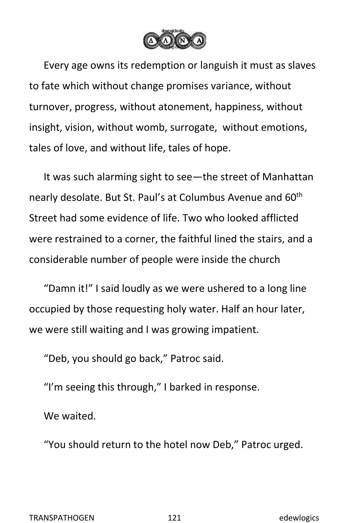

Every age owns its redemption or languish it must as slaves to fate which without change promises variance, without turnover, progress, without atonement, happiness, without insight, vision, without womb, surrogate, without emotions, tales of love, and without life, tales of hope.

It was such alarming sight to see—the street of Manhattan nearly desolate. But St. Paul's at Columbus Avenue and 60<sup>th</sup> th Street had some evidence of life. Two who looked afflicted were restrained to a corner, the faithful lined the stairs, and a considerable number of people were inside the church

"Damn it!" I said loudly as we were ushered to a long line occupied by those requesting holy water. Half an hour later, we were still waiting and I was growing impatient.

"Deb, you should go back," Patroc said.

"I'm seeing this through," I barked in response.<br>We waited

"You should return to the hotel now Deb," Patroc urged.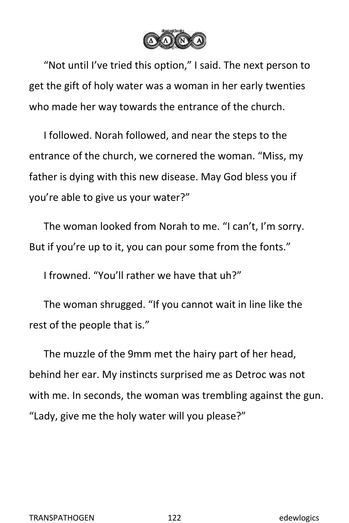

"Not until I've tried this option," I said. The next person to get the gift of holy water was a woman in her early twenties who made her way towards the entrance of the church.

I followed. Norah followed, and near the steps to the entrance of the church, we cornered the woman. "Miss, my father is dying with this new disease. May God bless you if you're able to give us your water?"

The woman looked from Norah to me. "I can't, I'm sorry. But if you're up to it, you can pour some from the fonts."

I frowned. "You'll rather we have that uh?"

The woman shrugged. "If you cannot wait in line like the rest of the people that is."

The muzzle of the 9mm met the hairy part of her head, behind her ear. My instincts surprised me as Detroc was not with me. In seconds, the woman was trembling against the gun. "Lady, give me the holy water will you please?"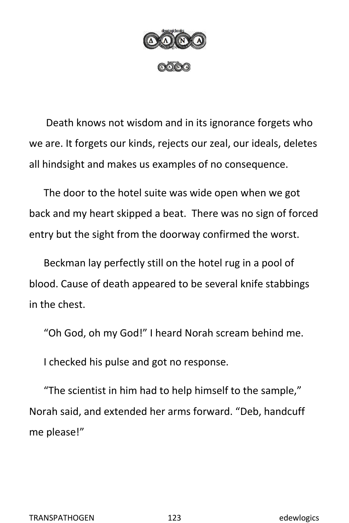

Death knows not wisdom and in its ignorance forgets who we are. It forgets our kinds, rejects our zeal, our ideals, deletes all hindsight and makes us examples of no consequence.

The door to the hotel suite was wide open when we got back and my heart skipped a beat. There was no sign of forced entry but the sight from the doorway confirmed the worst.

Beckman lay perfectly still on the hotel rug in a pool of blood. Cause of death appeared to be several knife stabbings in the chest.

"Oh God, oh my God!" I heard Norah scream behind me.

I checked his pulse and got no response.

"The scientist in him had to help himself to the sample," Norah said, and extended her arms forward. "Deb, handcuff me please!"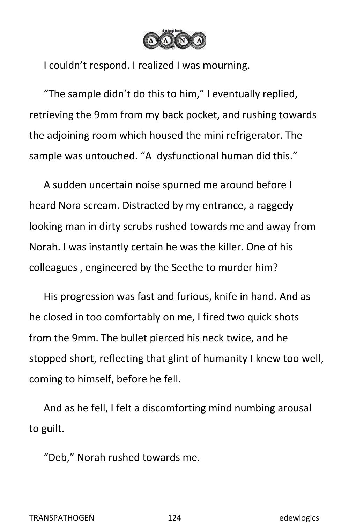

I couldn't respond. I realized I was mourning.

"The sample didn't do this to him," I eventually replied, retrieving the 9mm from my back pocket, and rushing towards the adjoining room which housed the mini refrigerator. The sample was untouched. "A dysfunctional human did this."

A sudden uncertain noise spurned me around before I heard Nora scream. Distracted by my entrance, a raggedy looking man in dirty scrubs rushed towards me and away from Norah. I was instantly certain he was the killer. One of his colleagues , engineered by the Seethe to murder him?

His progression was fast and furious, knife in hand. And as he closed in too comfortably on me, I fired two quick shots from the 9mm. The bullet pierced his neck twice, and he stopped short, reflecting that glint of humanity I knew too well, coming to himself, before he fell.

And as he fell, I felt a discomforting mind numbing arousal to guilt.

"Deb," Norah rushed towards me.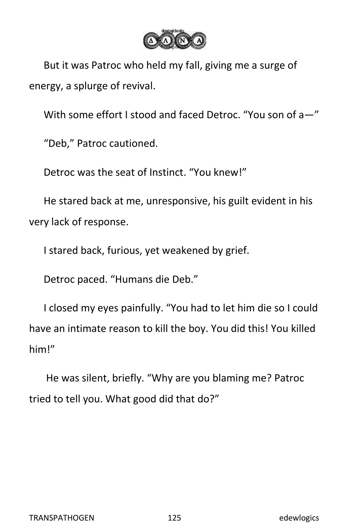

But it was Patroc who held my fall, giving me a surge of energy, a splurge of revival.

With some effort I stood and faced Detroc. "You son of a—"

"Deb," Patroc cautioned.

Detroc was the seat of Instinct. "You knew!"

He stared back at me, unresponsive, his guilt evident in his very lack of response.

I stared back, furious, yet weakened by grief.

Detroc paced. "Humans die Deb."

I closed my eyes painfully. "You had to let him die so I could have an intimate reason to kill the boy. You did this! You killed him!"<br>He was silent, briefly. "Why are you blaming me? Patroc

tried to tell you. What good did that do?"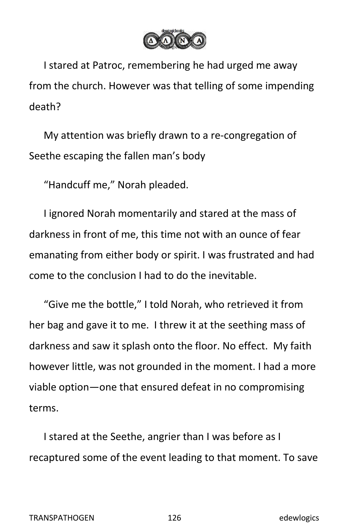

I stared at Patroc, remembering he had urged me away from the church. However was that telling of some impending death?

My attention was briefly drawn to a re-congregation of Seethe escaping the fallen man's body

"Handcuff me," Norah pleaded.

I ignored Norah momentarily and stared at the mass of darkness in front of me, this time not with an ounce of fear emanating from either body or spirit. I was frustrated and had come to the conclusion I had to do the inevitable.

"Give me the bottle," I told Norah, who retrieved it from her bag and gave it to me. I threw it at the seething mass of darkness and saw it splash onto the floor. No effect. My faith however little, was not grounded in the moment. I had a more viable option—one that ensured defeat in no compromising terms.

I stared at the Seethe, angrier than I was before as I recaptured some of the event leading to that moment. To save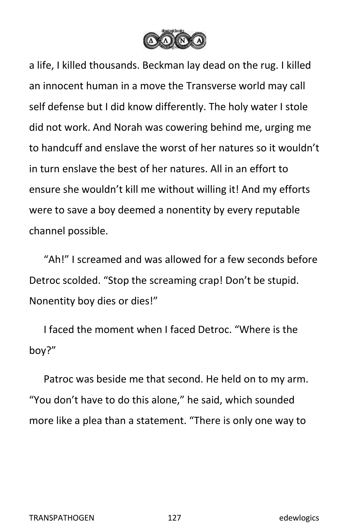

a life, I killed thousands. Beckman laydead on the rug. Ikilled an innocent human in a move the Transverse world may call self defense but I did know differently. The holy water I stole did not work. And Norah was cowering behind me, urging me to handcuff and enslave the worst of her natures so it wouldn't in turn enslave the best of her natures. All in an effort to ensure she wouldn't kill me without willing it! And my efforts were to save a boy deemed a nonentity by every reputable channel possible.

"Ah!" I screamed and was allowed for a few seconds before Detroc scolded. "Stop the screaming crap! Don't be stupid. Nonentity boy dies or dies!"

I faced the moment when I faced Detroc. "Where is the boy?"

Patroc was beside me that second. He held on to my arm. "You don't have to do this alone," he said, which sounded more like a plea than a statement. "There is only one way to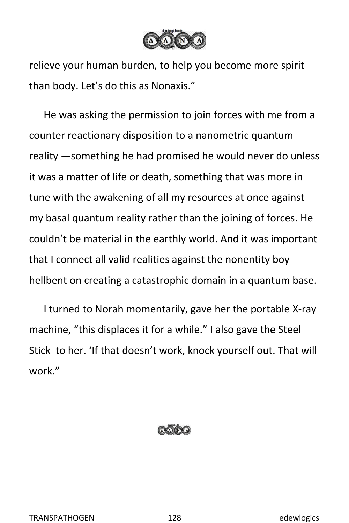

relieve your human burden, to help you become more spirit than body. Let's do this as Nonaxis."

He was asking the permission to join forces with me from a counter reactionary disposition to a nanometric quantum reality —something he had promised he would never do unless it was a matter of life or death, something that was more in tune with the awakening of all my resources at once against my basal quantum reality rather than the joining of forces. He couldn't be material in the earthly world. And it was important that I connect all valid realities against the nonentity boy hellbent on creating a catastrophic domain in a quantum base.

I turned to Norah momentarily, gave her the portable X-ray machine, "this displaces it for a while." I also gave the Steel Stick to her. 'If that doesn't work, knock yourself out. That will work."

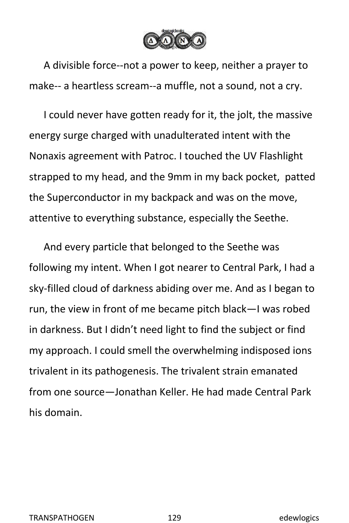

A divisible force--not a power to keep, neither a prayer to make-- a heartless scream--a muffle, not a sound, not a cry.

I could never have gotten ready for it, the jolt, the massive energy surge charged with unadulterated intent with the Nonaxis agreement with Patroc. I touched the UV Flashlight strapped to my head, and the 9mm in my back pocket, patted the Superconductor in my backpack and was on the move, attentive to everything substance, especially the Seethe.

And every particle that belonged to the Seethe was following my intent. When I got nearer to Central Park, I had a sky-filled cloud of darkness abiding over me. And as I began to run, the view in front of me became pitch black—I was robed in darkness. But I didn't need light to find the subject or find my approach. I could smell the overwhelming indisposed ions trivalent in its pathogenesis. The trivalent strain emanated from one source—Jonathan Keller. He had made Central Park his domain.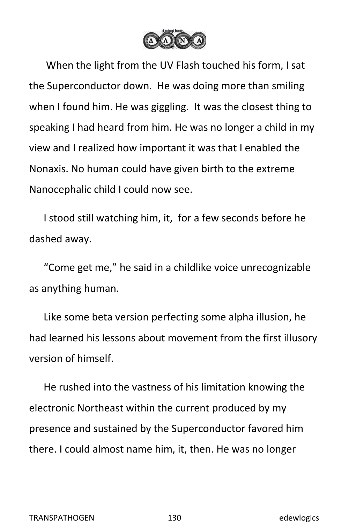

When the light from the UV Flash touched his form, I sat the Superconductor down. He was doing more than smiling when I found him. He was giggling. It was the closest thing to speaking I had heard from him. He was no longer a child in my view and I realized how important it was that I enabled the Nonaxis. No human could have given birth to the extreme Nanocephalic child I could now see.

I stood still watching him, it, for a few seconds before he dashed away.

"Come get me," he said in a childlike voice unrecognizable as anything human.

Like some beta version perfecting some alpha illusion, he had learned his lessons about movement from the first illusory version of himself.

He rushed into the vastness of his limitation knowing the electronic Northeast within the current produced by my presence and sustained by the Superconductor favored him there. I could almost name him, it, then. He was no longer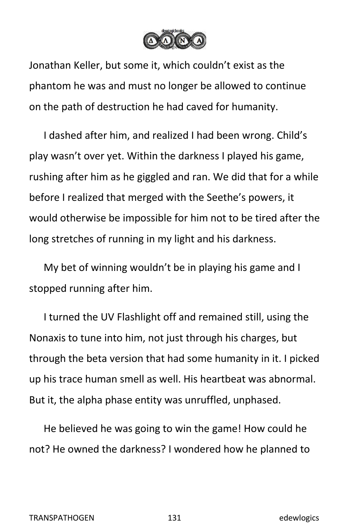

Jonathan Keller, but some it, which couldn't exist as the phantom he was and must no longer be allowed to continue on the path of destruction he had caved for humanity.

I dashed after him, and realized I had been wrong. Child's play wasn't over yet. Within the darkness I played his game,<br>rushing after him as he giggled and ran. We did that for a while before I realized that merged with the Seethe's powers, it would otherwise be impossible for him not to be tired after the long stretches of running in my light and his darkness.

My bet of winning wouldn't be in playing his game and I stopped running after him.

I turned the UV Flashlight off and remained still, using the Nonaxis to tune into him, not just through his charges, but through the beta version that had some humanity in it. I picked up his trace human smell as well. His heartbeat was abnormal. But it, the alpha phase entity was unruffled, unphased.

He believed he was going to win the game! How could he not? He owned the darkness? I wondered how he planned to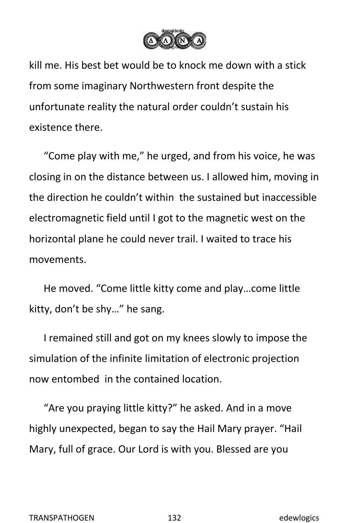

kill me. His best bet would be to knock me down with a stick from some imaginary Northwestern front despite the unfortunate reality the natural order couldn't sustain his existence there.

"Come play with me," he urged, and from his voice, he was closing in on the distance between us. I allowed him, moving in the direction he couldn't within the sustained but inaccessible electromagnetic field until I got to the magnetic west on the horizontal plane he could never trail. I waited to trace his movements.

He moved. "Come little kitty come and play…come little kitty, don't be shy…" he sang.

I remained still and got on my knees slowly to impose the simulation of the infinite limitation of electronic projection now entombed in the contained location.

"Are you praying little kitty?" he asked. And in a move highly unexpected, began to say the Hail Mary prayer. "Hail Mary, full of grace. Our Lord is with you. Blessed are you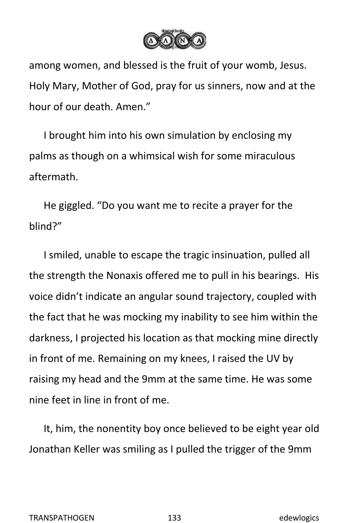

among women, and blessed is the fruit of your womb, Jesus. Holy Mary, Mother of God, pray for us sinners, now and at the hour of our death. Amen."

I brought him into his own simulation by enclosing my palms as though on a whimsical wish for some miraculous aftermath.

He giggled. "Do you want me to recite a prayer for the blind?"

I smiled, unable to escape the tragic insinuation, pulled all the strength the Nonaxis offered me to pull in his bearings. His voice didn't indicate an angular sound trajectory, coupled with the fact that he was mocking my inability to see him within the darkness, I projected his location as that mocking mine directly in front of me. Remaining on my knees, I raised the UV by raising my head and the 9mm at the same time. He was some nine feet in line in front of me.

It, him, the nonentity boy once believed to be eight year old Jonathan Keller was smiling as I pulled the trigger of the 9mm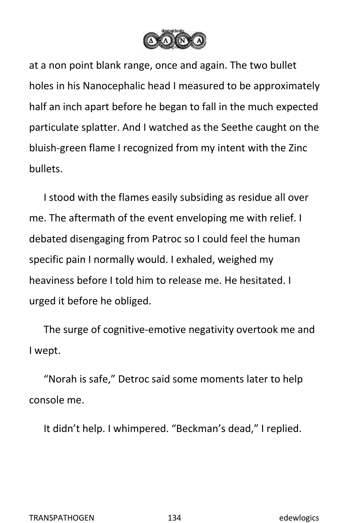

at a non point blank range, once and again. The two bullet holes in his Nanocephalic head I measured to be approximately half an inch apart before he began to fall in the much expected particulate splatter. And I watched as the Seethe caught on the bluish-green flame I recognized from my intent with the Zinc bullets.

I stood with the flames easily subsiding as residue all over me. The aftermath of the event enveloping me with relief. I debated disengaging from Patroc so I could feel the human specific pain I normally would. I exhaled, weighed my heaviness before I told him to release me. He hesitated. I urged it before he obliged.

The surge of cognitive-emotive negativity overtook me and I wept.

"Norah is safe," Detroc said some moments later to help console me.

It didn't help. I whimpered. "Beckman's dead," I replied.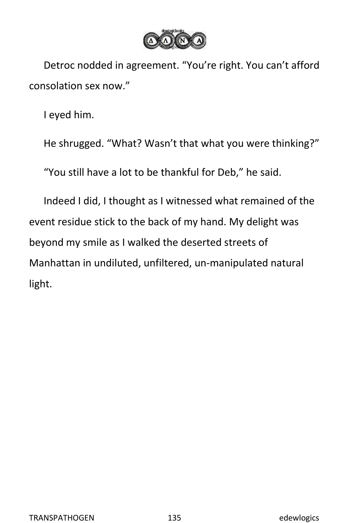

Detroc nodded in agreement. "You're right. You can't afford consolation sex now."

I eyed him.

He shrugged. "What? Wasn't that what you were thinking?"

"You still have a lot to be thankful for Deb," he said.

Indeed I did, I thought as Iwitnessed what remained of the event residue stick to the back of my hand. My delight was beyond my smile as I walked the deserted streets of Manhattan in undiluted, unfiltered, un-manipulated natural light.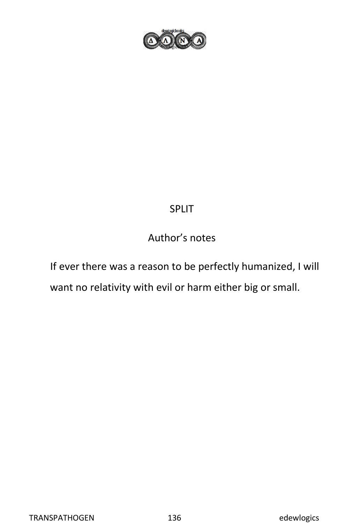

## SPLIT

## Author's notes

If ever there was a reason to be perfectly humanized, I will want no relativity with evil or harm either big or small.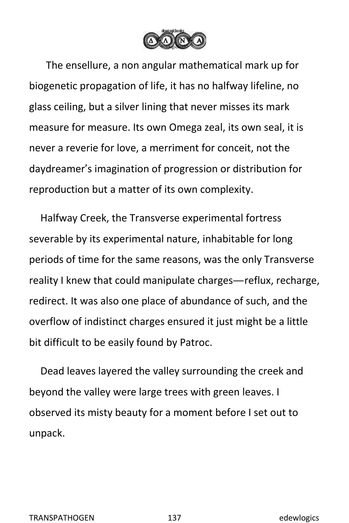

The ensellure, a non angular mathematical mark up for biogenetic propagation of life, it has no halfway lifeline, no glass ceiling, but a silver lining that never misses its mark measure for measure. Its own Omega zeal, its own seal, it is never a reverie for love, a merriment for conceit, not the daydreamer's imagination of progression or distribution for reproduction but a matter of its own complexity.

Halfway Creek, the Transverse experimental fortress severable by its experimental nature, inhabitable for long periods of time for the same reasons, was the only Transverse reality I knew that could manipulate charges—reflux, recharge, redirect. It was also one place of abundance of such, and the overflow of indistinct charges ensured it just might be a little bit difficult to be easily found by Patroc.

Dead leaves layered the valley surrounding the creek and beyond the valley were large trees with green leaves. I observed its misty beauty for a moment before I set out to unpack.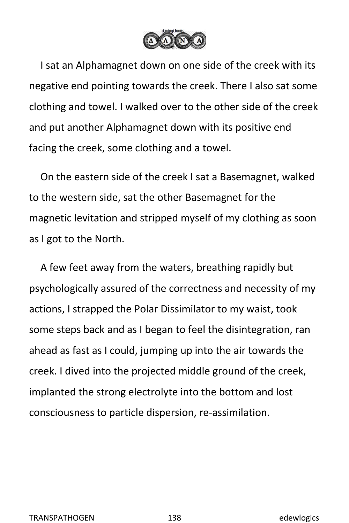

I sat an Alphamagnet down on one side of the creek with its negative end pointing towards the creek. There I also sat some clothing and towel. I walked over to the other side of the creek and put another Alphamagnet down with its positive end facing the creek, some clothing and a towel.

On the eastern side of the creek I sat a Basemagnet, walked to the western side, sat the other Basemagnet for the magnetic levitation and stripped myself of my clothing as soon as I got to the North.

A few feet away from the waters, breathing rapidly but psychologically assured of the correctness and necessity of my actions, I strapped the Polar Dissimilator to my waist, took some steps back and as I began to feel the disintegration, ran ahead as fast as Icould, jumping up into the air towards the creek. I dived into the projected middle ground of the creek, implanted the strong electrolyte into the bottom and lost consciousness to particle dispersion, re-assimilation.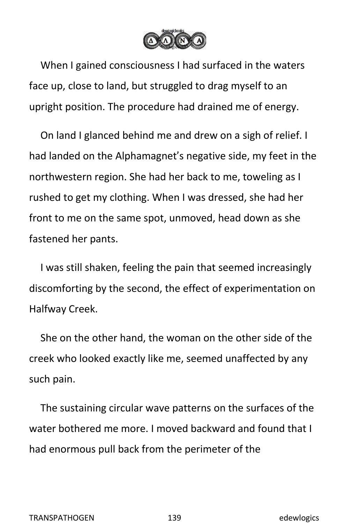

When I gained consciousness I had surfaced in the waters face up, close to land, but struggled to drag myself to an upright position. The procedure had drained me of energy.

On land I glanced behind me and drew on a sigh of relief. I had landed on the Alphamagnet's negative side, my feet in the northwestern region. She had her back to me, toweling as I rushed to get my clothing. When I was dressed, she had her front to me on the same spot, unmoved, head down as she fastened her pants.

I was still shaken, feeling the pain that seemed increasingly discomforting by the second, the effect of experimentation on Halfway Creek.

She on the other hand, the woman on the other side of the creek who looked exactly like me, seemed unaffected by any such pain.

The sustaining circular wave patterns on the surfaces of the water bothered me more. I moved backward and found that I had enormous pull back from the perimeter of the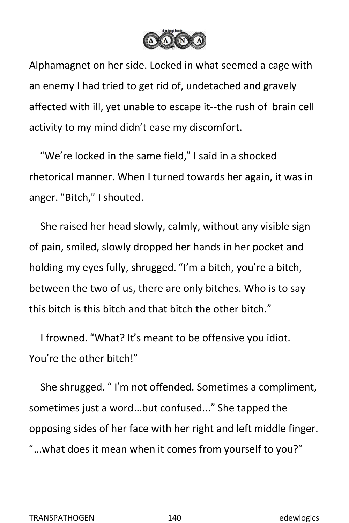

Alphamagnet on her side. Locked in what seemed a cage with an enemy I had tried to get rid of, undetached and gravely affected with ill, yet unable to escape it--the rush of brain cell activity to my mind didn't ease my discomfort.

"We're locked in the same field," I said in a shocked rhetorical manner. When I turned towards her again, it was in anger. "Bitch," I shouted.

She raised her head slowly, calmly, without any visible sign of pain, smiled, slowly dropped her hands in her pocket and holding my eyes fully, shrugged. "I'm a bitch, you're a bitch, between the two of us, there are only bitches. Who is to say this bitch is this bitch and that bitch the other bitch."

I frowned. "What? It's meant to be offensive you idiot. You're the other bitch!"

She shrugged. " I'm not offended. Sometimes a compliment, sometimes just a word…but confused..." She tapped the opposing sides of her face with her right and left middle finger. "…what does it mean when it comes from yourself to you?"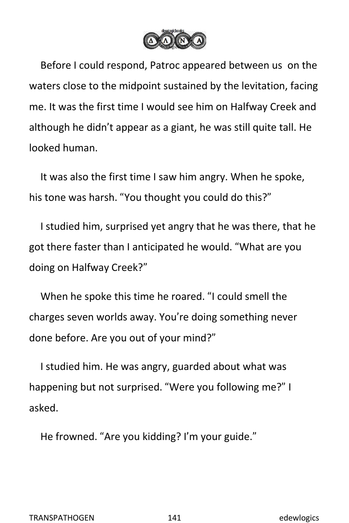

Before I could respond, Patroc appeared between us on the waters close to the midpoint sustained by the levitation, facing me. It was the first time I would see him on Halfway Creek and although he didn't appear as a giant, he was still quite tall. He looked human.

It was also the first time I saw him angry. When he spoke, his tone was harsh. "You thought you could do this?"

I studied him, surprised yet angry that he was there, that he got there faster than I anticipated he would. "What are you doing on Halfway Creek?"

When he spoke this time he roared. "I could smell the charges seven worlds away. You're doing something never done before. Are you out of your mind?"

I studied him. He was angry, guarded about what was happening but not surprised. "Were you following me?" I asked.

He frowned. "Are you kidding? I'm your guide."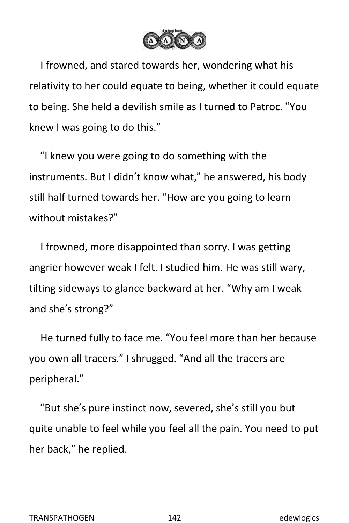

I frowned, and stared towards her, wondering what his relativity to her could equate to being, whether it could equate to being. She held a devilish smile as I turned to Patroc. "You knew I was going to do this."

"I knew you were going to do something with the instruments. But I didn't know what," he answered, his body still half turned towards her. "How are you going to learn without mistakes?"

I frowned, more disappointed than sorry. I was getting angrier however weak I felt. I studied him. He was still wary, tilting sideways to glance backward at her. "Why am I weak and she's strong?"

He turned fully to face me. "You feel more than her because you own all tracers." I shrugged. "And all the tracers are peripheral."

"But she's pure instinct now, severed, she's still you but quite unable to feel while you feel all the pain. You need to put her back," he replied.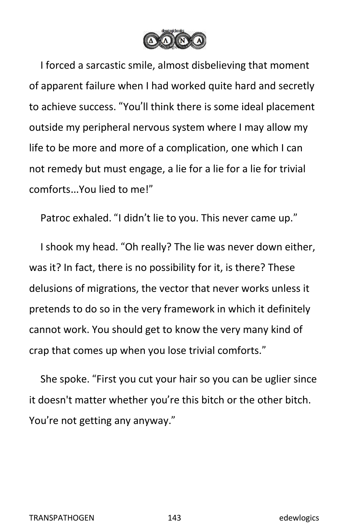

I forced a sarcastic smile, almost disbelieving that moment of apparent failure when I had worked quite hard and secretly to achieve success. "You'll think there is some ideal placement outside my peripheral nervous system where I may allow my life to be more and more of a complication, one which I can not remedy but must engage, a lie for a lie for a lie for trivial comforts…You lied to me!"

Patroc exhaled. "I didn't lie to you. This never came up."

I shook my head. "Oh really? The lie was never down either, was it? In fact, there is no possibility for it, is there? These delusions of migrations, the vector that never works unless it pretends to do so in the very framework in which it definitely cannot work. You should get to know the very many kind of crap that comes up when you lose trivial comforts."

She spoke. "First you cut your hair so you can be uglier since it doesn't matter whether you're this bitch or the other bitch. You're not getting any anyway."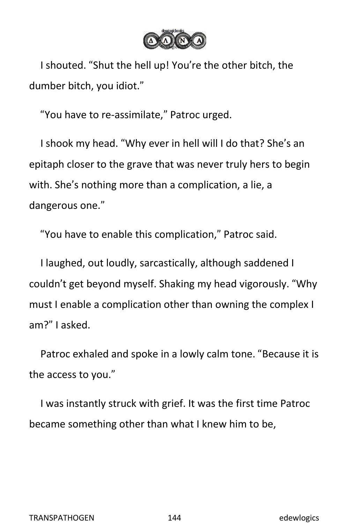

I shouted. "Shut the hell up! You're the other bitch, the dumber bitch, you idiot."

"You have to re-assimilate," Patroc urged.

I shook my head. "Why everin hell will I do that? She's an epitaph closer to the grave that was never truly hers to begin with. She's nothing more than a complication, a lie, a dangerous one."

"You have to enable this complication," Patroc said.

I laughed, out loudly, sarcastically, although saddened I couldn't get beyond myself. Shaking my head vigorously. "Why must I enable a complication other than owning the complex I am?" I asked.

Patroc exhaled and spoke in a lowly calm tone. "Because it is the access to you."

I was instantly struck with grief. It was the first time Patroc became something other than what I knew him to be,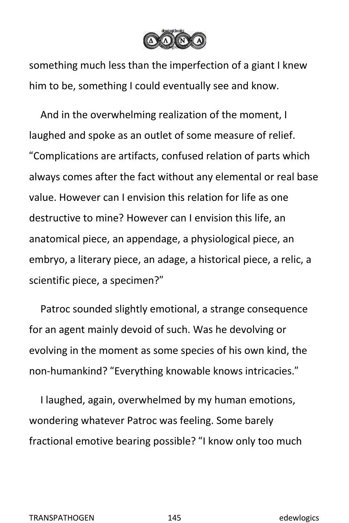

something much less than the imperfection of a giant I knew him to be, something I could eventually see and know.

And in the overwhelming realization of the moment, I laughed and spoke as an outlet of some measure of relief. "Complications are artifacts, confused relation of parts which always comes after the fact without any elemental or real base value. However can I envision this relation for life as one destructive to mine? However can I envision this life, an anatomical piece, an appendage, a physiological piece, an embryo, a literary piece, an adage, a historical piece, a relic, a scientific piece, a specimen?"

Patroc sounded slightly emotional, a strange consequence for an agent mainly devoid of such. Was he devolving or evolving in the moment as some species of his own kind, the non-humankind? "Everything knowable knows intricacies."

I laughed, again, overwhelmed by my human emotions, wondering whatever Patroc was feeling. Some barely fractional emotive bearing possible? "I know only too much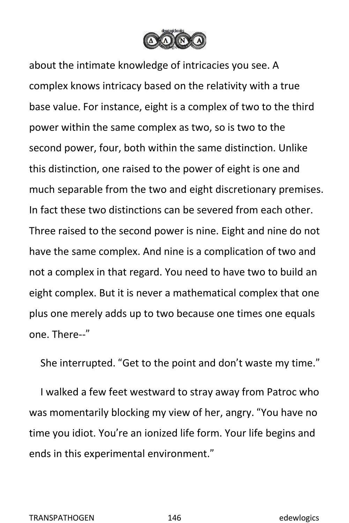

about the intimate knowledge of intricacies you see. A complex knows intricacy based on the relativity with a true base value. For instance, eight is a complex of two to the third power within the same complex as two, so is two to the second power, four, both within the same distinction. Unlike this distinction, one raised to the power of eight is one and much separable from the two and eight discretionary premises. In fact these two distinctions can be severed from each other. Three raised to the second power is nine. Eight and nine do not have the same complex. And nine is a complication of two and not a complex in that regard. You need to have two to build an eight complex. But it is never a mathematical complex that one plus one merely adds up to two because one times one equals one. There--"

She interrupted. "Get to the point and don't waste my time."

I walked a few feet westward to stray away from Patroc who was momentarily blocking my view of her, angry. "You have no time you idiot. You're an ionized life form. Your life begins and ends in this experimental environment."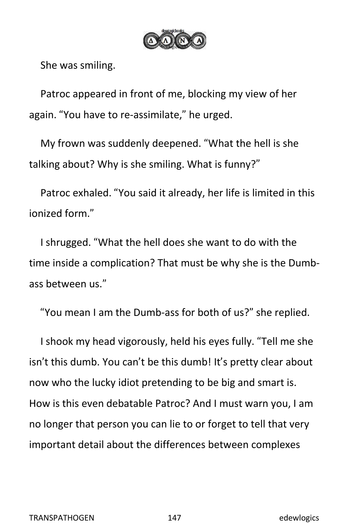

She was smiling.

Patroc appeared in front of me, blocking my view of her again. "You have to re-assimilate," he urged.

My frown was suddenly deepened. "What the hell is she talking about? Why is she smiling. What is funny?"

Patroc exhaled. "You said it already, her life is limited in this ionized form."

I shrugged. "What the hell does she want to do with the time inside a complication? That must be why she is the Dumb ass between us."

"You mean I am the Dumb-ass for both of us?" she replied.

I shook my head vigorously, held his eyes fully. "Tell me she isn't this dumb. You can't be this dumb! It's pretty clear about now who the lucky idiot pretending to be big and smart is. How is this even debatable Patroc? And I must warn you, I am no longer that person you can lie to or forget to tell that very important detail about the differences between complexes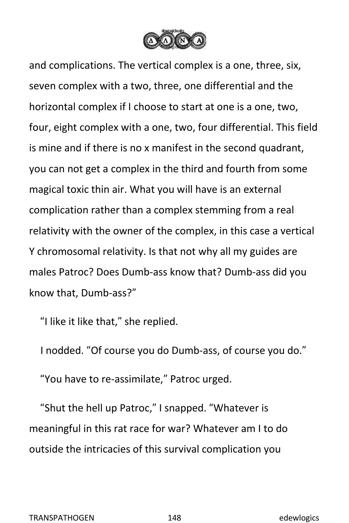

and complications. The vertical complex is a one, three, six, seven complex with a two, three, one differential and the horizontal complex if I choose to start at one is a one, two, four, eight complex with a one, two, four differential. This field is mine and if there is no x manifest in the second quadrant, you can not get a complex in the third and fourth from some magical toxic thin air. What you will have is an external complication rather than a complex stemming from a real relativity with the owner of the complex, in this case a vertical Y chromosomal relativity. Is that not why all my guides are males Patroc? Does Dumb-ass know that? Dumb-ass did you know that, Dumb-ass?"

"I like it like that," she replied.

I nodded. "Of course you do Dumb-ass, of course you do." "You have to re-assimilate," Patroc urged.

"Shut the hell up Patroc," I snapped. "Whatever is meaningful in this rat race for war? Whatever am I to do outside the intricacies of this survival complication you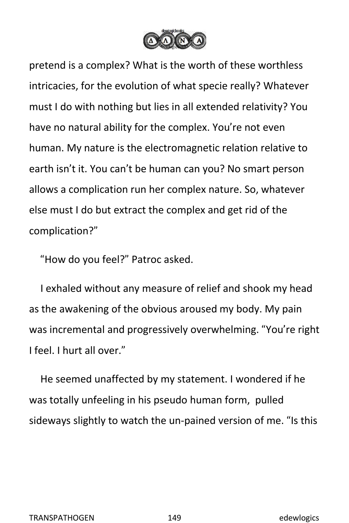

pretend is a complex? What is the worth of these worthless intricacies, for the evolution of what specie really? Whatever must I do with nothing but lies in all extended relativity? You have no natural ability for the complex. You're not even human. My nature is the electromagnetic relation relative to earth isn't it. You can't be human can you? No smart person allows a complication run her complex nature. So, whatever else must I do but extract the complex and get rid of the complication?"

"How do you feel?" Patroc asked.

I exhaled without any measure of relief and shook my head as the awakening of the obvious aroused my body. My pain was incremental and progressively overwhelming. "You're right I feel. I hurt all over."

He seemed unaffected by my statement. I wondered if he was totally unfeeling in his pseudo human form, pulled sideways slightly to watch the un-pained version of me. "Is this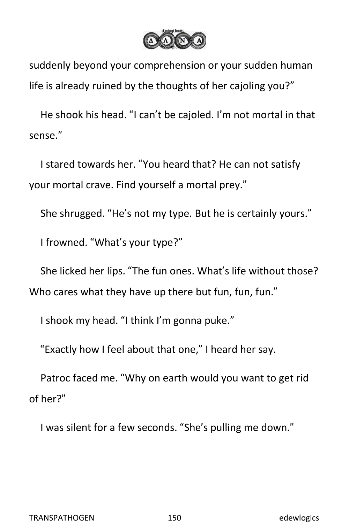

suddenly beyond your comprehension or your sudden human life is already ruined by the thoughts of her cajoling you?"

He shook his head."I can't be cajoled. I'm not mortal in that sense."

I stared towards her. "You heard that? He can not satisfy your mortal crave. Find yourself a mortal prey."

She shrugged. "He's not my type. But he is certainly yours."

I frowned. "What's your type?"

She licked her lips. "The fun ones. What's life without those? Who cares what they have up there but fun, fun, fun."

I shook my head. "I think I'm gonna puke."

"Exactly how I feel about that one," I heard her say.<br>Patroc faced me. "Why on earth would you want to get rid of her?"

I was silent for a few seconds. "She's pulling me down."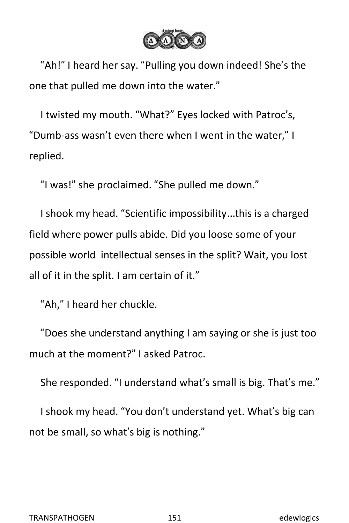

"Ah!" I heard her say. "Pulling you down indeed! She's the one that pulled me down into the water."

I twisted my mouth. "What?" Eyes locked with Patroc's, "Dumb-ass wasn't even there when I went in the water," I replied.

"I was!" she proclaimed. "She pulled me down."

I shook my head. "Scientific impossibility…this is a charged field where power pulls abide. Did you loose some of your possible world intellectual senses in the split? Wait, you lost all of it in the split. I am certain of it."

"Ah," I heard her chuckle.

"Does she understand anything I am saying or she is just too much at the moment?" I asked Patroc.

She responded. "I understand what's small is big. That's me."

I shook my head. "You don't understand yet. What's big can not be small, so what's big is nothing."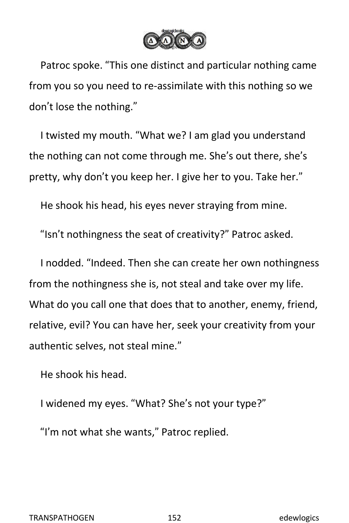

Patroc spoke. "This one distinct and particular nothing came from you so you need to re-assimilate with this nothing so we don't lose the nothing."

I twisted my mouth. "What we? I am glad you understand the nothing can not come through me. She's out there, she's pretty, why don't you keep her. I give her to you.Take her."

He shook his head, his eyes never straying from mine.

"Isn't nothingness the seat of creativity?" Patroc asked.

I nodded. "Indeed. Then she can create her own nothingness from the nothingness she is, not steal and take over my life. What do you call one that does that to another, enemy, friend, relative, evil? You can have her, seek your creativity from your authentic selves, not steal mine."

He shook his head.

I widened my eyes. "What? She's not your type?"

"I'm not what she wants," Patroc replied.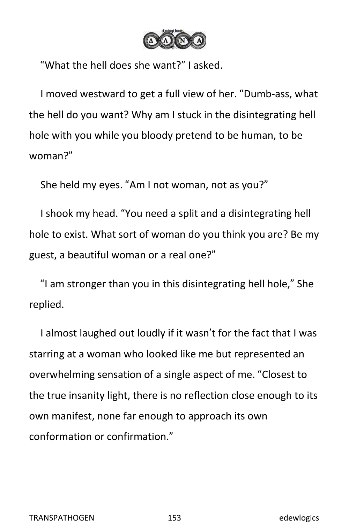

"What the hell does she want?" I asked.

I moved westward to get a full view of her. "Dumb-ass, what the hell do you want? Why am I stuck in the disintegrating hell hole with you while you bloody pretend to be human, to be woman?"

She held my eyes. "Am I not woman, not as you?"

I shook my head. "You need a split and a disintegrating hell hole to exist. What sort of woman do you think you are? Be my guest, a beautiful woman or a real one?"

"I am stronger than you in this disintegrating hell hole," She replied.

I almost laughed out loudly if it wasn't for the fact that I was starring at a woman who looked like me but represented an overwhelming sensation of a single aspect of me. "Closest to the true insanity light, there is no reflection close enough to its own manifest, none far enough to approach its own conformation or confirmation."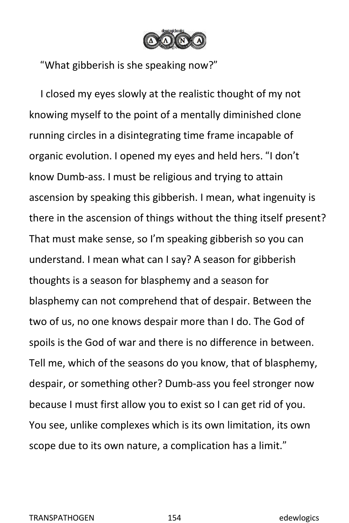

"What gibberish is she speaking now?"

I closed my eyes slowly at the realistic thought of my not knowing myself to the point of a mentally diminished clone running circles in a disintegrating time frame incapable of organic evolution. I opened my eyes and held hers. "I don't know Dumb-ass. I must be religious and trying to attain ascension by speaking this gibberish. I mean, what ingenuity is there in the ascension of things without the thing itself present? That must make sense, so I'm speaking gibberish so you can understand. I mean what can I say? A season forgibberish thoughts is a season for blasphemy and a season for blasphemy can not comprehend that of despair. Between the two of us, no one knows despair more than I do. The God of spoils is the God of war and there is no difference in between. Tell me, which of the seasons do you know, that of blasphemy, despair, or something other? Dumb-ass you feel stronger now because I must first allow you to exist so I can get rid of you. You see, unlike complexes which is its own limitation, its own scope due to its own nature, a complication has a limit."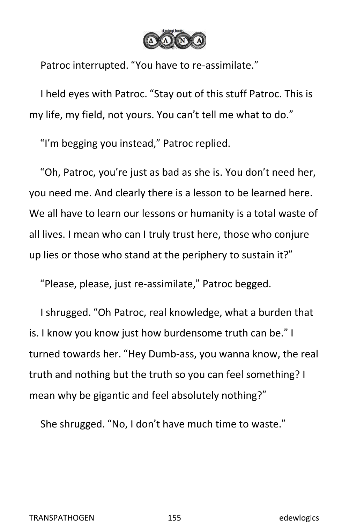

Patroc interrupted. "You have to re-assimilate."

I held eyes with Patroc. "Stay out of this stuff Patroc. This is my life, my field, not yours. You can't tell me what to do."

"I'm begging you instead," Patroc replied.

"Oh, Patroc, you're just as bad as she is. You don't need her, you need me. And clearly there is a lesson to be learned here. We all have to learn our lessons or humanity is a total waste of all lives. I mean who can I truly trust here, those who conjure up lies or those who stand at the periphery to sustain it?"

"Please, please, just re-assimilate," Patroc begged.

I shrugged. "Oh Patroc, real knowledge, what a burden that is. I know you know just how burdensome truth can be." I turned towards her. "Hey Dumb-ass, you wanna know, the real truth and nothing but the truth so you can feel something? I mean why be gigantic and feel absolutely nothing?"

She shrugged. "No, I don't have much time to waste."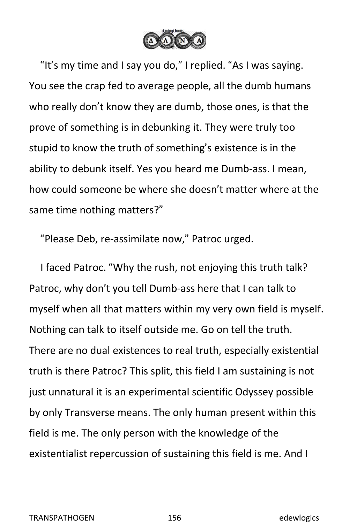

"It's my time and I say you do," I replied. "As I was saying. You see the crap fed to average people, all the dumb humans who really don't know they are dumb, those ones, is that the prove of something is in debunking it. They were truly too stupid to know the truth of something's existence is in the ability to debunk itself. Yes you heard me Dumb-ass. I mean, how could someone be where she doesn't matter where at the same time nothing matters?"

"Please Deb, re-assimilate now," Patroc urged.

I faced Patroc. "Why the rush, not enjoying this truth talk? Patroc, why don't you tell Dumb-ass here that I can talk to myself when all that matters within my very own field is myself. Nothing can talk to itself outside me. Go on tell the truth. There are no dual existences to real truth, especially existential truth is there Patroc? This split, this field I am sustaining is not just unnatural it is an experimental scientific Odyssey possible by only Transverse means. The only human present within this field is me. The only person with the knowledge of the existentialist repercussion of sustaining this field is me. And I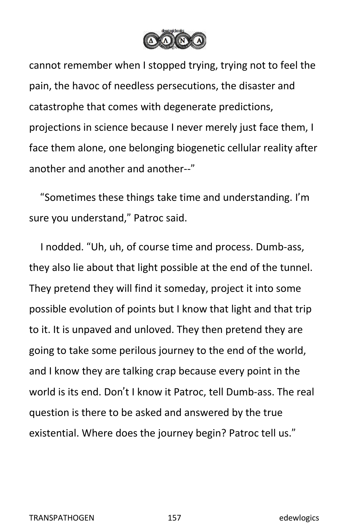

cannot remember when I stopped trying, trying not to feel the pain, the havoc of needless persecutions, the disaster and catastrophe that comes with degenerate predictions, projections in science because I never merely just face them, I face them alone, one belonging biogenetic cellular reality after another and another and another--"

"Sometimes these things take time and understanding. I'm sure you understand," Patroc said.

I nodded. "Uh, uh, of course time and process. Dumb-ass, they also lie about that light possible at the end of the tunnel. They pretend they will find it someday, project it into some possible evolution of points but I know that light and that trip to it. It is unpaved and unloved. They then pretend they are going to take some perilous journey to the end of the world, and I know they are talking crap because every point in the world is its end. Don't I know it Patroc, tell Dumb-ass. The real question is there to be asked and answered by the true existential. Where does the journey begin? Patroc tell us."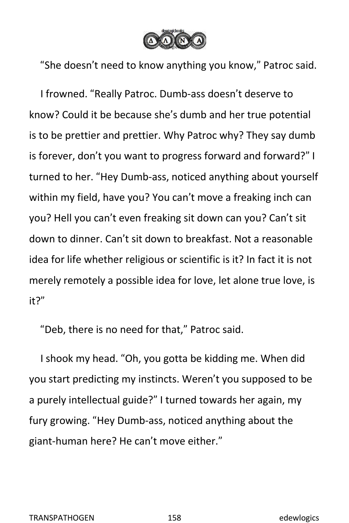

"She doesn't need to know anything you know," Patroc said.

I frowned. "Really Patroc. Dumb-ass doesn't deserve to know? Could it be because she's dumb and her true potential is to be prettier and prettier. Why Patroc why? They say dumb is forever, don't you want to progress forward and forward?" I turned to her. "Hey Dumb-ass, noticed anything about yourself within my field, have you? You can't move a freaking inch can you? Hell you can't even freaking sit down can you? Can't sit down to dinner. Can't sit down to breakfast. Not a reasonable idea for life whether religious or scientific is it? In fact it is not merely remotely a possible idea for love, let alone true love, is it?"

"Deb, there is no need for that," Patroc said.

I shook my head. "Oh, you gotta be kidding me. When did you start predicting my instincts.Weren't you supposed to be a purely intellectual guide?" I turned towards her again, my fury growing. "Hey Dumb-ass, noticed anything about the giant-human here? He can't move either."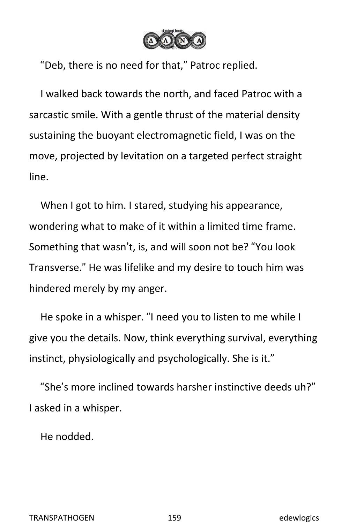

"Deb, there is no need for that," Patroc replied.

I walked back towards the north, and faced Patroc with a sarcastic smile. With a gentle thrust of the material density sustaining the buoyant electromagnetic field, I was on the move, projected by levitation on a targeted perfect straight line.

When I got to him. I stared, studying his appearance, wondering what to make of it within a limited time frame. Something that wasn't, is, and will soon not be? "You look Transverse." He was lifelike and my desire to touch him was hindered merely by my anger.

He spoke in a whisper. "I need you to listen to me while I give you the details. Now, think everything survival, everything instinct, physiologically and psychologically. She is it."

"She's more inclined towards harsher instinctive deeds uh?" I asked in a whisper.

He nodded.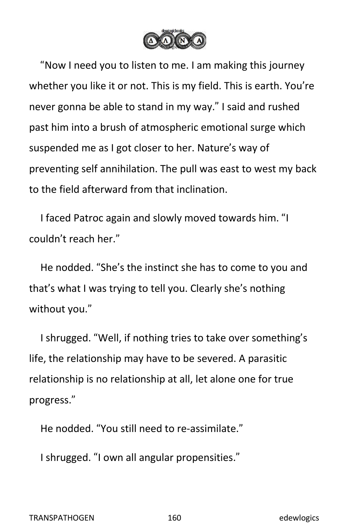

"Now I need you to listen to me. I am making this journey whether you like it or not. This is my field. This is earth. You're never gonna be able to stand in my way." I said and rushed past him into a brush of atmospheric emotional surge which suspended me as I got closer to her. Nature's way of preventing self annihilation. The pull was east to west my back to the field afterward from that inclination.

I faced Patroc again and slowly moved towards him. "I couldn't reach her."

He nodded. "She's the instinct she has to come to you and that's what I was trying to tell you. Clearly she's nothing without you."

I shrugged. "Well, if nothing tries to take over something's life, the relationship may have to be severed. A parasitic relationship is no relationship at all, let alone one for true progress."

He nodded. "You still need to re-assimilate."

I shrugged. "I own all angular propensities."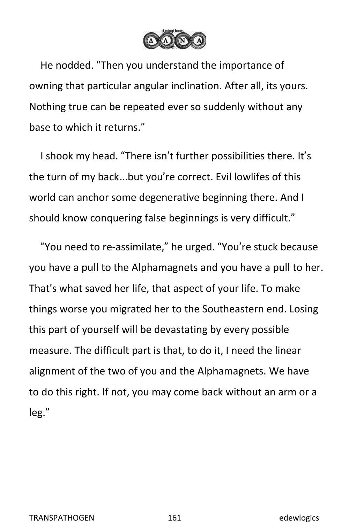

He nodded. "Then you understand the importance of owning that particular angular inclination. After all, its yours. Nothing true can be repeated ever so suddenly without any base to which it returns."

I shook my head. "There isn't further possibilities there. It's the turn of my back…but you're correct. Evil lowlifes of this world can anchor some degenerative beginning there. And I should know conquering false beginnings is very difficult."

"You need to re-assimilate," he urged. "You're stuck because you have a pull to the Alphamagnets and you have a pull to her. That's what saved her life, that aspect of your life. To make things worse you migrated her to the Southeastern end. Losing this part of yourself will be devastating by every possible measure. The difficult part is that, to do it, I need the linear alignment of the two of you and the Alphamagnets. We have to do this right. If not, you may come back without an arm or a leg."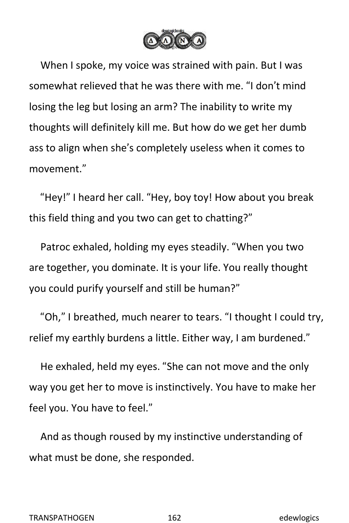

When I spoke, my voice was strained with pain. But I was somewhat relieved that he was there with me. "I don't mind losing the leg but losing an arm? The inability to write my thoughts will definitely kill me. But how do we get her dumb ass to align when she's completely useless when it comes to movement."

"Hey!" I heard her call. "Hey, boy toy! How about you break this field thing and you two can get to chatting?"

Patroc exhaled, holding my eyes steadily. "When you two are together, you dominate. It is your life. You really thought you could purify yourself and still be human?"

"Oh," I breathed, much nearer to tears. "I thought I could try, relief my earthly burdens a little. Either way, I am burdened."

He exhaled, held my eyes. "She can not move and the only way you get her to move is instinctively. You have to make her feel you. You have to feel."

And as though roused by my instinctive understanding of what must be done, she responded.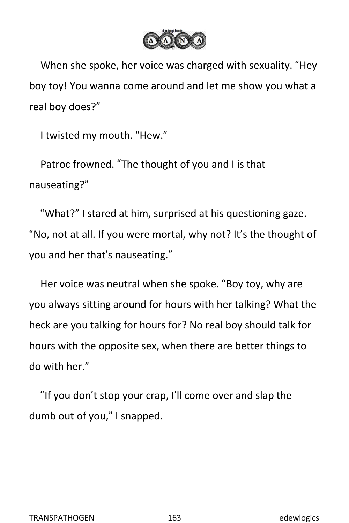

When she spoke, her voice was charged with sexuality. "Hey boy toy! You wanna come around and let me show you what a real boy does?"

I twisted my mouth. "Hew."

Patroc frowned. "The thought of you and I is that nauseating?"

"What?" I stared at him, surprised at his questioning gaze. "No, not at all. If you were mortal, why not? It's the thought of you and her that's nauseating."

Her voice was neutral when she spoke. "Boy toy, why are you always sitting around for hours with her talking? What the heck are you talking for hours for? No real boy should talk for hours with the opposite sex, when there are better things to do with her."

"If you don't stop your crap, I'll come over and slap the dumb out of you," I snapped.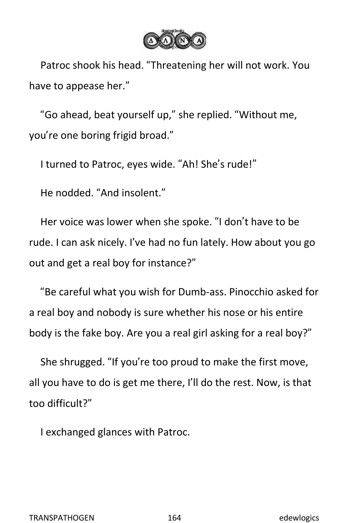

Patroc shook his head."Threatening her will not work. You have to appease her."

"Go ahead, beat yourself up," she replied. "Without me, you're one boring frigid broad."

I turned to Patroc, eyes wide. "Ah! She's rude!"

He nodded. "And insolent."

Her voice was lower when she spoke. "I don't have to be rude. I can ask nicely. I've had no fun lately. How about you go out and get a real boy for instance?"

"Be careful what you wish for Dumb-ass. Pinocchio asked for a real boy and nobody is sure whether his nose or his entire body is the fake boy. Are you a real girl asking for a real boy?"

She shrugged. "If you're too proud to make the first move, all you have to do is get me there, I'll do the rest. Now, is that too difficult?"

I exchanged glances with Patroc.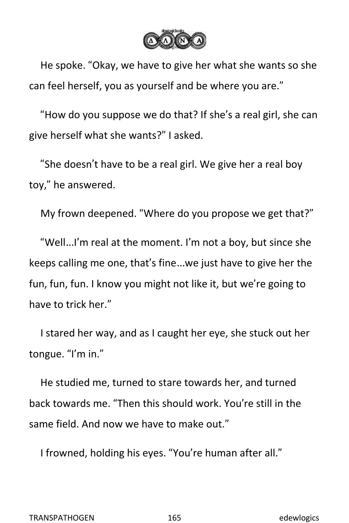

He spoke. "Okay, we have to give her what she wants so she can feel herself, you as yourself and be where you are."

"How do you suppose we do that? If she's a real girl, she can give herself what she wants?" I asked.

"She doesn't have to be a real girl. We give her a real boy toy," he answered.

My frown deepened. "Where do you propose we get that?"

"Well…I'm real at the moment. I'm not a boy, but since she keeps calling me one, that's fine…we just have to give her the fun, fun, fun. I know you might not like it, but we're going to have to trick her."

I stared her way, and as I caught her eye, she stuck out her tongue. "I'm in."

He studied me, turned to stare towards her, and turned back towards me. "Then this should work. You're still in the same field. And now we have to make out."

I frowned, holding his eyes. "You're human after all."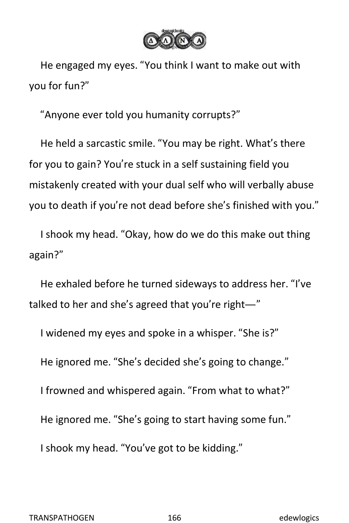

He engaged my eyes. "You think I want to make out with you for fun?"

"Anyone ever told you humanity corrupts?"

He held a sarcastic smile. "You may be right. What's there for you to gain? You're stuck in a self sustaining field you mistakenly created with your dual self who will verbally abuse you to death if you're not dead before she's finished with you."

I shook my head. "Okay, how do we do this make out thing again?"

He exhaled before he turned sideways to address her."I've talked to her and she's agreed that you're right—"

I widened my eyes and spoke in a whisper. "She is?" He ignored me. "She's decided she's going to change." I frowned and whispered again. "From what to what?" He ignored me. "She's going to start having some fun." I shook my head. "You've got to be kidding."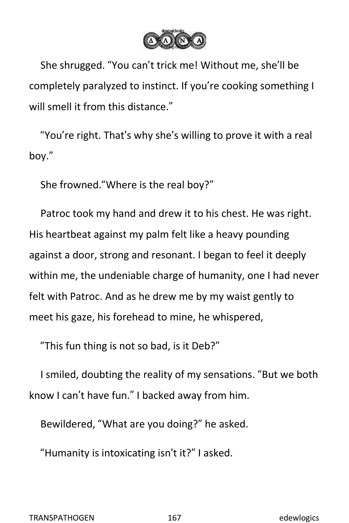

She shrugged. "You can't trick me! Without me, she'll be completely paralyzed to instinct. If you're cooking something I will smell it from this distance."

"You're right. That's why she's willing to prove it with a real boy."

She frowned."Where is the real boy?"

Patroc took my hand and drew it to his chest. He was right. His heartbeat against my palm felt like a heavy pounding against a door, strong and resonant. I began to feel it deeply within me, the undeniable charge of humanity, one I had never felt with Patroc. And as he drew me by my waist gently to meet his gaze, his forehead to mine, he whispered,

"This fun thing is not so bad, is it Deb?"

I smiled, doubting the reality of my sensations. "But we both know I can't have fun." I backed away from him.

Bewildered, "What are you doing?" he asked.

"Humanity is intoxicating isn't it?" I asked.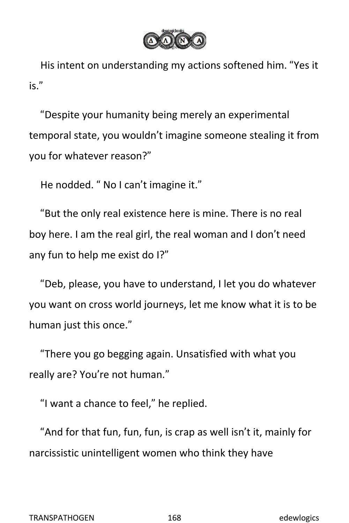

His intent on understanding my actions softened him. "Yes it is."

"Despite your humanity being merely an experimental temporal state, you wouldn't imagine someone stealing it from you for whatever reason?"

He nodded. " No I can't imagine it."

"But the only real existence here is mine. There is no real boy here. I am the real girl, the real woman and I don't need any fun to help me exist do I?"

"Deb, please, you have to understand, I let you do whatever you want on cross world journeys, let me know what it is to be human just this once."

"There you go begging again. Unsatisfied with what you really are? You're not human."

"I want a chance to feel," he replied.

"And for that fun, fun, fun, is crap as well isn't it, mainly for narcissistic unintelligent women who think they have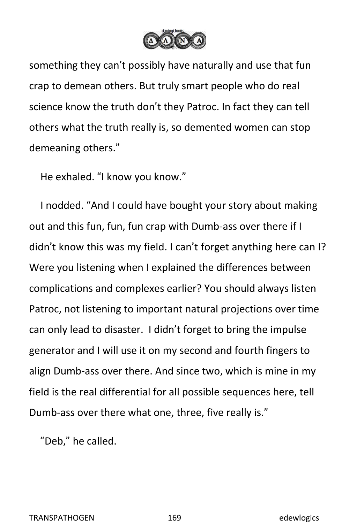

something they can't possibly have naturally and use that fun crap to demean others. But truly smart people who do real science know the truth don't they Patroc. In fact they can tell others what the truth really is, so demented women can stop demeaning others."

He exhaled. "I know you know."

I nodded. "And I could have bought your story about making out and this fun, fun, fun crap with Dumb-ass over there if I didn't know this was my field. I can't forget anything here can I? Were you listening when I explained the differences between complications and complexes earlier? You should always listen Patroc, not listening to important natural projections over time can only lead to disaster. I didn't forget to bring the impulse generator and I will use it on my second and fourth fingers to align Dumb-ass over there. And since two, which is mine in my field is the real differential for all possible sequences here, tell Dumb-ass over there what one, three, five really is."

"Deb," he called.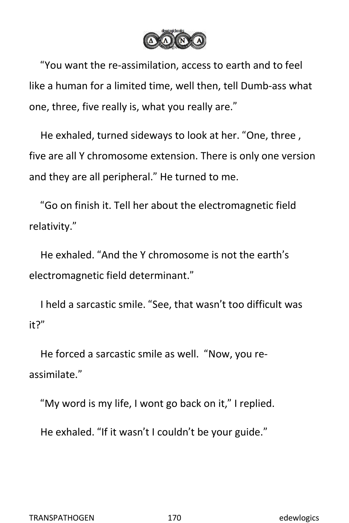

"You want the re-assimilation, access to earth and to feel like a human for a limited time, well then, tell Dumb-ass what one, three, five really is, what you really are."

He exhaled, turned sideways to look at her. "One, three , five are all Y chromosome extension. There is only one version and they are all peripheral." He turned to me.

"Go on finish it. Tell her about the electromagnetic field relativity."

He exhaled. "And the Y chromosome is not the earth's electromagnetic field determinant."

I held a sarcastic smile. "See, that wasn't too difficult was it?"

He forced a sarcastic smile as well. "Now, you re assimilate."

"My word is my life, I wont go back on it," I replied.<br>He exhaled. "If it wasn't I couldn't be your guide."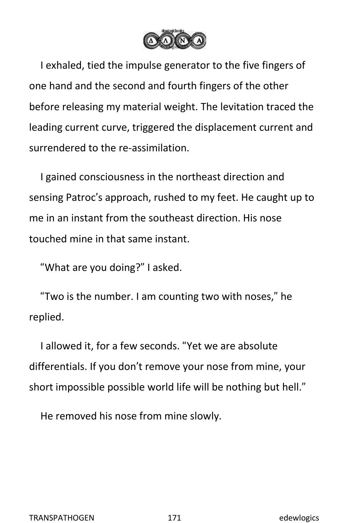

I exhaled, tied the impulse generator to the five fingers of one hand and the second and fourth fingers of the other before releasing my material weight. The levitation traced the leading current curve, triggered the displacement current and surrendered to the re-assimilation.

I gained consciousness in the northeast direction and sensing Patroc's approach, rushed to my feet. He caught up to me in an instant from the southeast direction. His nose touched mine in that same instant.

"What are you doing?" I asked.

"Two is the number. I am counting two with noses," he replied.

I allowed it, for a few seconds. "Yet we are absolute differentials. If you don't remove your nose from mine, your short impossible possible world life will be nothing but hell."

He removed his nose from mine slowly.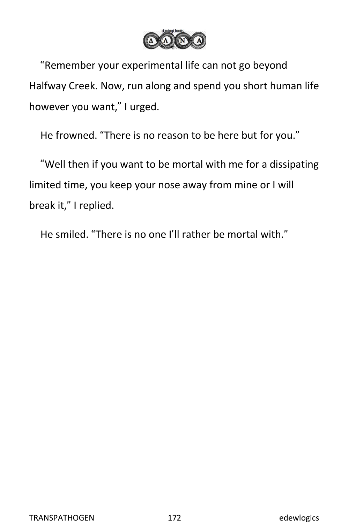

"Remember your experimental life can not go beyond Halfway Creek. Now, run along and spend you short human life however you want," I urged.

He frowned. "There is no reason to be here but for you."

"Well then if you want to be mortal with me for a dissipating limited time, you keep your nose away from mine or I will break it," I replied.

He smiled. "There is no one I'll rather be mortal with."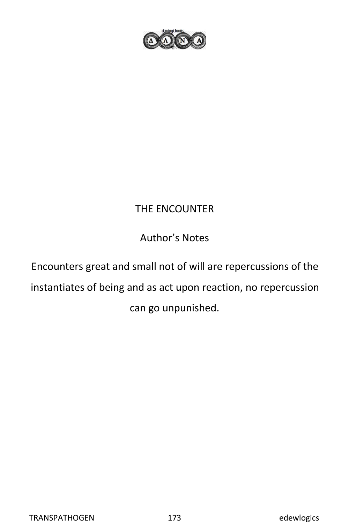

## THE ENCOUNTER

## Author's Notes

Encounters great and small not of will are repercussions of the instantiates of being and as act upon reaction, no repercussion can go unpunished.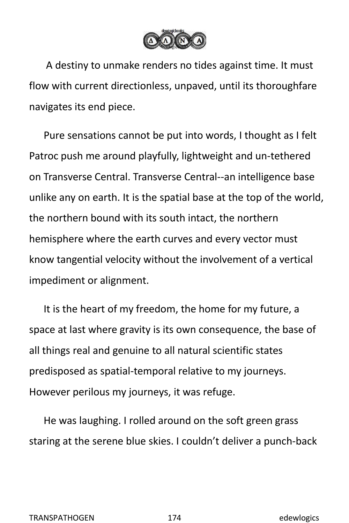

A destiny to unmake renders no tides against time. It must flow with current directionless, unpaved, until its thoroughfare navigates its end piece.

Pure sensations cannot be put into words, I thought as Ifelt Patroc push me around playfully, lightweight and un-tethered on Transverse Central. Transverse Central--an intelligence base unlike any on earth. It is the spatial base at the top of the world, the northern bound with its south intact, the northern hemisphere where the earth curves and every vector must know tangential velocity without the involvement of a vertical impediment or alignment.

It is the heart of my freedom, the home for my future, a space at last where gravity is its own consequence, the base of all things real and genuine to all natural scientific states predisposed as spatial-temporal relative to myjourneys. However perilous my journeys, it was refuge.

He was laughing. I rolled around on the soft green grass staring at the serene blue skies. I couldn't deliver a punch-back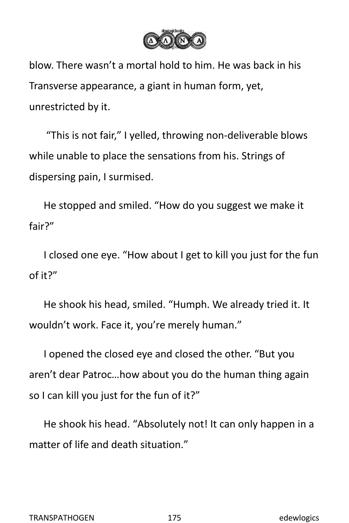

blow. There wasn't a mortal hold to him. He was back in his Transverse appearance, a giant in human form, yet, unrestricted by it.

"This is not fair," I yelled, throwing non-deliverable blows while unable to place the sensations from his. Strings of dispersing pain, I surmised.

He stopped and smiled. "How do you suggest we make it fair?"

I closed one eye. "How about I get to kill you just for the fun of it?"

He shook his head, smiled. "Humph. We already tried it. It wouldn't work. Face it, you're merely human."

I opened the closed eye and closed the other. "But you aren't dear Patroc…how about you do the human thing again so I can kill you just for the fun of it?"

He shook his head."Absolutely not! It can only happen in a matter of life and death situation."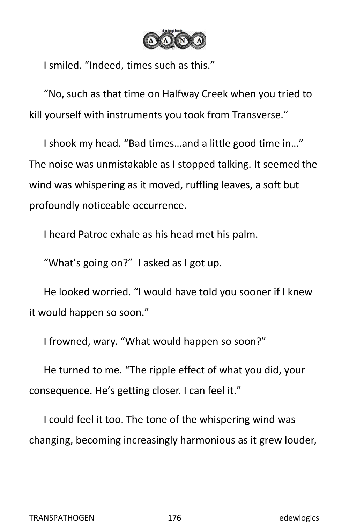

I smiled. "Indeed, times such as this."

"No, such as that time on Halfway Creek when you tried to kill yourself with instruments you took from Transverse."

I shook my head. "Bad times…and a little good time in…" The noise was unmistakable as I stopped talking. It seemed the wind was whispering as it moved, ruffling leaves, a soft but profoundly noticeable occurrence.

I heard Patroc exhale as his head met his palm.

"What's going on?" I asked as I got up.

He looked worried. "I would have told you sooner if I knew it would happen so soon."

I frowned, wary. "What would happen so soon?"

He turned to me. "The ripple effect of what you did, your consequence. He's getting closer. I can feel it."

I could feel it too. The tone of the whispering wind was changing, becoming increasingly harmonious as it grew louder,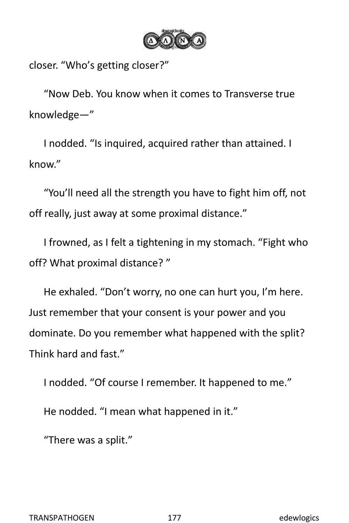

closer. "Who's getting closer?"

"Now Deb. You know when it comesto Transverse true knowledge—"

I nodded. "Is inquired, acquired rather than attained. I know."

"You'll need all the strength you have to fight him off, not off really, just away at some proximal distance."

I frowned, as I felt a tightening in my stomach. "Fight who off? What proximal distance?"

He exhaled. "Don't worry, no one can hurt you, I'm here. Just remember that your consent is your power and you dominate. Do you remember what happened with the split? Think hard and fast."

I nodded. "Of course I remember. It happened to me."

He nodded. "I mean what happened in it."

"There was a split."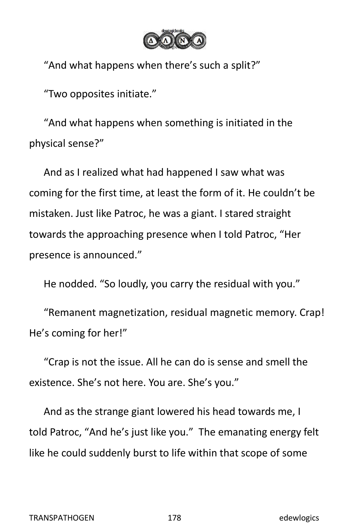

"And what happens when there's such a split?"

"Two opposites initiate."

"And what happens when something is initiated in the physical sense?"

And as I realized what had happened I saw what was coming for the first time, at least the form of it. He couldn't be mistaken. Just like Patroc, he was a giant. I stared straight towards the approaching presence when I told Patroc, "Her presence is announced."

He nodded. "So loudly, you carry the residual with you."

"Remanent magnetization, residual magnetic memory. Crap! He's coming for her!"

"Crap is not the issue. All he can do is sense and smell the existence. She's not here. You are. She's you."

And as the strange giant lowered his head towards me, I told Patroc, "And he's just like you." The emanating energy felt like he could suddenly burst to life within that scope of some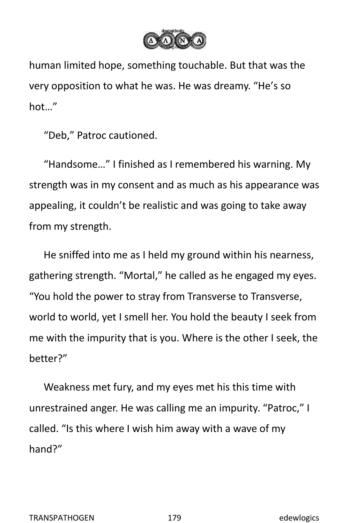

human limited hope, something touchable. But that was the very opposition to what he was. He was dreamy. "He's so hot…"

"Deb," Patroc cautioned.

"Handsome…" I finished as I remembered his warning. My strength was in my consent and as much as his appearance was appealing, it couldn't be realistic and was going to take away from my strength.<br>He sniffed into me as I held my ground within his nearness,

gathering strength. "Mortal," he called as he engaged my eyes. "You hold the power to stray from Transverse to Transverse, world to world, yet I smell her. You hold the beauty I seek from me with the impurity that is you. Where is the other I seek, the better?"

Weakness met fury, and my eyes met his this time with unrestrained anger. He was calling me an impurity. "Patroc," I called. "Is this where I wish him away with a wave of my hand?"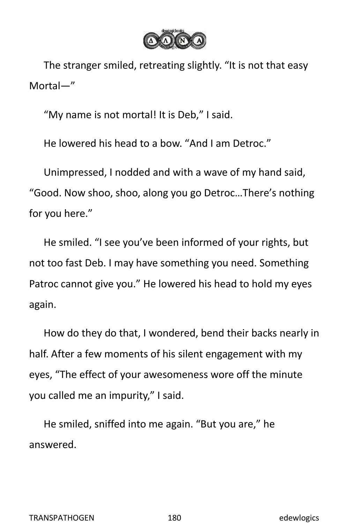

The stranger smiled, retreating slightly. "It is not that easy Mortal—"

"My name is not mortal! It is Deb," I said.

He lowered his head to a bow. "And I am Detroc."

Unimpressed, I nodded and with a wave of my hand said, "Good. Now shoo, shoo, along you go Detroc…There's nothing for you here."

He smiled. "I see you've been informed of your rights, but not too fast Deb. I may have something you need. Something Patroc cannot give you." He lowered his head to hold my eyes again.

How do they do that, I wondered, bend their backs nearly in half. After a few moments of his silent engagement with my eyes, "The effect of your awesomeness wore off the minute you called me an impurity," I said.

He smiled, sniffed into me again. "But you are," he answered.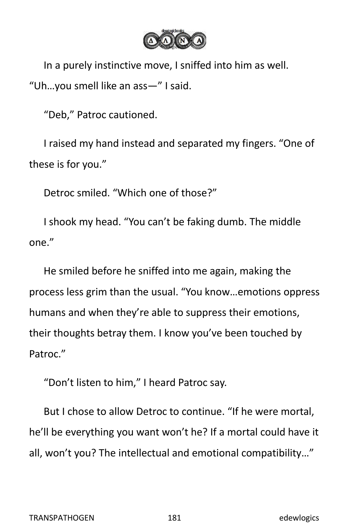

In a purely instinctive move, I sniffed into him as well. "Uh…you smell like an ass—" I said.

"Deb," Patroc cautioned.

I raised my hand instead and separated my fingers. "One of these is for you."

Detroc smiled. "Which one of those?"

I shook my head. "You can't be faking dumb. The middle

one."<br>He smiled before he sniffed into me again, making the process less grim than the usual. "You know…emotions oppress humans and when they're able to suppress their emotions, their thoughts betray them. I know you've been touched by Patroc."

"Don't listen to him," I heard Patroc say.

But I chose to allow Detroc to continue. "If he were mortal, he'll be everything you want won't he? If a mortal could have it all, won't you? The intellectual and emotional compatibility…"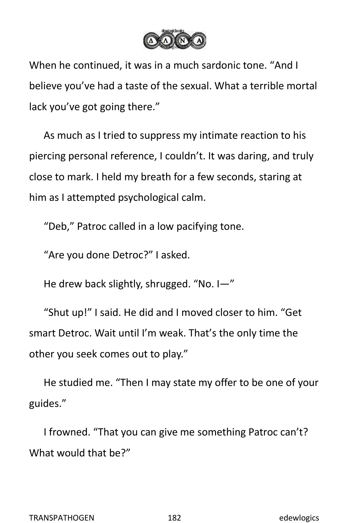

When he continued, it was in a much sardonic tone. "And I believe you've had a taste of the sexual. What a terrible mortal lack you've got going there."

As much as I tried to suppress my intimate reaction to his piercing personal reference, I couldn't. It was daring, and truly close to mark. I held my breath for a few seconds, staring at him as I attempted psychological calm.

"Deb," Patroc called in a low pacifying tone.

"Are you done Detroc?" I asked.

He drew back slightly, shrugged. "No. I—"

"Shut up!" I said. He did and I moved closer to him. "Get smart Detroc. Wait until I'm weak. That's the only time the other you seek comes out to play."

He studied me. "Then I may state my offer to be one of your guides."

I frowned. "That you can give me something Patroc can't? What would that be?"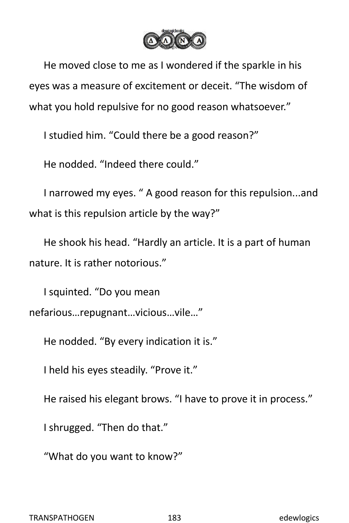

He moved close to me as I wondered if the sparkle in his eyes was a measure of excitement or deceit. "The wisdom of what you hold repulsive for no good reason whatsoever."

I studied him. "Could there be a good reason?"

He nodded. "Indeed there could."

I narrowed my eyes. " A good reason for this repulsion...and what is this repulsion article by the way?"

He shook his head."Hardly an article. It is a part of human nature. It is rather notorious."

I squinted. "Do you mean nefarious…repugnant…vicious…vile…"

He nodded. "By every indication it is."

I held his eyes steadily. "Prove it."

He raised his elegant brows. "I have to prove it in process."

I shrugged. "Then do that."

"What do you want to know?"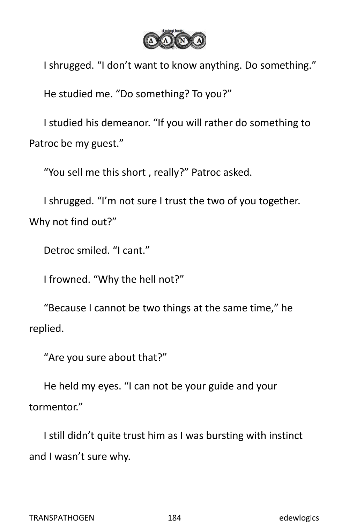

I shrugged. "I don't want to know anything. Do something." He studied me. "Do something? To you?"

I studied his demeanor. "If you will rather do something to Patroc be my guest."

"You sell me this short , really?" Patroc asked.

I shrugged. "I'm not sure I trust the two of you together. Why not find out?"

Detroc smiled. "I cant."

I frowned. "Why the hell not?"

"Because I cannot be two things at the same time," he replied.

"Are you sure about that?"

He held my eyes. "I can not be your guide and your tormentor."

I still didn't quite trust him as I was bursting with instinct and I wasn't sure why.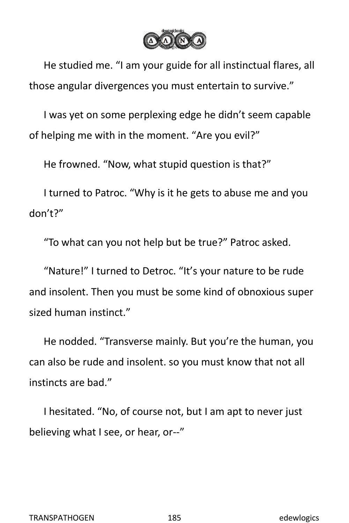

He studied me. "I am your guide for all instinctual flares, all those angular divergences you must entertain to survive."

I was yet on some perplexing edge he didn't seem capable of helping me with in the moment. "Are you evil?"

He frowned. "Now, what stupid question is that?"

I turned to Patroc. "Why is it he gets to abuse me and you don't?"

"To what can you not help but be true?" Patroc asked.

"Nature!" I turned to Detroc. "It's your nature to be rude and insolent. Then you must be some kind of obnoxious super sized human instinct."

He nodded. "Transverse mainly. But you're the human, you can also be rude and insolent. so you must know that not all instincts are bad."

I hesitated. "No, of course not, but I am apt to never just believing what I see, or hear, or--"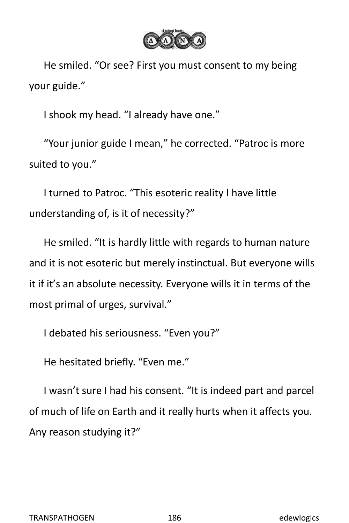

He smiled. "Or see? First you must consent to my being your guide."

I shook my head. "I already have one."

"Your junior guide I mean," he corrected. "Patroc is more suited to you."

I turned to Patroc. "This esoteric reality Ihave little understanding of, is it of necessity?"

He smiled. "It is hardly little with regards to human nature and it is not esoteric but merely instinctual. But everyone wills it if it's an absolute necessity. Everyone wills it in terms of the most primal of urges, survival."

I debated his seriousness. "Even you?"

He hesitated briefly. "Even me."

I wasn't sure I had his consent. "It is indeed part and parcel of much of life on Earth and it really hurts when it affects you. Any reason studying it?"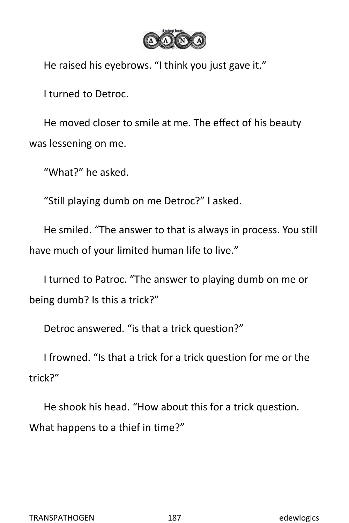

He raised his eyebrows. "I think you just gave it."

I turned to Detroc.

He moved closer to smile at me. The effect of his beauty was lessening on me.

"What?" he asked.

"Still playing dumb on me Detroc?" I asked.

He smiled. "The answer to that is always in process. You still have much of your limited human life to live."

I turned to Patroc. "The answer to playing dumb on me or being dumb? Is this a trick?"

Detroc answered. "is that a trick question?"

I frowned. "Is that a trick for a trick question for me or the trick?"

He shook his head."How about this for a trick question. What happens to a thief in time?"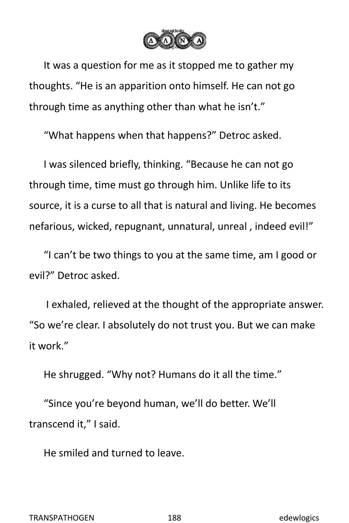

It was a question for me as it stopped me to gather my thoughts. "He is an apparition onto himself. He can not go through time as anything other than what he isn't."

"What happens when that happens?" Detroc asked.

I was silenced briefly, thinking. "Because he can not go through time, time must go through him. Unlike life to its source, it is a curse to all that is natural and living. He becomes nefarious, wicked, repugnant, unnatural, unreal , indeed evil!"

"I can't be two things to you at the same time,am I good or evil?" Detroc asked.

I exhaled, relieved at the thought of the appropriate answer. "So we're clear. I absolutely do not trust you. But we can make it work."

He shrugged. "Why not? Humans do it all the time."

"Since you're beyond human, we'll do better. We'll transcend it," I said.

He smiled and turned to leave.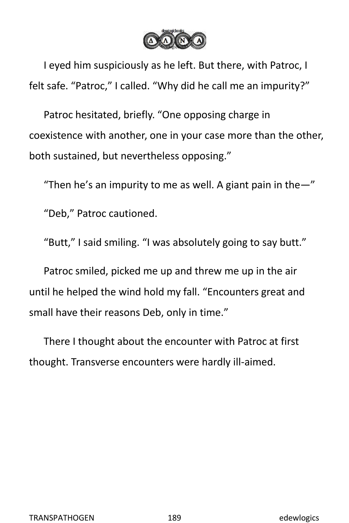

I eyed him suspiciously as he left. But there, with Patroc, I felt safe. "Patroc," I called. "Why did he call me an impurity?"

Patroc hesitated, briefly. "One opposing charge in coexistence with another, one in your case more than the other, both sustained, but nevertheless opposing."

"Then he's an impurity to me as well. A giant pain in the $-$ "

"Deb," Patroc cautioned.

"Butt," I said smiling. "I was absolutely going to say butt."

Patroc smiled, picked me up and threw me up in the air until he helped the wind hold my fall."Encounters great and small have their reasons Deb, only in time."

There I thought about the encounter with Patroc at first thought. Transverse encounters were hardly ill-aimed.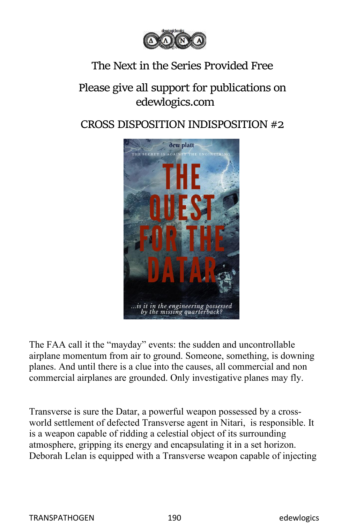

## The Next in the Series Provided Free

## Please give all support for publications on edewlogics.com

## CROSS DISPOSITION INDISPOSITION #2



The FAA call it the "mayday" events: the sudden and uncontrollable airplane momentum from air to ground. Someone, something, is downing planes. And until there is a clue into the causes, all commercial and non commercial airplanes are grounded. Only investigative planes may fly.

Transverse is sure the Datar, a powerful weapon possessed by a cross world settlement of defected Transverse agent in Nitari, is responsible. It is a weapon capable of ridding a celestial object of its surrounding atmosphere, gripping its energy and encapsulating it in a set horizon. Deborah Lelan is equipped with a Transverse weapon capable of injecting